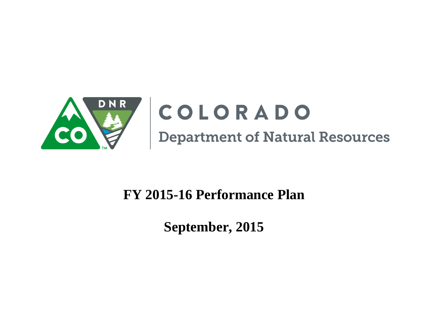

# COLORADO **Department of Natural Resources**

## **FY 2015-16 Performance Plan**

**September, 2015**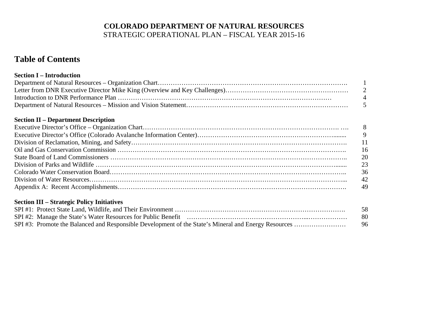#### **COLORADO DEPARTMENT OF NATURAL RESOURCES** STRATEGIC OPERATIONAL PLAN – FISCAL YEAR 2015-16

### **Table of Contents**

| <b>Section I – Introduction</b> |           |
|---------------------------------|-----------|
|                                 |           |
|                                 |           |
|                                 | $\Lambda$ |
|                                 |           |

#### **Section II – Department Description**

#### **Section III – Strategic Policy Initiatives**

|  | 58   |
|--|------|
|  | -80- |
|  | 96   |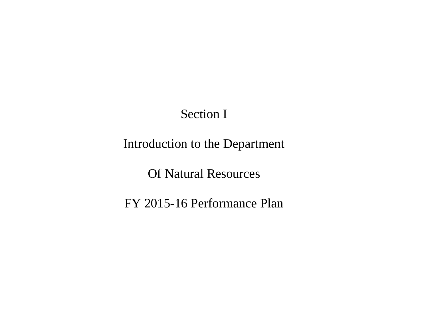## Section I

## Introduction to the Department

Of Natural Resources

FY 2015-16 Performance Plan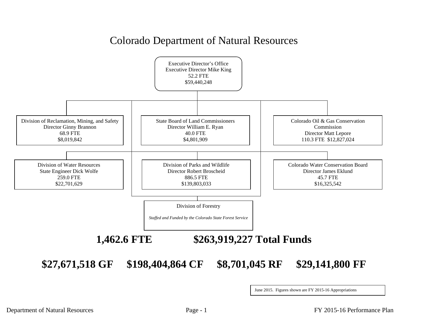## Colorado Department of Natural Resources



June 2015. Figures shown are FY 2015-16 Appropriations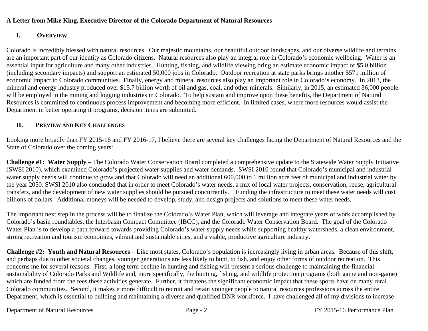#### **A Letter from Mike King, Executive Director of the Colorado Department of Natural Resources**

#### **I.OVERVIEW**

Colorado is incredibly blessed with natural resources. Our majestic mountains, our beautiful outdoor landscapes, and our diverse wildlife and terrains are an important part of our identity as Colorado citizens. Natural resources also play an integral role in Colorado's economic wellbeing. Water is an essential input for agriculture and many other industries. Hunting, fishing, and wildlife viewing bring an estimate economic impact of \$5.0 billion (including secondary impacts) and support an estimated 50,000 jobs in Colorado. Outdoor recreation at state parks brings another \$571 million of economic impact to Colorado communities. Finally, energy and mineral resources also play an important role in Colorado's economy. In 2013, the mineral and energy industry produced over \$15.7 billion worth of oil and gas, coal, and other minerals. Similarly, in 2015, an estimated 36,000 people will be employed in the mining and logging industries in Colorado. To help sustain and improve upon these benefits, the Department of Natural Resources is committed to continuous process improvement and becoming more efficient. In limited cases, where more resources would assist the Department in better operating it programs, decision items are submitted.

#### **II. PREVIEW AND KEY CHALLENGES**

Looking more broadly than FY 2015-16 and FY 2016-17, I believe there are several key challenges facing the Department of Natural Resources and the State of Colorado over the coming years:

**Challenge #1: Water Supply** – The Colorado Water Conservation Board completed a comprehensive update to the Statewide Water Supply Initiative (SWSI 2010), which examined Colorado's projected water supplies and water demands. SWSI 2010 found that Colorado's municipal and industrial water supply needs will continue to grow and that Colorado will need an additional 600,000 to 1 million acre feet of municipal and industrial water by the year 2050. SWSI 2010 also concluded that in order to meet Colorado's water needs, a mix of local water projects, conservation, reuse, agricultural transfers, and the development of new water supplies should be pursued concurrently. Funding the infrastructure to meet these water needs will cost billions of dollars. Additional moneys will be needed to develop, study, and design projects and solutions to meet these water needs.

The important next step in the process will be to finalize the Colorado's Water Plan, which will leverage and integrate years of work accomplished by Colorado's basin roundtables, the Interbasin Compact Committee (IBCC), and the Colorado Water Conservation Board. The goal of the Colorado Water Plan is to develop a path forward towards providing Colorado's water supply needs while supporting healthy watersheds, a clean environment, strong recreation and tourism economies, vibrant and sustainable cities, and a viable, productive agriculture industry.

**Challenge #2: Youth and Natural Resources** – Like most states, Colorado's population is increasingly living in urban areas. Because of this shift, and perhaps due to other societal changes, younger generations are less likely to hunt, to fish, and enjoy other forms of outdoor recreation. This concerns me for several reasons. First, a long term decline in hunting and fishing will present a serious challenge to maintaining the financial sustainability of Colorado Parks and Wildlife and, more specifically, the hunting, fishing, and wildlife protection programs (both game and non-game) which are funded from the fees these activities generate. Further, it threatens the significant economic impact that these sports have on many rural Colorado communities. Second, it makes it more difficult to recruit and retain younger people to natural resources professions across the entire Department, which is essential to building and maintaining a diverse and qualified DNR workforce. I have challenged all of my divisions to increase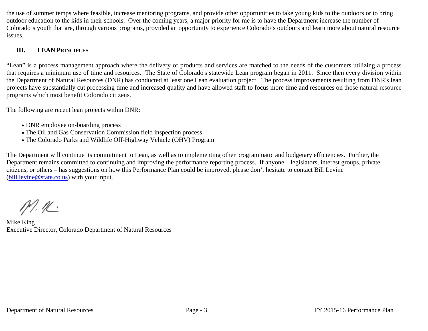the use of summer temps where feasible, increase mentoring programs, and provide other opportunities to take young kids to the outdoors or to bring outdoor education to the kids in their schools. Over the coming years, a major priority for me is to have the Department increase the number of Colorado's youth that are, through various programs, provided an opportunity to experience Colorado's outdoors and learn more about natural resource issues.

#### **III. LEANPRINCIPLES**

"Lean" is a process management approach where the delivery of products and services are matched to the needs of the customers utilizing a process that requires a minimum use of time and resources. The State of Colorado's statewide Lean program began in 2011. Since then every division within the Department of Natural Resources (DNR) has conducted at least one Lean evaluation project. The process improvements resulting from DNR's lean projects have substantially cut processing time and increased quality and have allowed staff to focus more time and resources on those natural resource programs which most benefit Colorado citizens.

The following are recent lean projects within DNR:

- DNR employee on-boarding process
- The Oil and Gas Conservation Commission field inspection process
- The Colorado Parks and Wildlife Off-Highway Vehicle (OHV) Program

The Department will continue its commitment to Lean, as well as to implementing other programmatic and budgetary efficiencies. Further, the Department remains committed to continuing and improving the performance reporting process. If anyone – legislators, interest groups, private citizens, or others – has suggestions on how this Performance Plan could be improved, please don't hesitate to contact Bill Levine (bill.levine@state.co.us) with your input.

 $M.R$ 

Mike King Executive Director, Colorado Department of Natural Resources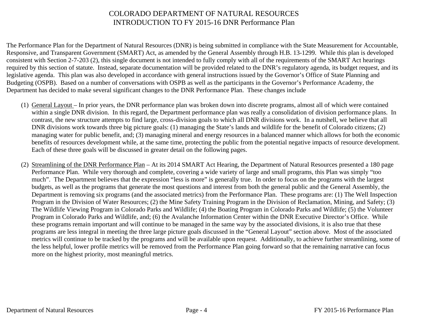#### COLORADO DEPARTMENT OF NATURAL RESOURCESINTRODUCTION TO FY 2015-16 DNR Performance Plan

The Performance Plan for the Department of Natural Resources (DNR) is being submitted in compliance with the State Measurement for Accountable, Responsive, and Transparent Government (SMART) Act, as amended by the General Assembly through H.B. 13-1299. While this plan is developed consistent with Section 2-7-203 (2), this single document is not intended to fully comply with all of the requirements of the SMART Act hearings required by this section of statute. Instead, separate documentation will be provided related to the DNR's regulatory agenda, its budget request, and its legislative agenda. This plan was also developed in accordance with general instructions issued by the Governor's Office of State Planning and Budgeting (OSPB). Based on a number of conversations with OSPB as well as the participants in the Governor's Performance Academy, the Department has decided to make several significant changes to the DNR Performance Plan. These changes include

- (1) General Layout In prior years, the DNR performance plan was broken down into discrete programs, almost all of which were contained within a single DNR division. In this regard, the Department performance plan was really a consolidation of division performance plans. In contrast, the new structure attempts to find large, cross-division goals to which all DNR divisions work. In a nutshell, we believe that all DNR divisions work towards three big picture goals: (1) managing the State's lands and wildlife for the benefit of Colorado citizens; (2) managing water for public benefit, and; (3) managing mineral and energy resources in a balanced manner which allows for both the economic benefits of resources development while, at the same time, protecting the public from the potential negative impacts of resource development. Each of these three goals will be discussed in greater detail on the following pages.
- (2) Streamlining of the DNR Performance Plan At its 2014 SMART Act Hearing, the Department of Natural Resources presented a 180 page Performance Plan. While very thorough and complete, covering a wide variety of large and small programs, this Plan was simply "too much". The Department believes that the expression "less is more" is generally true. In order to focus on the programs with the largest budgets, as well as the programs that generate the most questions and interest from both the general public and the General Assembly, the Department is removing six programs (and the associated metrics) from the Performance Plan. These programs are: (1) The Well Inspection Program in the Division of Water Resources; (2) the Mine Safety Training Program in the Division of Reclamation, Mining, and Safety; (3) The Wildlife Viewing Program in Colorado Parks and Wildlife; (4) the Boating Program in Colorado Parks and Wildlife; (5) the Volunteer Program in Colorado Parks and Wildlife, and; (6) the Avalanche Information Center within the DNR Executive Director's Office. While these programs remain important and will continue to be managed in the same way by the associated divisions, it is also true that these programs are less integral in meeting the three large picture goals discussed in the "General Layout" section above. Most of the associated metrics will continue to be tracked by the programs and will be available upon request. Additionally, to achieve further streamlining, some of the less helpful, lower profile metrics will be removed from the Performance Plan going forward so that the remaining narrative can focus more on the highest priority, most meaningful metrics.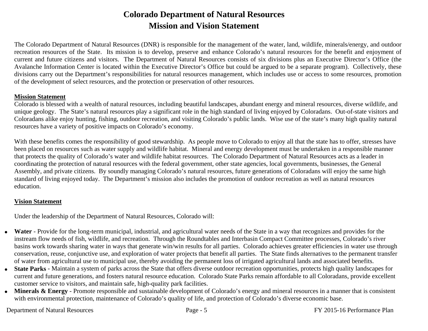### **Colorado Department of Natural Resources Mission and Vision Statement**

The Colorado Department of Natural Resources (DNR) is responsible for the management of the water, land, wildlife, minerals/energy, and outdoor recreation resources of the State. Its mission is to develop, preserve and enhance Colorado's natural resources for the benefit and enjoyment of current and future citizens and visitors. The Department of Natural Resources consists of six divisions plus an Executive Director's Office (the Avalanche Information Center is located within the Executive Director's Office but could be argued to be a separate program). Collectively, these divisions carry out the Department's responsibilities for natural resources management, which includes use or access to some resources, promotion of the development of select resources, and the protection or preservation of other resources.

#### **Mission Statement**

Colorado is blessed with a wealth of natural resources, including beautiful landscapes, abundant energy and mineral resources, diverse wildlife, and unique geology. The State's natural resources play a significant role in the high standard of living enjoyed by Coloradans. Out-of-state visitors and Coloradans alike enjoy hunting, fishing, outdoor recreation, and visiting Colorado's public lands. Wise use of the state's many high quality natural resources have a variety of positive impacts on Colorado's economy.

With these benefits comes the responsibility of good stewardship. As people move to Colorado to enjoy all that the state has to offer, stresses have been placed on resources such as water supply and wildlife habitat. Mineral and energy development must be undertaken in a responsible manner that protects the quality of Colorado's water and wildlife habitat resources. The Colorado Department of Natural Resources acts as a leader in coordinating the protection of natural resources with the federal government, other state agencies, local governments, businesses, the General Assembly, and private citizens. By soundly managing Colorado's natural resources, future generations of Coloradans will enjoy the same high standard of living enjoyed today. The Department's mission also includes the promotion of outdoor recreation as well as natural resources education.

#### **Vision Statement**

Under the leadership of the Department of Natural Resources, Colorado will:

- 0 **Water** - Provide for the long-term municipal, industrial, and agricultural water needs of the State in a way that recognizes and provides for the instream flow needs of fish, wildlife, and recreation. Through the Roundtables and Interbasin Compact Committee processes, Colorado's river basins work towards sharing water in ways that generate win/win results for all parties. Colorado achieves greater efficiencies in water use through conservation, reuse, conjunctive use, and exploration of water projects that benefit all parties. The State finds alternatives to the permanent transfer of water from agricultural use to municipal use, thereby avoiding the permanent loss of irrigated agricultural lands and associated benefits.
- **State Parks** Maintain a system of parks across the State that offers diverse outdoor recreation opportunities, protects high quality landscapes for current and future generations, and fosters natural resource education. Colorado State Parks remain affordable to all Coloradans, provide excellent customer service to visitors, and maintain safe, high-quality park facilities.
- **Minerals & Energy**  Promote responsible and sustainable development of Colorado's energy and mineral resources in a manner that is consistent with environmental protection, maintenance of Colorado's quality of life, and protection of Colorado's diverse economic base.

#### Department of Natural Resources Page - 5 FY 2015-16 Performance Plan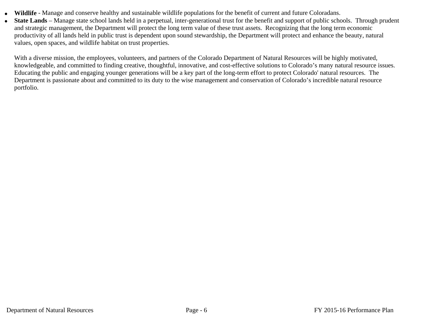- 0 **Wildlife** - Manage and conserve healthy and sustainable wildlife populations for the benefit of current and future Coloradans.
	- **State Lands**  Manage state school lands held in a perpetual, inter-generational trust for the benefit and support of public schools. Through prudent and strategic management, the Department will protect the long term value of these trust assets. Recognizing that the long term economic productivity of all lands held in public trust is dependent upon sound stewardship, the Department will protect and enhance the beauty, natural values, open spaces, and wildlife habitat on trust properties.

With a diverse mission, the employees, volunteers, and partners of the Colorado Department of Natural Resources will be highly motivated, knowledgeable, and committed to finding creative, thoughtful, innovative, and cost-effective solutions to Colorado's many natural resource issues. Educating the public and engaging younger generations will be a key part of the long-term effort to protect Colorado' natural resources. The Department is passionate about and committed to its duty to the wise management and conservation of Colorado's incredible natural resource portfolio.

0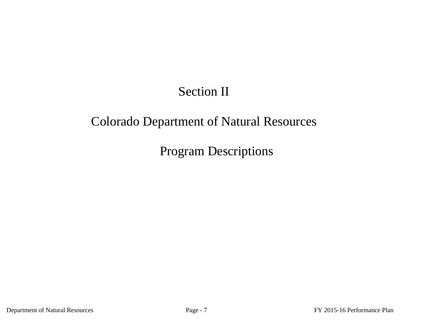## Section II

## Colorado Department of Natural Resources

Program Descriptions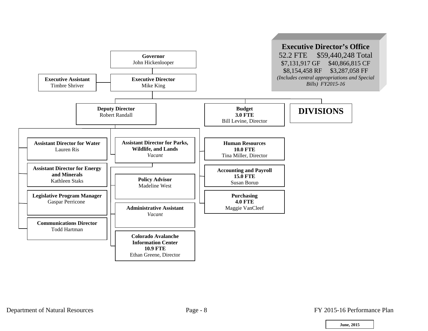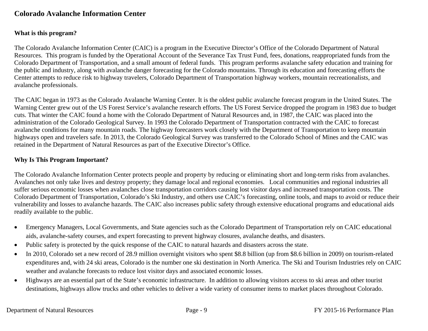#### **Colorado Avalanche Information Center**

#### **What is this program?**

The Colorado Avalanche Information Center (CAIC) is a program in the Executive Director's Office of the Colorado Department of Natural Resources. This program is funded by the Operational Account of the Severance Tax Trust Fund, fees, donations, reappropriated funds from the Colorado Department of Transportation, and a small amount of federal funds. This program performs avalanche safety education and training for the public and industry, along with avalanche danger forecasting for the Colorado mountains. Through its education and forecasting efforts the Center attempts to reduce risk to highway travelers, Colorado Department of Transportation highway workers, mountain recreationalists, and avalanche professionals.

The CAIC began in 1973 as the Colorado Avalanche Warning Center. It is the oldest public avalanche forecast program in the United States. The Warning Center grew out of the US Forest Service's avalanche research efforts. The US Forest Service dropped the program in 1983 due to budget cuts. That winter the CAIC found a home with the Colorado Department of Natural Resources and, in 1987, the CAIC was placed into the administration of the Colorado Geological Survey. In 1993 the Colorado Department of Transportation contracted with the CAIC to forecast avalanche conditions for many mountain roads. The highway forecasters work closely with the Department of Transportation to keep mountain highways open and travelers safe. In 2013, the Colorado Geological Survey was transferred to the Colorado School of Mines and the CAIC was retained in the Department of Natural Resources as part of the Executive Director's Office.

#### **Why Is This Program Important?**

The Colorado Avalanche Information Center protects people and property by reducing or eliminating short and long-term risks from avalanches. Avalanches not only take lives and destroy property; they damage local and regional economies. Local communities and regional industries all suffer serious economic losses when avalanches close transportation corridors causing lost visitor days and increased transportation costs. The Colorado Department of Transportation, Colorado's Ski Industry, and others use CAIC's forecasting, online tools, and maps to avoid or reduce their vulnerability and losses to avalanche hazards. The CAIC also increases public safety through extensive educational programs and educational aids readily available to the public.

- $\bullet$  Emergency Managers, Local Governments, and State agencies such as the Colorado Department of Transportation rely on CAIC educational aids, avalanche-safety courses, and expert forecasting to prevent highway closures, avalanche deaths, and disasters.
- $\bullet$ Public safety is protected by the quick response of the CAIC to natural hazards and disasters across the state.
- $\bullet$  In 2010, Colorado set a new record of 28.9 million overnight visitors who spent \$8.8 billion (up from \$8.6 billion in 2009) on tourism-related expenditures and, with 24 ski areas, Colorado is the number one ski destination in North America. The Ski and Tourism Industries rely on CAIC weather and avalanche forecasts to reduce lost visitor days and associated economic losses.
- $\bullet$  Highways are an essential part of the State's economic infrastructure. In addition to allowing visitors access to ski areas and other tourist destinations, highways allow trucks and other vehicles to deliver a wide variety of consumer items to market places throughout Colorado.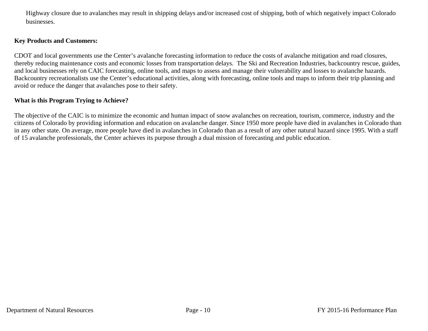Highway closure due to avalanches may result in shipping delays and/or increased cost of shipping, both of which negatively impact Colorado businesses.

#### **Key Products and Customers:**

CDOT and local governments use the Center's avalanche forecasting information to reduce the costs of avalanche mitigation and road closures, thereby reducing maintenance costs and economic losses from transportation delays. The Ski and Recreation Industries, backcountry rescue, guides, and local businesses rely on CAIC forecasting, online tools, and maps to assess and manage their vulnerability and losses to avalanche hazards. Backcountry recreationalists use the Center's educational activities, along with forecasting, online tools and maps to inform their trip planning and avoid or reduce the danger that avalanches pose to their safety.

#### **What is this Program Trying to Achieve?**

The objective of the CAIC is to minimize the economic and human impact of snow avalanches on recreation, tourism, commerce, industry and the citizens of Colorado by providing information and education on avalanche danger. Since 1950 more people have died in avalanches in Colorado than in any other state. On average, more people have died in avalanches in Colorado than as a result of any other natural hazard since 1995. With a staff of 15 avalanche professionals, the Center achieves its purpose through a dual mission of forecasting and public education.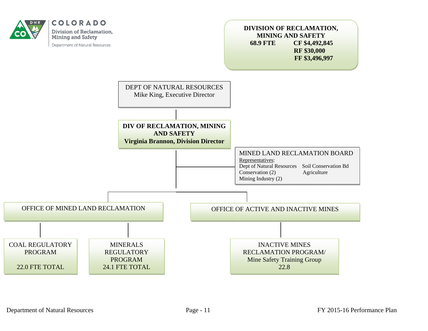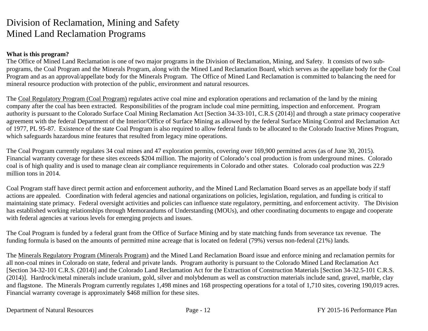## Division of Reclamation, Mining and Safety Mined Land Reclamation Programs

#### **What is this program?**

The Office of Mined Land Reclamation is one of two major programs in the Division of Reclamation, Mining, and Safety. It consists of two subprograms, the Coal Program and the Minerals Program, along with the Mined Land Reclamation Board, which serves as the appellate body for the Coal Program and as an approval/appellate body for the Minerals Program. The Office of Mined Land Reclamation is committed to balancing the need for mineral resource production with protection of the public, environment and natural resources.

The Coal Regulatory Program (Coal Program) regulates active coal mine and exploration operations and reclamation of the land by the mining company after the coal has been extracted. Responsibilities of the program include coal mine permitting, inspection and enforcement. Program authority is pursuant to the Colorado Surface Coal Mining Reclamation Act [Section 34-33-101, C.R.S (2014)] and through a state primacy cooperative agreement with the federal Department of the Interior/Office of Surface Mining as allowed by the federal Surface Mining Control and Reclamation Act of 1977, PL 95-87. Existence of the state Coal Program is also required to allow federal funds to be allocated to the Colorado Inactive Mines Program, which safeguards hazardous mine features that resulted from legacy mine operations.

The Coal Program currently regulates 34 coal mines and 47 exploration permits, covering over 169,900 permitted acres (as of June 30, 2015). Financial warranty coverage for these sites exceeds \$204 million. The majority of Colorado's coal production is from underground mines. Colorado coal is of high quality and is used to manage clean air compliance requirements in Colorado and other states. Colorado coal production was 22.9 million tons in 2014.

Coal Program staff have direct permit action and enforcement authority, and the Mined Land Reclamation Board serves as an appellate body if staff actions are appealed. Coordination with federal agencies and national organizations on policies, legislation, regulation, and funding is critical to maintaining state primacy. Federal oversight activities and policies can influence state regulatory, permitting, and enforcement activity. The Division has established working relationships through Memorandums of Understanding (MOUs), and other coordinating documents to engage and cooperate with federal agencies at various levels for emerging projects and issues.

The Coal Program is funded by a federal grant from the Office of Surface Mining and by state matching funds from severance tax revenue. The funding formula is based on the amounts of permitted mine acreage that is located on federal (79%) versus non-federal (21%) lands.

The Minerals Regulatory Program (Minerals Program) and the Mined Land Reclamation Board issue and enforce mining and reclamation permits for all non-coal mines in Colorado on state, federal and private lands. Program authority is pursuant to the Colorado Mined Land Reclamation Act [Section 34-32-101 C.R.S. (2014)] and the Colorado Land Reclamation Act for the Extraction of Construction Materials [Section 34-32.5-101 C.R.S. (2014)]. Hardrock/metal minerals include uranium, gold, silver and molybdenum as well as construction materials include sand, gravel, marble, clay and flagstone. The Minerals Program currently regulates 1,498 mines and 168 prospecting operations for a total of 1,710 sites, covering 190,019 acres. Financial warranty coverage is approximately \$468 million for these sites.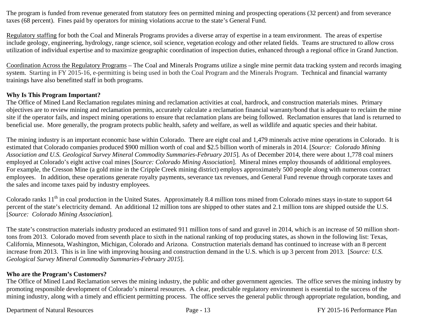The program is funded from revenue generated from statutory fees on permitted mining and prospecting operations (32 percent) and from severance taxes (68 percent). Fines paid by operators for mining violations accrue to the state's General Fund.

Regulatory staffing for both the Coal and Minerals Programs provides a diverse array of expertise in a team environment. The areas of expertise include geology, engineering, hydrology, range science, soil science, vegetation ecology and other related fields. Teams are structured to allow cross utilization of individual expertise and to maximize geographic coordination of inspection duties, enhanced through a regional office in Grand Junction.

Coordination Across the Regulatory Programs – The Coal and Minerals Programs utilize a single mine permit data tracking system and records imaging system. Starting in FY 2015-16, e-permitting is being used in both the Coal Program and the Minerals Program. Technical and financial warranty trainings have also benefitted staff in both programs.

#### **Why Is This Program Important?**

The Office of Mined Land Reclamation regulates mining and reclamation activities at coal, hardrock, and construction materials mines. Primary objectives are to review mining and reclamation permits, accurately calculate a reclamation financial warranty/bond that is adequate to reclaim the mine site if the operator fails, and inspect mining operations to ensure that reclamation plans are being followed. Reclamation ensures that land is returned to beneficial use. More generally, the program protects public health, safety and welfare, as well as wildlife and aquatic species and their habitat.

The mining industry is an important economic base within Colorado. There are eight coal and 1,479 minerals active mine operations in Colorado. It is estimated that Colorado companies produced \$900 million worth of coal and \$2.5 billion worth of minerals in 2014. [*Source: Colorado Mining Association and U.S. Geological Survey Mineral Commodity Summaries-February 2015*]*.* As of December 2014, there were about 1,778 coal miners employed at Colorado's eight active coal mines [*Source: Colorado Mining Association*]. Mineral mines employ thousands of additional employees. For example, the Cresson Mine (a gold mine in the Cripple Creek mining district) employs approximately 500 people along with numerous contract employees. In addition, these operations generate royalty payments, severance tax revenues, and General Fund revenue through corporate taxes and the sales and income taxes paid by industry employees*.* 

Colorado ranks  $11<sup>th</sup>$  in coal production in the United States. Approximately 8.4 million tons mined from Colorado mines stays in-state to support 64 percent of the state's electricity demand. An additional 12 million tons are shipped to other states and 2.1 million tons are shipped outside the U.S. [*Source: Colorado Mining Association*]*.*

The state's construction materials industry produced an estimated 911 million tons of sand and gravel in 2014, which is an increase of 50 million shorttons from 2013. Colorado moved from seventh place to sixth in the national ranking of top producing states, as shown in the following list: Texas, California, Minnesota, Washington, Michigan, Colorado and Arizona. Construction materials demand has continued to increase with an 8 percent increase from 2013. This is in line with improving housing and construction demand in the U.S. which is up 3 percent from 2013. [*Source: U.S. Geological Survey Mineral Commodity Summaries-February 2015*].

#### **Who are the Program's Customers?**

The Office of Mined Land Reclamation serves the mining industry, the public and other government agencies. The office serves the mining industry by promoting responsible development of Colorado's mineral resources. A clear, predictable regulatory environment is essential to the success of the mining industry, along with a timely and efficient permitting process. The office serves the general public through appropriate regulation, bonding, and

Department of Natural Resources Page - 13 FY 2015-16 Performance Plan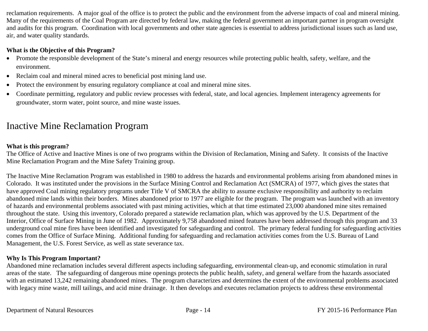reclamation requirements. A major goal of the office is to protect the public and the environment from the adverse impacts of coal and mineral mining. Many of the requirements of the Coal Program are directed by federal law, making the federal government an important partner in program oversight and audits for this program. Coordination with local governments and other state agencies is essential to address jurisdictional issues such as land use, air, and water quality standards.

#### **What is the Objective of this Program?**

- Promote the responsible development of the State's mineral and energy resources while protecting public health, safety, welfare, and the environment.
- Reclaim coal and mineral mined acres to beneficial post mining land use.
- $\bullet$ Protect the environment by ensuring regulatory compliance at coal and mineral mine sites.
- $\bullet$  Coordinate permitting, regulatory and public review processes with federal, state, and local agencies. Implement interagency agreements for groundwater, storm water, point source, and mine waste issues.

## Inactive Mine Reclamation Program

#### **What is this program?**

The Office of Active and Inactive Mines is one of two programs within the Division of Reclamation, Mining and Safety. It consists of the Inactive Mine Reclamation Program and the Mine Safety Training group.

The Inactive Mine Reclamation Program was established in 1980 to address the hazards and environmental problems arising from abandoned mines in Colorado. It was instituted under the provisions in the Surface Mining Control and Reclamation Act (SMCRA) of 1977, which gives the states that have approved Coal mining regulatory programs under Title V of SMCRA the ability to assume exclusive responsibility and authority to reclaim abandoned mine lands within their borders. Mines abandoned prior to 1977 are eligible for the program. The program was launched with an inventory of hazards and environmental problems associated with past mining activities, which at that time estimated 23,000 abandoned mine sites remained throughout the state. Using this inventory, Colorado prepared a statewide reclamation plan, which was approved by the U.S. Department of the Interior, Office of Surface Mining in June of 1982. Approximately 9,758 abandoned mined features have been addressed through this program and 33 underground coal mine fires have been identified and investigated for safeguarding and control. The primary federal funding for safeguarding activities comes from the Office of Surface Mining. Additional funding for safeguarding and reclamation activities comes from the U.S. Bureau of Land Management, the U.S. Forest Service, as well as state severance tax.

#### **Why Is This Program Important?**

Abandoned mine reclamation includes several different aspects including safeguarding, environmental clean-up, and economic stimulation in rural areas of the state. The safeguarding of dangerous mine openings protects the public health, safety, and general welfare from the hazards associated with an estimated 13,242 remaining abandoned mines. The program characterizes and determines the extent of the environmental problems associated with legacy mine waste, mill tailings, and acid mine drainage. It then develops and executes reclamation projects to address these environmental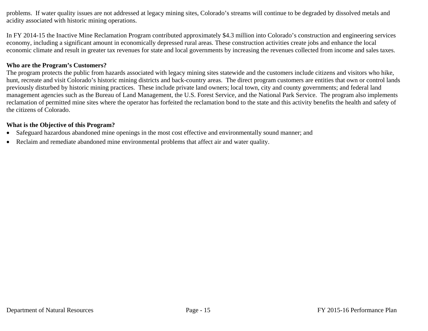problems. If water quality issues are not addressed at legacy mining sites, Colorado's streams will continue to be degraded by dissolved metals and acidity associated with historic mining operations.

In FY 2014-15 the Inactive Mine Reclamation Program contributed approximately \$4.3 million into Colorado's construction and engineering services economy, including a significant amount in economically depressed rural areas. These construction activities create jobs and enhance the local economic climate and result in greater tax revenues for state and local governments by increasing the revenues collected from income and sales taxes.

#### **Who are the Program's Customers?**

The program protects the public from hazards associated with legacy mining sites statewide and the customers include citizens and visitors who hike, hunt, recreate and visit Colorado's historic mining districts and back-country areas. The direct program customers are entities that own or control lands previously disturbed by historic mining practices. These include private land owners; local town, city and county governments; and federal land management agencies such as the Bureau of Land Management, the U.S. Forest Service, and the National Park Service. The program also implements reclamation of permitted mine sites where the operator has forfeited the reclamation bond to the state and this activity benefits the health and safety of the citizens of Colorado.

#### **What is the Objective of this Program?**

- $\bullet$ Safeguard hazardous abandoned mine openings in the most cost effective and environmentally sound manner; and
- Reclaim and remediate abandoned mine environmental problems that affect air and water quality.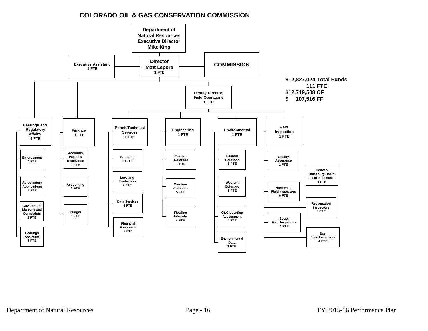#### **COLORADO OIL & GAS CONSERVATION COMMISSION**

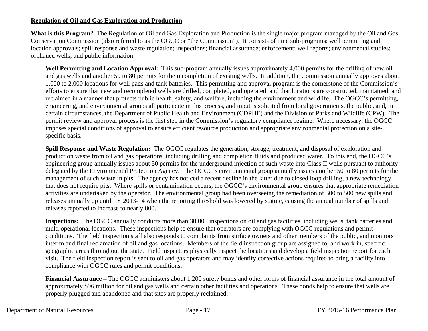#### **Regulation of Oil and Gas Exploration and Production**

**What is this Program?** The Regulation of Oil and Gas Exploration and Production is the single major program managed by the Oil and Gas Conservation Commission (also referred to as the OGCC or "the Commission"). It consists of nine sub-programs: well permitting and location approvals; spill response and waste regulation; inspections; financial assurance; enforcement; well reports; environmental studies; orphaned wells; and public information.

**Well Permitting and Location Approval:** This sub-program annually issues approximately 4,000 permits for the drilling of new oil and gas wells and another 50 to 80 permits for the recompletion of existing wells. In addition, the Commission annually approves about 1,000 to 2,000 locations for well pads and tank batteries. This permitting and approval program is the cornerstone of the Commission's efforts to ensure that new and recompleted wells are drilled, completed, and operated, and that locations are constructed, maintained, and reclaimed in a manner that protects public health, safety, and welfare, including the environment and wildlife. The OGCC's permitting, engineering, and environmental groups all participate in this process, and input is solicited from local governments, the public, and, in certain circumstances, the Department of Public Health and Environment (CDPHE) and the Division of Parks and Wildlife (CPW). The permit review and approval process is the first step in the Commission's regulatory compliance regime. Where necessary, the OGCC imposes special conditions of approval to ensure efficient resource production and appropriate environmental protection on a sitespecific basis.

**Spill Response and Waste Regulation:** The OGCC regulates the generation, storage, treatment, and disposal of exploration and production waste from oil and gas operations, including drilling and completion fluids and produced water. To this end, the OGCC's engineering group annually issues about 50 permits for the underground injection of such waste into Class II wells pursuant to authority delegated by the Environmental Protection Agency. The OGCC's environmental group annually issues another 50 to 80 permits for the management of such waste in pits. The agency has noticed a recent decline in the latter due to closed loop drilling, a new technology that does not require pits. Where spills or contamination occurs, the OGCC's environmental group ensures that appropriate remediation activities are undertaken by the operator. The environmental group had been overseeing the remediation of 300 to 500 new spills and releases annually up until FY 2013-14 when the reporting threshold was lowered by statute, causing the annual number of spills and releases reported to increase to nearly 800.

**Inspections:** The OGCC annually conducts more than 30,000 inspections on oil and gas facilities, including wells, tank batteries and multi operational locations. These inspections help to ensure that operators are complying with OGCC regulations and permit conditions. The field inspection staff also responds to complaints from surface owners and other members of the public, and monitors interim and final reclamation of oil and gas locations. Members of the field inspection group are assigned to, and work in, specific geographic areas throughout the state. Field inspectors physically inspect the locations and develop a field inspection report for each visit. The field inspection report is sent to oil and gas operators and may identify corrective actions required to bring a facility into compliance with OGCC rules and permit conditions.

**Financial Assurance –** The OGCC administers about 1,200 surety bonds and other forms of financial assurance in the total amount of approximately \$96 million for oil and gas wells and certain other facilities and operations. These bonds help to ensure that wells are properly plugged and abandoned and that sites are properly reclaimed.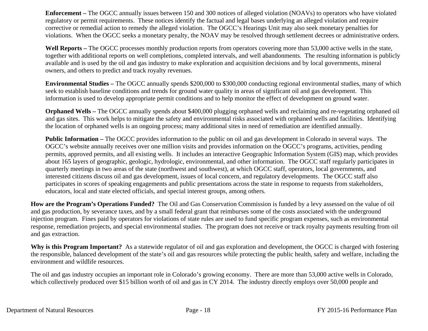**Enforcement –** The OGCC annually issues between 150 and 300 notices of alleged violation (NOAVs) to operators who have violated regulatory or permit requirements. These notices identify the factual and legal bases underlying an alleged violation and require corrective or remedial action to remedy the alleged violation. The OGCC's Hearings Unit may also seek monetary penalties for violations. When the OGCC seeks a monetary penalty, the NOAV may be resolved through settlement decrees or administrative orders.

**Well Reports –** The OGCC processes monthly production reports from operators covering more than 53,000 active wells in the state, together with additional reports on well completions, completed intervals, and well abandonments. The resulting information is publicly available and is used by the oil and gas industry to make exploration and acquisition decisions and by local governments, mineral owners, and others to predict and track royalty revenues.

**Environmental Studies –** The OGCC annually spends \$200,000 to \$300,000 conducting regional environmental studies, many of which seek to establish baseline conditions and trends for ground water quality in areas of significant oil and gas development. This information is used to develop appropriate permit conditions and to help monitor the effect of development on ground water.

**Orphaned Wells –** The OGCC annually spends about \$400,000 plugging orphaned wells and reclaiming and re-vegetating orphaned oil and gas sites. This work helps to mitigate the safety and environmental risks associated with orphaned wells and facilities. Identifying the location of orphaned wells is an ongoing process; many additional sites in need of remediation are identified annually.

**Public Information –** The OGCC provides information to the public on oil and gas development in Colorado in several ways. The OGCC's website annually receives over one million visits and provides information on the OGCC's programs, activities, pending permits, approved permits, and all existing wells. It includes an interactive Geographic Information System (GIS) map, which provides about 165 layers of geographic, geologic, hydrologic, environmental, and other information. The OGCC staff regularly participates in quarterly meetings in two areas of the state (northwest and southwest), at which OGCC staff, operators, local governments, and interested citizens discuss oil and gas development, issues of local concern, and regulatory developments. The OGCC staff also participates in scores of speaking engagements and public presentations across the state in response to requests from stakeholders, educators, local and state elected officials, and special interest groups, among others.

**How are the Program's Operations Funded?** The Oil and Gas Conservation Commission is funded by a levy assessed on the value of oil and gas production, by severance taxes, and by a small federal grant that reimburses some of the costs associated with the underground injection program. Fines paid by operators for violations of state rules are used to fund specific program expenses, such as environmental response, remediation projects, and special environmental studies. The program does not receive or track royalty payments resulting from oil and gas extraction.

**Why is this Program Important?** As a statewide regulator of oil and gas exploration and development, the OGCC is charged with fostering the responsible, balanced development of the state's oil and gas resources while protecting the public health, safety and welfare, including the environment and wildlife resources.

The oil and gas industry occupies an important role in Colorado's growing economy. There are more than 53,000 active wells in Colorado, which collectively produced over \$15 billion worth of oil and gas in CY 2014. The industry directly employs over 50,000 people and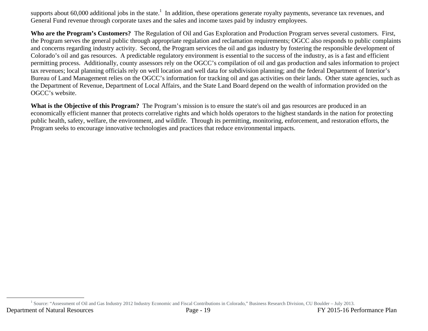supports about 60,000 additional jobs in the state.<sup>1</sup> In addition, these operations generate royalty payments, severance tax revenues, and General Fund revenue through corporate taxes and the sales and income taxes paid by industry employees.

**Who are the Program's Customers?** The Regulation of Oil and Gas Exploration and Production Program serves several customers. First, the Program serves the general public through appropriate regulation and reclamation requirements; OGCC also responds to public complaints and concerns regarding industry activity. Second, the Program services the oil and gas industry by fostering the responsible development of Colorado's oil and gas resources. A predictable regulatory environment is essential to the success of the industry, as is a fast and efficient permitting process. Additionally, county assessors rely on the OGCC's compilation of oil and gas production and sales information to project tax revenues; local planning officials rely on well location and well data for subdivision planning; and the federal Department of Interior's Bureau of Land Management relies on the OGCC's information for tracking oil and gas activities on their lands. Other state agencies, such as the Department of Revenue, Department of Local Affairs, and the State Land Board depend on the wealth of information provided on the OGCC's website.

**What is the Objective of this Program?** The Program's mission is to ensure the state's oil and gas resources are produced in an economically efficient manner that protects correlative rights and which holds operators to the highest standards in the nation for protecting public health, safety, welfare, the environment, and wildlife. Through its permitting, monitoring, enforcement, and restoration efforts, the Program seeks to encourage innovative technologies and practices that reduce environmental impacts.

Department of Natural Resources Page - 19 FY 2015-16 Performance Plan <sup>1</sup> Source: "Assessment of Oil and Gas Industry 2012 Industry Economic and Fiscal Contributions in Colorado," Business Research Division, CU Boulder – July 2013.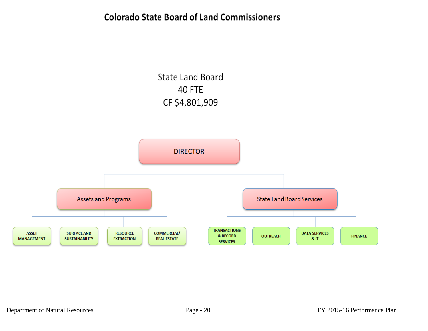## **Colorado State Board of Land Commissioners**

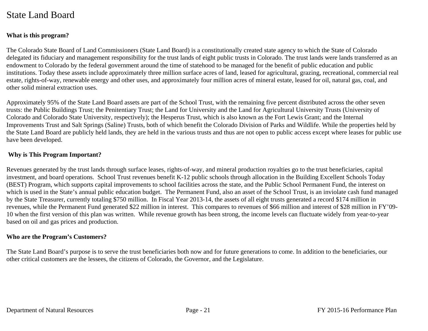## State Land Board

#### **What is this program?**

The Colorado State Board of Land Commissioners (State Land Board) is a constitutionally created state agency to which the State of Colorado delegated its fiduciary and management responsibility for the trust lands of eight public trusts in Colorado. The trust lands were lands transferred as an endowment to Colorado by the federal government around the time of statehood to be managed for the benefit of public education and public institutions. Today these assets include approximately three million surface acres of land, leased for agricultural, grazing, recreational, commercial real estate, rights-of-way, renewable energy and other uses, and approximately four million acres of mineral estate, leased for oil, natural gas, coal, and other solid mineral extraction uses.

Approximately 95% of the State Land Board assets are part of the School Trust, with the remaining five percent distributed across the other seven trusts: the Public Buildings Trust; the Penitentiary Trust; the Land for University and the Land for Agricultural University Trusts (University of Colorado and Colorado State University, respectively); the Hesperus Trust, which is also known as the Fort Lewis Grant; and the Internal Improvements Trust and Salt Springs (Saline) Trusts, both of which benefit the Colorado Division of Parks and Wildlife. While the properties held by the State Land Board are publicly held lands, they are held in the various trusts and thus are not open to public access except where leases for public use have been developed.

#### **Why is This Program Important?**

Revenues generated by the trust lands through surface leases, rights-of-way, and mineral production royalties go to the trust beneficiaries, capital investment, and board operations. School Trust revenues benefit K-12 public schools through allocation in the Building Excellent Schools Today (BEST) Program, which supports capital improvements to school facilities across the state, and the Public School Permanent Fund, the interest on which is used in the State's annual public education budget. The Permanent Fund, also an asset of the School Trust, is an inviolate cash fund managed by the State Treasurer, currently totaling \$750 million. In Fiscal Year 2013-14, the assets of all eight trusts generated a record \$174 million in revenues, while the Permanent Fund generated \$22 million in interest. This compares to revenues of \$66 million and interest of \$28 million in FY'09- 10 when the first version of this plan was written. While revenue growth has been strong, the income levels can fluctuate widely from year-to-year based on oil and gas prices and production.

#### **Who are the Program's Customers?**

The State Land Board's purpose is to serve the trust beneficiaries both now and for future generations to come. In addition to the beneficiaries, our other critical customers are the lessees, the citizens of Colorado, the Governor, and the Legislature.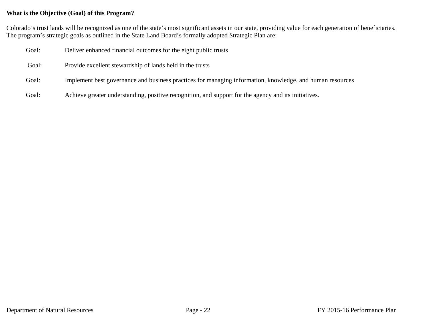#### **What is the Objective (Goal) of this Program?**

Colorado's trust lands will be recognized as one of the state's most significant assets in our state, providing value for each generation of beneficiaries. The program's strategic goals as outlined in the State Land Board's formally adopted Strategic Plan are:

| Goal: | Deliver enhanced financial outcomes for the eight public trusts                                           |
|-------|-----------------------------------------------------------------------------------------------------------|
| Goal: | Provide excellent stewardship of lands held in the trusts                                                 |
| Goal: | Implement best governance and business practices for managing information, knowledge, and human resources |
| Goal: | Achieve greater understanding, positive recognition, and support for the agency and its initiatives.      |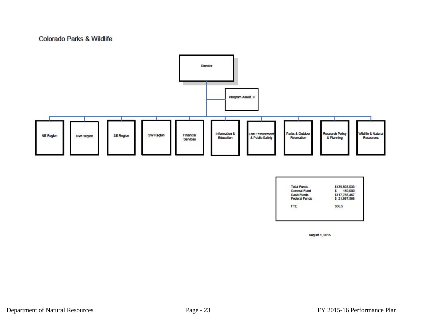#### **Colorado Parks & Wildlife**



| <b>Total Funds</b>   | \$139,803,033 |
|----------------------|---------------|
| General Fund         | 150,000       |
| <b>Cash Funds</b>    | \$117,785,467 |
| <b>Federal Funds</b> | \$21,867,566  |
| <b>FTE</b>           | 886.5         |

**August 1, 2015**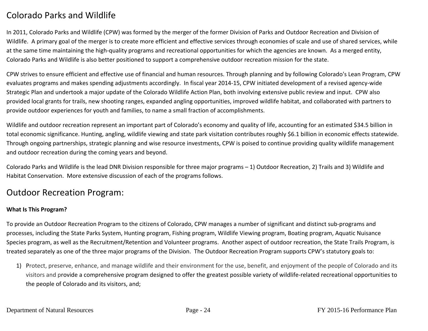## Colorado Parks and Wildlife

In 2011, Colorado Parks and Wildlife (CPW) was formed by the merger of the former Division of Parks and Outdoor Recreation and Division of Wildlife. A primary goal of the merger is to create more efficient and effective services through economies of scale and use of shared services, while at the same time maintaining the high‐quality programs and recreational opportunities for which the agencies are known. As <sup>a</sup> merged entity, Colorado Parks and Wildlife is also better positioned to support <sup>a</sup> comprehensive outdoor recreation mission for the state.

CPW strives to ensure efficient and effective use of financial and human resources. Through planning and by following Colorado's Lean Program, CPW evaluates programs and makes spending adjustments accordingly. In fiscal year 2014‐15, CPW initiated development of <sup>a</sup> revised agency‐wide Strategic Plan and undertook <sup>a</sup> major update of the Colorado Wildlife Action Plan, both involving extensive public review and input. CPW also provided local grants for trails, new shooting ranges, expanded angling opportunities, improved wildlife habitat, and collaborated with partners to provide outdoor experiences for youth and families, to name <sup>a</sup> small fraction of accomplishments.

Wildlife and outdoor recreation represent an important part of Colorado's economy and quality of life, accounting for an estimated \$34.5 billion in total economic significance. Hunting, angling, wildlife viewing and state park visitation contributes roughly \$6.1 billion in economic effects statewide. Through ongoing partnerships, strategic planning and wise resource investments, CPW is poised to continue providing quality wildlife management and outdoor recreation during the coming years and beyond.

Colorado Parks and Wildlife is the lead DNR Division responsible for three major programs – 1) Outdoor Recreation, 2) Trails and 3) Wildlife and Habitat Conservation. More extensive discussion of each of the programs follows.

### Outdoor Recreation Program:

#### **What Is This Program?**

To provide an Outdoor Recreation Program to the citizens of Colorado, CPW manages <sup>a</sup> number of significant and distinct sub‐programs and processes, including the State Parks System, Hunting program, Fishing program, Wildlife Viewing program, Boating program, Aquatic Nuisance Species program, as well as the Recruitment/Retention and Volunteer programs. Another aspect of outdoor recreation, the State Trails Program, is treated separately as one of the three major programs of the Division. The Outdoor Recreation Program supports CPW's statutory goals to:

1) Protect, preserve, enhance, and manage wildlife and their environment for the use, benefit, and enjoyment of the people of Colorado and its visitors and provide <sup>a</sup> comprehensive program designed to offer the greatest possible variety of wildlife‐related recreational opportunities to the people of Colorado and its visitors, and;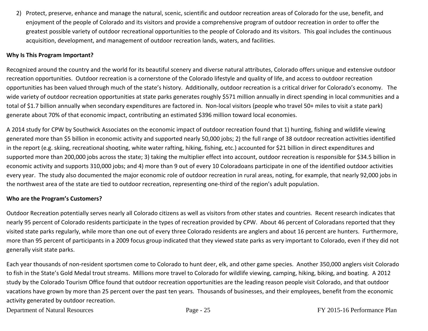2) Protect, preserve, enhance and manage the natural, scenic, scientific and outdoor recreation areas of Colorado for the use, benefit, and enjoyment of the people of Colorado and its visitors and provide <sup>a</sup> comprehensive program of outdoor recreation in order to offer the greatest possible variety of outdoor recreational opportunities to the people of Colorado and its visitors. This goal includes the continuous acquisition, development, and management of outdoor recreation lands, waters, and facilities.

#### **Why Is This Program Important?**

Recognized around the country and the world for its beautiful scenery and diverse natural attributes, Colorado offers unique and extensive outdoor recreation opportunities. Outdoor recreation is <sup>a</sup> cornerstone of the Colorado lifestyle and quality of life, and access to outdoor recreation opportunities has been valued through much of the state's history. Additionally, outdoor recreation is <sup>a</sup> critical driver for Colorado's economy. The wide variety of outdoor recreation opportunities at state parks generates roughly \$571 million annually in direct spending in local communities and <sup>a</sup> total of \$1.7 billion annually when secondary expenditures are factored in. Non‐local visitors (people who travel 50+ miles to visit <sup>a</sup> state park) generate about 70% of that economic impact, contributing an estimated \$396 million toward local economies.

A 2014 study for CPW by Southwick Associates on the economic impact of outdoor recreation found that 1) hunting, fishing and wildlife viewing generated more than \$5 billion in economic activity and supported nearly 50,000 jobs; 2) the full range of 38 outdoor recreation activities identified in the report (e.g. skiing, recreational shooting, white water rafting, hiking, fishing, etc.) accounted for \$21 billion in direct expenditures and supported more than 200,000 jobs across the state; 3) taking the multiplier effect into account, outdoor recreation is responsible for \$34.5 billion in economic activity and supports 310,000 jobs; and 4) more than 9 out of every 10 Coloradoans participate in one of the identified outdoor activities every year. The study also documented the major economic role of outdoor recreation in rural areas, noting, for example, that nearly 92,000 jobs in the northwest area of the state are tied to outdoor recreation, representing one‐third of the region's adult population.

#### **Who are the Program's Customers?**

Outdoor Recreation potentially serves nearly all Colorado citizens as well as visitors from other states and countries. Recent research indicates that nearly 95 percent of Colorado residents participate in the types of recreation provided by CPW. About 46 percent of Coloradans reported that they visited state parks regularly, while more than one out of every three Colorado residents are anglers and about 16 percent are hunters. Furthermore, more than 95 percent of participants in <sup>a</sup> 2009 focus group indicated that they viewed state parks as very important to Colorado, even if they did not generally visit state parks.

Each year thousands of non‐resident sportsmen come to Colorado to hunt deer, elk, and other game species. Another 350,000 anglers visit Colorado to fish in the State's Gold Medal trout streams. Millions more travel to Colorado for wildlife viewing, camping, hiking, biking, and boating. A 2012 study by the Colorado Tourism Office found that outdoor recreation opportunities are the leading reason people visit Colorado, and that outdoor vacations have grown by more than 25 percent over the past ten years. Thousands of businesses, and their employees, benefit from the economic activity generated by outdoor recreation.

Department of Natural Resources Page - 25 FY 2015-16 Performance Plan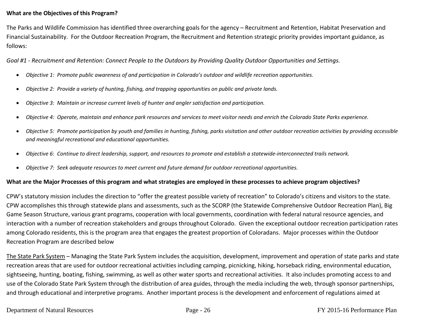#### **What are the Objectives of this Program?**

The Parks and Wildlife Commission has identified three overarching goals for the agency – Recruitment and Retention, Habitat Preservation and Financial Sustainability. For the Outdoor Recreation Program, the Recruitment and Retention strategic priority provides important guidance, as follows:

Goal #1 - Recruitment and Retention: Connect People to the Outdoors by Providing Quality Outdoor Opportunities and Settings.

- $\bullet$ *Objective 1: Promote public awareness of and participation in Colorado's outdoor and wildlife recreation opportunities.*
- 0 *Objective 2: Provide a variety of hunting, fishing, and trapping opportunities on public and private lands.*
- 0 *Objective 3: Maintain or increase current levels of hunter and angler satisfaction and participation.*
- $\bullet$ Objective 4: Operate, maintain and enhance park resources and services to meet visitor needs and enrich the Colorado State Parks experience.
- $\bullet$ Objective 5: Promote participation by youth and families in hunting, fishing, parks visitation and other outdoor recreation activities by providing accessible *and meaningful recreational and educational opportunities.*
- $\bullet$  $\bullet$  Objective 6: Continue to direct leadership, support, and resources to promote and establish a statewide-interconnected trails network.
- $\bullet$ *Objective 7: Seek adequate resources to meet current and future demand for outdoor recreational opportunities.*

#### What are the Major Processes of this program and what strategies are employed in these processes to achieve program objectives?

CPW's statutory mission includes the direction to "offer the greatest possible variety of recreation" to Colorado's citizens and visitors to the state. CPW accomplishes this through statewide plans and assessments, such as the SCORP (the Statewide Comprehensive Outdoor Recreation Plan), Big Game Season Structure, various grant programs, cooperation with local governments, coordination with federal natural resource agencies, and interaction with <sup>a</sup> number of recreation stakeholders and groups throughout Colorado. Given the exceptional outdoor recreation participation rates among Colorado residents, this is the program area that engages the greatest proportion of Coloradans. Major processes within the Outdoor Recreation Program are described below

The State Park System – Managing the State Park System includes the acquisition, development, improvement and operation of state parks and state recreation areas that are used for outdoor recreational activities including camping, picnicking, hiking, horseback riding, environmental education, sightseeing, hunting, boating, fishing, swimming, as well as other water sports and recreational activities. It also includes promoting access to and use of the Colorado State Park System through the distribution of area guides, through the media including the web, through sponsor partnerships, and through educational and interpretive programs. Another important process is the development and enforcement of regulations aimed at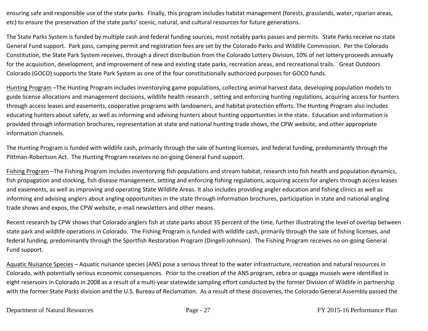ensuring safe and responsible use of the state parks. Finally, this program includes habitat management (forests, grasslands, water, riparian areas, etc) to ensure the preservation of the state parks' scenic, natural, and cultural resources for future generations.

The State Parks System is funded by multiple cash and federal funding sources, most notably parks passes and permits. State Parks receive no state General Fund support. Park pass, camping permit and registration fees are set by the Colorado Parks and Wildlife Commission. Per the Colorado Constitution, the State Park System receives, through <sup>a</sup> direct distribution from the Colorado Lottery Division, 10% of net lottery proceeds annually for the acquisition, development, and improvement of new and existing state parks, recreation areas, and recreational trails. Great Outdoors Colorado (GOCO) supports the State Park System as one of the four constitutionally authorized purposes for GOCO funds.

Hunting Program –The Hunting Program includes inventorying game populations, collecting animal harvest data, developing population models to guide license allocations and management decisions, wildlife health research , setting and enforcing hunting regulations, acquiring access for hunters through access leases and easements, cooperative programs with landowners, and habitat protection efforts. The Hunting Program also includes educating hunters about safety, as well as informing and advising hunters about hunting opportunities in the state. Education and information is provided through information brochures, representation at state and national hunting trade shows, the CPW website, and other appropriate information channels.

The Hunting Program is funded with wildlife cash, primarily through the sale of hunting licenses, and federal funding, predominantly through the Pittman‐Robertson Act. The Hunting Program receives no on‐going General Fund support.

Fishing Program –The Fishing Program includes inventorying fish populations and stream habitat, research into fish health and population dynamics, fish propagation and stocking, fish disease management, setting and enforcing fishing regulations, acquiring access for anglers through access leases and easements, as well as improving and operating State Wildlife Areas. It also includes providing angler education and fishing clinics as well as informing and advising anglers about angling opportunities in the state through information brochures, participation in state and national angling trade shows and expos, the CPW website, e‐mail newsletters and other means.

Recent research by CPW shows that Colorado anglers fish at state parks about 35 percent of the time, further illustrating the level of overlap between state park and wildlife operations in Colorado. The Fishing Program is funded with wildlife cash, primarily through the sale of fishing licenses, and federal funding, predominantly through the Sportfish Restoration Program (Dingell‐Johnson). The Fishing Program receives no on‐going General Fund support.

Aquatic Nuisance Species – Aquatic nuisance species (ANS) pose a serious threat to the water infrastructure, recreation and natural resources in Colorado, with potentially serious economic consequences. Prior to the creation of the ANS program, zebra or quagga mussels were identified in eight reservoirs in Colorado in 2008 as a result of a multi-year statewide sampling effort conducted by the former Division of Wildlife in partnership with the former State Parks division and the U.S. Bureau of Reclamation. As <sup>a</sup> result of these discoveries, the Colorado General Assembly passed the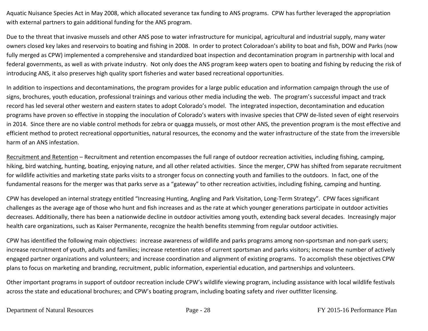Aquatic Nuisance Species Act in May 2008, which allocated severance tax funding to ANS programs. CPW has further leveraged the appropriation with external partners to gain additional funding for the ANS program.

Due to the threat that invasive mussels and other ANS pose to water infrastructure for municipal, agricultural and industrial supply, many water owners closed key lakes and reservoirs to boating and fishing in 2008. In order to protect Coloradoan's ability to boat and fish, DOW and Parks (now fully merged as CPW) implemented <sup>a</sup> comprehensive and standardized boat inspection and decontamination program in partnership with local and federal governments, as well as with private industry. Not only does the ANS program keep waters open to boating and fishing by reducing the risk of introducing ANS, it also preserves high quality sport fisheries and water based recreational opportunities.

In addition to inspections and decontaminations, the program provides for <sup>a</sup> large public education and information campaign through the use of signs, brochures, youth education, professional trainings and various other media including the web. The program's successful impact and track record has led several other western and eastern states to adopt Colorado's model. The integrated inspection, decontamination and education programs have proven so effective in stopping the inoculation of Colorado's waters with invasive species that CPW de-listed seven of eight reservoirs in 2014. Since there are no viable control methods for zebra or quagga mussels, or most other ANS, the prevention program is the most effective and efficient method to protect recreational opportunities, natural resources, the economy and the water infrastructure of the state from the irreversible harm of an ANS infestation.

Recruitment and Retention – Recruitment and retention encompasses the full range of outdoor recreation activities, including fishing, camping, hiking, bird watching, hunting, boating, enjoying nature, and all other related activities. Since the merger, CPW has shifted from separate recruitment for wildlife activities and marketing state parks visits to <sup>a</sup> stronger focus on connecting youth and families to the outdoors. In fact, one of the fundamental reasons for the merger was that parks serve as <sup>a</sup> "gateway" to other recreation activities, including fishing, camping and hunting.

CPW has developed an internal strategy entitled "Increasing Hunting, Angling and Park Visitation, Long‐Term Strategy". CPW faces significant challenges as the average age of those who hunt and fish increases and as the rate at which younger generations participate in outdoor activities decreases. Additionally, there has been <sup>a</sup> nationwide decline in outdoor activities among youth, extending back several decades. Increasingly major health care organizations, such as Kaiser Permanente, recognize the health benefits stemming from regular outdoor activities.

CPW has identified the following main objectives: increase awareness of wildlife and parks programs among non‐sportsman and non‐park users; increase recruitment of youth, adults and families; increase retention rates of current sportsman and parks visitors; increase the number of actively engaged partner organizations and volunteers; and increase coordination and alignment of existing programs. To accomplish these objectives CPW plans to focus on marketing and branding, recruitment, public information, experiential education, and partnerships and volunteers.

Other important programs in support of outdoor recreation include CPW's wildlife viewing program, including assistance with local wildlife festivals across the state and educational brochures; and CPW's boating program, including boating safety and river outfitter licensing.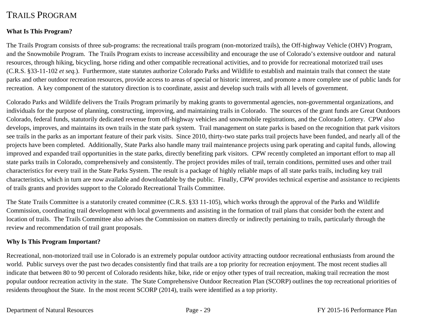## TRAILS PROGRAM

#### **What Is This Program?**

The Trails Program consists of three sub-programs: the recreational trails program (non-motorized trails), the Off-highway Vehicle (OHV) Program, and the Snowmobile Program. The Trails Program exists to increase accessibility and encourage the use of Colorado's extensive outdoor and natural resources, through hiking, bicycling, horse riding and other compatible recreational activities, and to provide for recreational motorized trail uses (C.R.S. §33-11-102 *et seq.*). Furthermore, state statutes authorize Colorado Parks and Wildlife to establish and maintain trails that connect the state parks and other outdoor recreation resources, provide access to areas of special or historic interest, and promote a more complete use of public lands for recreation. A key component of the statutory direction is to coordinate, assist and develop such trails with all levels of government.

Colorado Parks and Wildlife delivers the Trails Program primarily by making grants to governmental agencies, non-governmental organizations, and individuals for the purpose of planning, constructing, improving, and maintaining trails in Colorado. The sources of the grant funds are Great Outdoors Colorado, federal funds, statutorily dedicated revenue from off-highway vehicles and snowmobile registrations, and the Colorado Lottery. CPW also develops, improves, and maintains its own trails in the state park system. Trail management on state parks is based on the recognition that park visitors see trails in the parks as an important feature of their park visits. Since 2010, thirty-two state parks trail projects have been funded, and nearly all of the projects have been completed. Additionally, State Parks also handle many trail maintenance projects using park operating and capital funds, allowing improved and expanded trail opportunities in the state parks, directly benefiting park visitors. CPW recently completed an important effort to map all state parks trails in Colorado, comprehensively and consistently. The project provides miles of trail, terrain conditions, permitted uses and other trail characteristics for every trail in the State Parks System. The result is a package of highly reliable maps of all state parks trails, including key trail characteristics, which in turn are now available and downloadable by the public. Finally, CPW provides technical expertise and assistance to recipients of trails grants and provides support to the Colorado Recreational Trails Committee.

The State Trails Committee is a statutorily created committee (C.R.S. §33 11-105), which works through the approval of the Parks and Wildlife Commission, coordinating trail development with local governments and assisting in the formation of trail plans that consider both the extent and location of trails. The Trails Committee also advises the Commission on matters directly or indirectly pertaining to trails, particularly through the review and recommendation of trail grant proposals.

#### **Why Is This Program Important?**

Recreational, non-motorized trail use in Colorado is an extremely popular outdoor activity attracting outdoor recreational enthusiasts from around the world. Public surveys over the past two decades consistently find that trails are a top priority for recreation enjoyment. The most recent studies all indicate that between 80 to 90 percent of Colorado residents hike, bike, ride or enjoy other types of trail recreation, making trail recreation the most popular outdoor recreation activity in the state. The State Comprehensive Outdoor Recreation Plan (SCORP) outlines the top recreational priorities of residents throughout the State. In the most recent SCORP (2014), trails were identified as a top priority.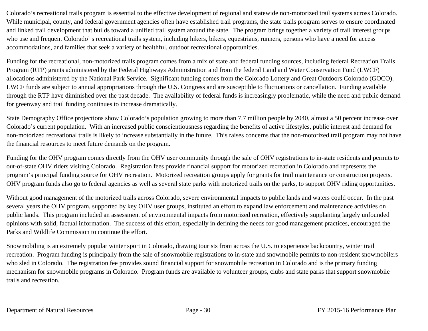Colorado's recreational trails program is essential to the effective development of regional and statewide non-motorized trail systems across Colorado. While municipal, county, and federal government agencies often have established trail programs, the state trails program serves to ensure coordinated and linked trail development that builds toward a unified trail system around the state. The program brings together a variety of trail interest groups who use and frequent Colorado' s recreational trails system, including hikers, bikers, equestrians, runners, persons who have a need for access accommodations, and families that seek a variety of healthful, outdoor recreational opportunities.

Funding for the recreational, non-motorized trails program comes from a mix of state and federal funding sources, including federal Recreation Trails Program (RTP) grants administered by the Federal Highways Administration and from the federal Land and Water Conservation Fund (LWCF) allocations administered by the National Park Service. Significant funding comes from the Colorado Lottery and Great Outdoors Colorado (GOCO). LWCF funds are subject to annual appropriations through the U.S. Congress and are susceptible to fluctuations or cancellation. Funding available through the RTP have diminished over the past decade. The availability of federal funds is increasingly problematic, while the need and public demand for greenway and trail funding continues to increase dramatically.

State Demography Office projections show Colorado's population growing to more than 7.7 million people by 2040, almost a 50 percent increase over Colorado's current population. With an increased public conscientiousness regarding the benefits of active lifestyles, public interest and demand for non-motorized recreational trails is likely to increase substantially in the future. This raises concerns that the non-motorized trail program may not have the financial resources to meet future demands on the program.

Funding for the OHV program comes directly from the OHV user community through the sale of OHV registrations to in-state residents and permits to out-of-state OHV riders visiting Colorado. Registration fees provide financial support for motorized recreation in Colorado and represents the program's principal funding source for OHV recreation. Motorized recreation groups apply for grants for trail maintenance or construction projects. OHV program funds also go to federal agencies as well as several state parks with motorized trails on the parks, to support OHV riding opportunities.

Without good management of the motorized trails across Colorado, severe environmental impacts to public lands and waters could occur. In the past several years the OHV program, supported by key OHV user groups, instituted an effort to expand law enforcement and maintenance activities on public lands. This program included an assessment of environmental impacts from motorized recreation, effectively supplanting largely unfounded opinions with solid, factual information. The success of this effort, especially in defining the needs for good management practices, encouraged the Parks and Wildlife Commission to continue the effort.

Snowmobiling is an extremely popular winter sport in Colorado, drawing tourists from across the U.S. to experience backcountry, winter trail recreation. Program funding is principally from the sale of snowmobile registrations to in-state and snowmobile permits to non-resident snowmobilers who sled in Colorado. The registration fee provides sound financial support for snowmobile recreation in Colorado and is the primary funding mechanism for snowmobile programs in Colorado. Program funds are available to volunteer groups, clubs and state parks that support snowmobile trails and recreation.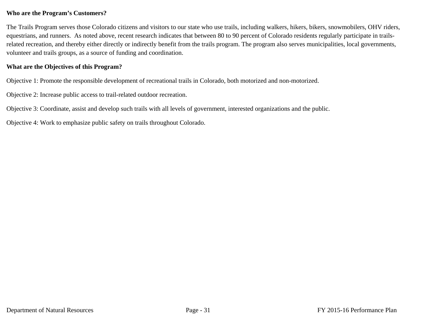#### **Who are the Program's Customers?**

The Trails Program serves those Colorado citizens and visitors to our state who use trails, including walkers, hikers, bikers, snowmobilers, OHV riders, equestrians, and runners. As noted above, recent research indicates that between 80 to 90 percent of Colorado residents regularly participate in trailsrelated recreation, and thereby either directly or indirectly benefit from the trails program. The program also serves municipalities, local governments, volunteer and trails groups, as a source of funding and coordination.

#### **What are the Objectives of this Program?**

Objective 1: Promote the responsible development of recreational trails in Colorado, both motorized and non-motorized.

Objective 2: Increase public access to trail-related outdoor recreation.

Objective 3: Coordinate, assist and develop such trails with all levels of government, interested organizations and the public.

Objective 4: Work to emphasize public safety on trails throughout Colorado.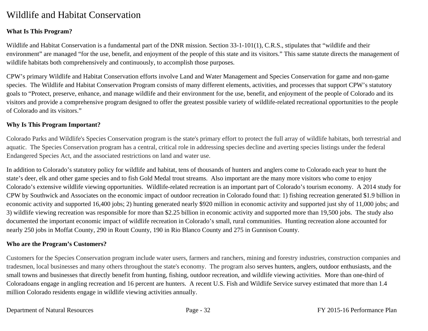## Wildlife and Habitat Conservation

#### **What Is This Program?**

Wildlife and Habitat Conservation is a fundamental part of the DNR mission. Section 33-1-101(1), C.R.S., stipulates that "wildlife and their environment" are managed "for the use, benefit, and enjoyment of the people of this state and its visitors." This same statute directs the management of wildlife habitats both comprehensively and continuously, to accomplish those purposes.

CPW's primary Wildlife and Habitat Conservation efforts involve Land and Water Management and Species Conservation for game and non-game species. The Wildlife and Habitat Conservation Program consists of many different elements, activities, and processes that support CPW's statutory goals to "Protect, preserve, enhance, and manage wildlife and their environment for the use, benefit, and enjoyment of the people of Colorado and its visitors and provide a comprehensive program designed to offer the greatest possible variety of wildlife-related recreational opportunities to the people of Colorado and its visitors."

#### **Why Is This Program Important?**

Colorado Parks and Wildlife's Species Conservation program is the state's primary effort to protect the full array of wildlife habitats, both terrestrial and aquatic. The Species Conservation program has a central, critical role in addressing species decline and averting species listings under the federal Endangered Species Act, and the associated restrictions on land and water use.

In addition to Colorado's statutory policy for wildlife and habitat, tens of thousands of hunters and anglers come to Colorado each year to hunt the state's deer, elk and other game species and to fish Gold Medal trout streams. Also important are the many more visitors who come to enjoy Colorado's extensive wildlife viewing opportunities. Wildlife-related recreation is an important part of Colorado's tourism economy. A 2014 study for CPW by Southwick and Associates on the economic impact of outdoor recreation in Colorado found that: 1) fishing recreation generated \$1.9 billion in economic activity and supported 16,400 jobs; 2) hunting generated nearly \$920 million in economic activity and supported just shy of 11,000 jobs; and 3) wildlife viewing recreation was responsible for more than \$2.25 billion in economic activity and supported more than 19,500 jobs. The study also documented the important economic impact of wildlife recreation in Colorado's small, rural communities. Hunting recreation alone accounted for nearly 250 jobs in Moffat County, 290 in Routt County, 190 in Rio Blanco County and 275 in Gunnison County.

#### **Who are the Program's Customers?**

Customers for the Species Conservation program include water users, farmers and ranchers, mining and forestry industries, construction companies and tradesmen, local businesses and many others throughout the state's economy. The program also serves hunters, anglers, outdoor enthusiasts, and the small towns and businesses that directly benefit from hunting, fishing, outdoor recreation, and wildlife viewing activities. More than one-third of Coloradoans engage in angling recreation and 16 percent are hunters. A recent U.S. Fish and Wildlife Service survey estimated that more than 1.4 million Colorado residents engage in wildlife viewing activities annually.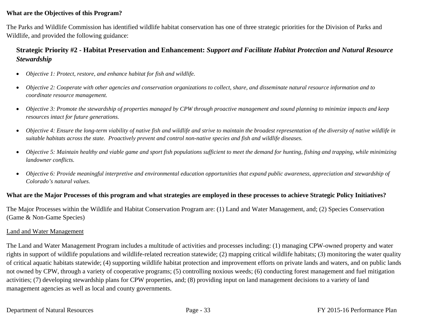# **What are the Objectives of this Program?**

The Parks and Wildlife Commission has identified wildlife habitat conservation has one of three strategic priorities for the Division of Parks and Wildlife, and provided the following guidance:

# **Strategic Priority #2 - Habitat Preservation and Enhancement:** *Support and Facilitate Habitat Protection and Natural Resource Stewardship*

- $\bullet$ *Objective 1: Protect, restore, and enhance habitat for fish and wildlife.*
- $\bullet$  *Objective 2: Cooperate with other agencies and conservation organizations to collect, share, and disseminate natural resource information and to coordinate resource management.*
- $\bullet$  *Objective 3: Promote the stewardship of properties managed by CPW through proactive management and sound planning to minimize impacts and keep resources intact for future generations.*
- $\bullet$  *Objective 4: Ensure the long-term viability of native fish and wildlife and strive to maintain the broadest representation of the diversity of native wildlife in suitable habitats across the state. Proactively prevent and control non-native species and fish and wildlife diseases.*
- $\bullet$  *Objective 5: Maintain healthy and viable game and sport fish populations sufficient to meet the demand for hunting, fishing and trapping, while minimizing landowner conflicts.*
- $\bullet$  *Objective 6: Provide meaningful interpretive and environmental education opportunities that expand public awareness, appreciation and stewardship of Colorado's natural values.*

# **What are the Major Processes of this program and what strategies are employed in these processes to achieve Strategic Policy Initiatives?**

The Major Processes within the Wildlife and Habitat Conservation Program are: (1) Land and Water Management, and; (2) Species Conservation (Game & Non-Game Species)

#### Land and Water Management

The Land and Water Management Program includes a multitude of activities and processes including: (1) managing CPW-owned property and water rights in support of wildlife populations and wildlife-related recreation statewide; (2) mapping critical wildlife habitats; (3) monitoring the water quality of critical aquatic habitats statewide; (4) supporting wildlife habitat protection and improvement efforts on private lands and waters, and on public lands not owned by CPW, through a variety of cooperative programs; (5) controlling noxious weeds; (6) conducting forest management and fuel mitigation activities; (7) developing stewardship plans for CPW properties, and; (8) providing input on land management decisions to a variety of land management agencies as well as local and county governments.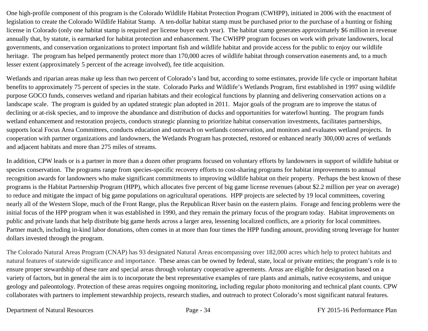One high-profile component of this program is the Colorado Wildlife Habitat Protection Program (CWHPP), initiated in 2006 with the enactment of legislation to create the Colorado Wildlife Habitat Stamp. A ten-dollar habitat stamp must be purchased prior to the purchase of a hunting or fishing license in Colorado (only one habitat stamp is required per license buyer each year). The habitat stamp generates approximately \$6 million in revenue annually that, by statute, is earmarked for habitat protection and enhancement. The CWHPP program focuses on work with private landowners, local governments, and conservation organizations to protect important fish and wildlife habitat and provide access for the public to enjoy our wildlife heritage. The program has helped permanently protect more than 170,000 acres of wildlife habitat through conservation easements and, to a much lesser extent (approximately 5 percent of the acreage involved), fee title acquisition.

Wetlands and riparian areas make up less than two percent of Colorado's land but, according to some estimates, provide life cycle or important habitat benefits to approximately 75 percent of species in the state. Colorado Parks and Wildlife's Wetlands Program, first established in 1997 using wildlife purpose GOCO funds, conserves wetland and riparian habitats and their ecological functions by planning and delivering conservation actions on a landscape scale. The program is guided by an updated strategic plan adopted in 2011. Major goals of the program are to improve the status of declining or at-risk species, and to improve the abundance and distribution of ducks and opportunities for waterfowl hunting. The program funds wetland enhancement and restoration projects, conducts strategic planning to prioritize habitat conservation investments, facilitates partnerships, supports local Focus Area Committees, conducts education and outreach on wetlands conservation, and monitors and evaluates wetland projects. In cooperation with partner organizations and landowners, the Wetlands Program has protected, restored or enhanced nearly 300,000 acres of wetlands and adjacent habitats and more than 275 miles of streams.

In addition, CPW leads or is a partner in more than a dozen other programs focused on voluntary efforts by landowners in support of wildlife habitat or species conservation. The programs range from species-specific recovery efforts to cost-sharing programs for habitat improvements to annual recognition awards for landowners who make significant commitments to improving wildlife habitat on their property. Perhaps the best known of these programs is the Habitat Partnership Program (HPP), which allocates five percent of big game license revenues (about \$2.2 million per year on average) to reduce and mitigate the impact of big game populations on agricultural operations. HPP projects are selected by 19 local committees, covering nearly all of the Western Slope, much of the Front Range, plus the Republican River basin on the eastern plains. Forage and fencing problems were the initial focus of the HPP program when it was established in 1990, and they remain the primary focus of the program today. Habitat improvements on public and private lands that help distribute big game herds across a larger area, lessening localized conflicts, are a priority for local committees. Partner match, including in-kind labor donations, often comes in at more than four times the HPP funding amount, providing strong leverage for hunter dollars invested through the program.

The Colorado Natural Areas Program (CNAP) has 93 designated Natural Areas encompassing over 182,000 acres which help to protect habitats and natural features of statewide significance and importance. These areas can be owned by federal, state, local or private entities; the program's role is to ensure proper stewardship of these rare and special areas through voluntary cooperative agreements. Areas are eligible for designation based on a variety of factors, but in general the aim is to incorporate the best representative examples of rare plants and animals, native ecosystems, and unique geology and paleontology. Protection of these areas requires ongoing monitoring, including regular photo monitoring and technical plant counts. CPW collaborates with partners to implement stewardship projects, research studies, and outreach to protect Colorado's most significant natural features.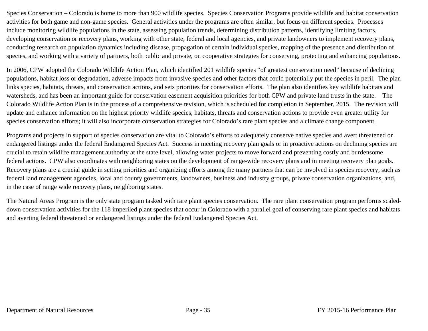Species Conservation – Colorado is home to more than 900 wildlife species. Species Conservation Programs provide wildlife and habitat conservation activities for both game and non-game species. General activities under the programs are often similar, but focus on different species. Processes include monitoring wildlife populations in the state, assessing population trends, determining distribution patterns, identifying limiting factors, developing conservation or recovery plans, working with other state, federal and local agencies, and private landowners to implement recovery plans, conducting research on population dynamics including disease, propagation of certain individual species, mapping of the presence and distribution of species, and working with a variety of partners, both public and private, on cooperative strategies for conserving, protecting and enhancing populations.

In 2006, CPW adopted the Colorado Wildlife Action Plan, which identified 201 wildlife species "of greatest conservation need" because of declining populations, habitat loss or degradation, adverse impacts from invasive species and other factors that could potentially put the species in peril. The plan links species, habitats, threats, and conservation actions, and sets priorities for conservation efforts. The plan also identifies key wildlife habitats and watersheds, and has been an important guide for conservation easement acquisition priorities for both CPW and private land trusts in the state. The Colorado Wildlife Action Plan is in the process of a comprehensive revision, which is scheduled for completion in September, 2015. The revision will update and enhance information on the highest priority wildlife species, habitats, threats and conservation actions to provide even greater utility for species conservation efforts; it will also incorporate conservation strategies for Colorado's rare plant species and a climate change component.

Programs and projects in support of species conservation are vital to Colorado's efforts to adequately conserve native species and avert threatened or endangered listings under the federal Endangered Species Act. Success in meeting recovery plan goals or in proactive actions on declining species are crucial to retain wildlife management authority at the state level, allowing water projects to move forward and preventing costly and burdensome federal actions. CPW also coordinates with neighboring states on the development of range-wide recovery plans and in meeting recovery plan goals. Recovery plans are a crucial guide in setting priorities and organizing efforts among the many partners that can be involved in species recovery, such as federal land management agencies, local and county governments, landowners, business and industry groups, private conservation organizations, and, in the case of range wide recovery plans, neighboring states.

The Natural Areas Program is the only state program tasked with rare plant species conservation. The rare plant conservation program performs scaleddown conservation activities for the 118 imperiled plant species that occur in Colorado with a parallel goal of conserving rare plant species and habitats and averting federal threatened or endangered listings under the federal Endangered Species Act.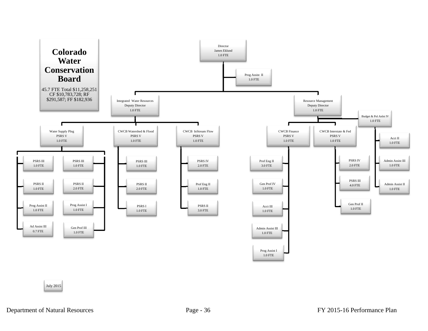

July 2015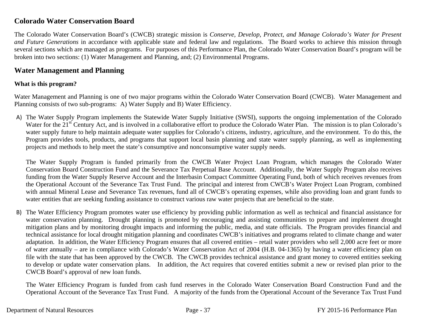# **Colorado Water Conservation Board**

The Colorado Water Conservation Board's (CWCB) strategic mission is *Conserve, Develop, Protect, and Manage Colorado's Water for Present and Future Generations* in accordance with applicable state and federal law and regulations. The Board works to achieve this mission through several sections which are managed as programs. For purposes of this Performance Plan, the Colorado Water Conservation Board's program will be broken into two sections: (1) Water Management and Planning, and; (2) Environmental Programs.

# **Water Management and Planning**

# **What is this program?**

Water Management and Planning is one of two major programs within the Colorado Water Conservation Board (CWCB). Water Management and Planning consists of two sub-programs: A) Water Supply and B) Water Efficiency.

A) The Water Supply Program implements the Statewide Water Supply Initiative (SWSI), supports the ongoing implementation of the Colorado Water for the 21<sup>st</sup> Century Act, and is involved in a collaborative effort to produce the Colorado Water Plan. The mission is to plan Colorado's water supply future to help maintain adequate water supplies for Colorado's citizens, industry, agriculture, and the environment. To do this, the Program provides tools, products, and programs that support local basin planning and state water supply planning, as well as implementing projects and methods to help meet the state's consumptive and nonconsumptive water supply needs.

The Water Supply Program is funded primarily from the CWCB Water Project Loan Program, which manages the Colorado Water Conservation Board Construction Fund and the Severance Tax Perpetual Base Account. Additionally, the Water Supply Program also receives funding from the Water Supply Reserve Account and the Interbasin Compact Committee Operating Fund, both of which receives revenues from the Operational Account of the Severance Tax Trust Fund. The principal and interest from CWCB's Water Project Loan Program, combined with annual Mineral Lease and Severance Tax revenues, fund all of CWCB's operating expenses, while also providing loan and grant funds to water entities that are seeking funding assistance to construct various raw water projects that are beneficial to the state.

B) The Water Efficiency Program promotes water use efficiency by providing public information as well as technical and financial assistance for water conservation planning. Drought planning is promoted by encouraging and assisting communities to prepare and implement drought mitigation plans and by monitoring drought impacts and informing the public, media, and state officials. The Program provides financial and technical assistance for local drought mitigation planning and coordinates CWCB's initiatives and programs related to climate change and water adaptation. In addition, the Water Efficiency Program ensures that all covered entities – retail water providers who sell 2,000 acre feet or more of water annually – are in compliance with Colorado's Water Conservation Act of 2004 (H.B. 04-1365) by having a water efficiency plan on file with the state that has been approved by the CWCB. The CWCB provides technical assistance and grant money to covered entities seeking to develop or update water conservation plans. In addition, the Act requires that covered entities submit a new or revised plan prior to the CWCB Board's approval of new loan funds.

The Water Efficiency Program is funded from cash fund reserves in the Colorado Water Conservation Board Construction Fund and the Operational Account of the Severance Tax Trust Fund. A majority of the funds from the Operational Account of the Severance Tax Trust Fund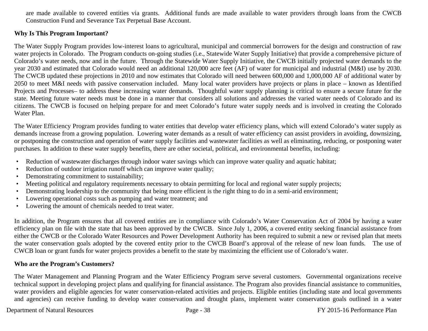are made available to covered entities via grants. Additional funds are made available to water providers through loans from the CWCB Construction Fund and Severance Tax Perpetual Base Account.

# **Why Is This Program Important?**

The Water Supply Program provides low-interest loans to agricultural, municipal and commercial borrowers for the design and construction of raw water projects in Colorado. The Program conducts on-going studies (i.e., Statewide Water Supply Initiative) that provide a comprehensive picture of Colorado's water needs, now and in the future. Through the Statewide Water Supply Initiative, the CWCB initially projected water demands to the year 2030 and estimated that Colorado would need an additional 120,000 acre feet (AF) of water for municipal and industrial (M&I) use by 2030. The CWCB updated these projections in 2010 and now estimates that Colorado will need between 600,000 and 1,000,000 AF of additional water by 2050 to meet M&I needs with passive conservation included. Many local water providers have projects or plans in place – known as Identified Projects and Processes– to address these increasing water demands. Thoughtful water supply planning is critical to ensure a secure future for the state. Meeting future water needs must be done in a manner that considers all solutions and addresses the varied water needs of Colorado and its citizens. The CWCB is focused on helping prepare for and meet Colorado's future water supply needs and is involved in creating the Colorado Water Plan.

The Water Efficiency Program provides funding to water entities that develop water efficiency plans, which will extend Colorado's water supply as demands increase from a growing population. Lowering water demands as a result of water efficiency can assist providers in avoiding, downsizing, or postponing the construction and operation of water supply facilities and wastewater facilities as well as eliminating, reducing, or postponing water purchases. In addition to these water supply benefits, there are other societal, political, and environmental benefits, including:

- •Reduction of wastewater discharges through indoor water savings which can improve water quality and aquatic habitat;
- •Reduction of outdoor irrigation runoff which can improve water quality;
- •Demonstrating commitment to sustainability;
- •Meeting political and regulatory requirements necessary to obtain permitting for local and regional water supply projects;
- •Demonstrating leadership to the community that being more efficient is the right thing to do in a semi-arid environment;
- •Lowering operational costs such as pumping and water treatment; and
- •Lowering the amount of chemicals needed to treat water.

In addition, the Program ensures that all covered entities are in compliance with Colorado's Water Conservation Act of 2004 by having a water efficiency plan on file with the state that has been approved by the CWCB. Since July 1, 2006, a covered entity seeking financial assistance from either the CWCB or the Colorado Water Resources and Power Development Authority has been required to submit a new or revised plan that meets the water conservation goals adopted by the covered entity prior to the CWCB Board's approval of the release of new loan funds. The use of CWCB loan or grant funds for water projects provides a benefit to the state by maximizing the efficient use of Colorado's water.

# **Who are the Program's Customers?**

The Water Management and Planning Program and the Water Efficiency Program serve several customers. Governmental organizations receive technical support in developing project plans and qualifying for financial assistance. The Program also provides financial assistance to communities, water providers and eligible agencies for water conservation-related activities and projects. Eligible entities (including state and local governments and agencies) can receive funding to develop water conservation and drought plans, implement water conservation goals outlined in a water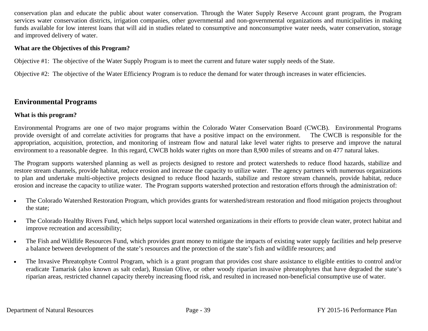conservation plan and educate the public about water conservation. Through the Water Supply Reserve Account grant program, the Program services water conservation districts, irrigation companies, other governmental and non-governmental organizations and municipalities in making funds available for low interest loans that will aid in studies related to consumptive and nonconsumptive water needs, water conservation, storage and improved delivery of water.

# **What are the Objectives of this Program?**

Objective #1: The objective of the Water Supply Program is to meet the current and future water supply needs of the State.

Objective #2: The objective of the Water Efficiency Program is to reduce the demand for water through increases in water efficiencies.

# **Environmental Programs**

# **What is this program?**

Environmental Programs are one of two major programs within the Colorado Water Conservation Board (CWCB). Environmental Programs provide oversight of and correlate activities for programs that have a positive impact on the environment. The CWCB is responsible for the appropriation, acquisition, protection, and monitoring of instream flow and natural lake level water rights to preserve and improve the natural environment to a reasonable degree. In this regard, CWCB holds water rights on more than 8,900 miles of streams and on 477 natural lakes.

The Program supports watershed planning as well as projects designed to restore and protect watersheds to reduce flood hazards, stabilize and restore stream channels, provide habitat, reduce erosion and increase the capacity to utilize water. The agency partners with numerous organizations to plan and undertake multi-objective projects designed to reduce flood hazards, stabilize and restore stream channels, provide habitat, reduce erosion and increase the capacity to utilize water. The Program supports watershed protection and restoration efforts through the administration of:

- $\bullet$  The Colorado Watershed Restoration Program, which provides grants for watershed/stream restoration and flood mitigation projects throughout the state;
- $\bullet$  The Colorado Healthy Rivers Fund, which helps support local watershed organizations in their efforts to provide clean water, protect habitat and improve recreation and accessibility;
- $\bullet$  The Fish and Wildlife Resources Fund, which provides grant money to mitigate the impacts of existing water supply facilities and help preserve a balance between development of the state's resources and the protection of the state's fish and wildlife resources; and
- $\bullet$  The Invasive Phreatophyte Control Program, which is a grant program that provides cost share assistance to eligible entities to control and/or eradicate Tamarisk (also known as salt cedar), Russian Olive, or other woody riparian invasive phreatophytes that have degraded the state's riparian areas, restricted channel capacity thereby increasing flood risk, and resulted in increased non-beneficial consumptive use of water.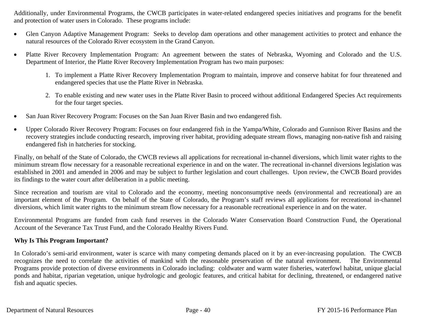Additionally, under Environmental Programs, the CWCB participates in water-related endangered species initiatives and programs for the benefit and protection of water users in Colorado. These programs include:

- $\bullet$  Glen Canyon Adaptive Management Program: Seeks to develop dam operations and other management activities to protect and enhance the natural resources of the Colorado River ecosystem in the Grand Canyon.
- $\bullet$  Platte River Recovery Implementation Program: An agreement between the states of Nebraska, Wyoming and Colorado and the U.S. Department of Interior, the Platte River Recovery Implementation Program has two main purposes:
	- 1. To implement a Platte River Recovery Implementation Program to maintain, improve and conserve habitat for four threatened and endangered species that use the Platte River in Nebraska.
	- 2. To enable existing and new water uses in the Platte River Basin to proceed without additional Endangered Species Act requirements for the four target species.
- $\bullet$ San Juan River Recovery Program: Focuses on the San Juan River Basin and two endangered fish.
- $\bullet$  Upper Colorado River Recovery Program: Focuses on four endangered fish in the Yampa/White, Colorado and Gunnison River Basins and the recovery strategies include conducting research, improving river habitat, providing adequate stream flows, managing non-native fish and raising endangered fish in hatcheries for stocking.

Finally, on behalf of the State of Colorado, the CWCB reviews all applications for recreational in-channel diversions, which limit water rights to the minimum stream flow necessary for a reasonable recreational experience in and on the water. The recreational in-channel diversions legislation was established in 2001 and amended in 2006 and may be subject to further legislation and court challenges. Upon review, the CWCB Board provides its findings to the water court after deliberation in a public meeting.

Since recreation and tourism are vital to Colorado and the economy, meeting nonconsumptive needs (environmental and recreational) are an important element of the Program. On behalf of the State of Colorado, the Program's staff reviews all applications for recreational in-channel diversions, which limit water rights to the minimum stream flow necessary for a reasonable recreational experience in and on the water.

Environmental Programs are funded from cash fund reserves in the Colorado Water Conservation Board Construction Fund, the Operational Account of the Severance Tax Trust Fund, and the Colorado Healthy Rivers Fund.

# **Why Is This Program Important?**

In Colorado's semi-arid environment, water is scarce with many competing demands placed on it by an ever-increasing population. The CWCB recognizes the need to correlate the activities of mankind with the reasonable preservation of the natural environment. The Environmental Programs provide protection of diverse environments in Colorado including: coldwater and warm water fisheries, waterfowl habitat, unique glacial ponds and habitat, riparian vegetation, unique hydrologic and geologic features, and critical habitat for declining, threatened, or endangered native fish and aquatic species.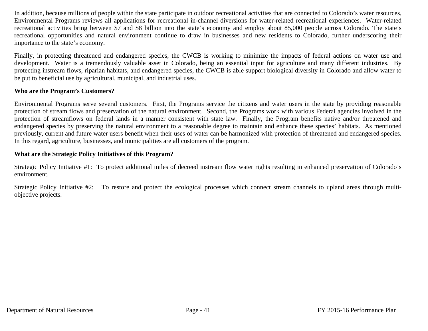In addition, because millions of people within the state participate in outdoor recreational activities that are connected to Colorado's water resources, Environmental Programs reviews all applications for recreational in-channel diversions for water-related recreational experiences. Water-related recreational activities bring between \$7 and \$8 billion into the state's economy and employ about 85,000 people across Colorado. The state's recreational opportunities and natural environment continue to draw in businesses and new residents to Colorado, further underscoring their importance to the state's economy.

Finally, in protecting threatened and endangered species, the CWCB is working to minimize the impacts of federal actions on water use and development. Water is a tremendously valuable asset in Colorado, being an essential input for agriculture and many different industries. By protecting instream flows, riparian habitats, and endangered species, the CWCB is able support biological diversity in Colorado and allow water to be put to beneficial use by agricultural, municipal, and industrial uses.

### **Who are the Program's Customers?**

Environmental Programs serve several customers. First, the Programs service the citizens and water users in the state by providing reasonable protection of stream flows and preservation of the natural environment. Second, the Programs work with various Federal agencies involved in the protection of streamflows on federal lands in a manner consistent with state law. Finally, the Program benefits native and/or threatened and endangered species by preserving the natural environment to a reasonable degree to maintain and enhance these species' habitats. As mentioned previously, current and future water users benefit when their uses of water can be harmonized with protection of threatened and endangered species. In this regard, agriculture, businesses, and municipalities are all customers of the program.

# **What are the Strategic Policy Initiatives of this Program?**

Strategic Policy Initiative #1: To protect additional miles of decreed instream flow water rights resulting in enhanced preservation of Colorado's environment.

Strategic Policy Initiative #2: To restore and protect the ecological processes which connect stream channels to upland areas through multiobjective projects.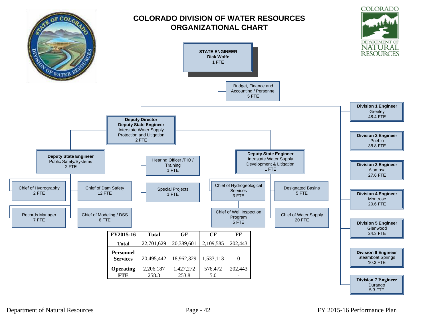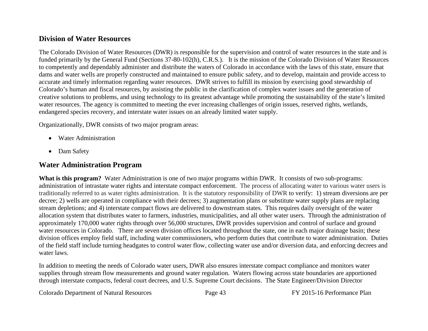# **Division of Water Resources**

The Colorado Division of Water Resources (DWR) is responsible for the supervision and control of water resources in the state and is funded primarily by the General Fund (Sections 37-80-102(h), C.R.S.). It is the mission of the Colorado Division of Water Resources to competently and dependably administer and distribute the waters of Colorado in accordance with the laws of this state, ensure that dams and water wells are properly constructed and maintained to ensure public safety, and to develop, maintain and provide access to accurate and timely information regarding water resources. DWR strives to fulfill its mission by exercising good stewardship of Colorado's human and fiscal resources, by assisting the public in the clarification of complex water issues and the generation of creative solutions to problems, and using technology to its greatest advantage while promoting the sustainability of the state's limited water resources. The agency is committed to meeting the ever increasing challenges of origin issues, reserved rights, wetlands, endangered species recovery, and interstate water issues on an already limited water supply.

Organizationally, DWR consists of two major program areas:

- Water Administration
- $\bullet$ Dam Safety

# **Water Administration Program**

What is this program? Water Administration is one of two major programs within DWR. It consists of two sub-programs: administration of intrastate water rights and interstate compact enforcement. The process of allocating water to various water users is traditionally referred to as water rights administration. It is the statutory responsibility of DWR to verify: 1) stream diversions are per decree; 2) wells are operated in compliance with their decrees; 3) augmentation plans or substitute water supply plans are replacing stream depletions; and 4) interstate compact flows are delivered to downstream states. This requires daily oversight of the water allocation system that distributes water to farmers, industries, municipalities, and all other water users. Through the administration of approximately 170,000 water rights through over 56,000 structures, DWR provides supervision and control of surface and ground water resources in Colorado. There are seven division offices located throughout the state, one in each major drainage basin; these division offices employ field staff, including water commissioners, who perform duties that contribute to water administration. Duties of the field staff include turning headgates to control water flow, collecting water use and/or diversion data, and enforcing decrees and water laws.

In addition to meeting the needs of Colorado water users, DWR also ensures interstate compact compliance and monitors water supplies through stream flow measurements and ground water regulation. Waters flowing across state boundaries are apportioned through interstate compacts, federal court decrees, and U.S. Supreme Court decisions. The State Engineer/Division Director

Colorado Department of Natural Resources Page 43 FY 2015-16 Performance Plan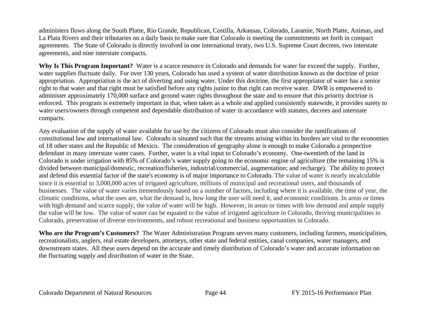administers flows along the South Platte, Rio Grande, Republican, Costilla, Arkansas, Colorado, Laramie, North Platte, Animas, and La Plata Rivers and their tributaries on a daily basis to make sure that Colorado is meeting the commitments set forth in compact agreements. The State of Colorado is directly involved in one international treaty, two U.S. Supreme Court decrees, two interstate agreements, and nine interstate compacts.

**Why Is This Program Important?** Water is a scarce resource in Colorado and demands for water far exceed the supply. Further, water supplies fluctuate daily. For over 130 years, Colorado has used a system of water distribution known as the doctrine of prior appropriation. Appropriation is the act of diverting and using water. Under this doctrine, the first appropriator of water has a senior right to that water and that right must be satisfied before any rights junior to that right can receive water. DWR is empowered to administer approximately 170,000 surface and ground water rights throughout the state and to ensure that this priority doctrine is enforced. This program is extremely important in that, when taken as a whole and applied consistently statewide, it provides surety to water users/owners through competent and dependable distribution of water in accordance with statutes, decrees and interstate compacts.

Any evaluation of the supply of water available for use by the citizens of Colorado must also consider the ramifications of constitutional law and international law. Colorado is situated such that the streams arising within its borders are vital to the economies of 18 other states and the Republic of Mexico. The consideration of geography alone is enough to make Colorado a prospective defendant in many interstate water cases. Further, water is a vital input to Colorado's economy. One-twentieth of the land in Colorado is under irrigation with 85% of Colorado's water supply going to the economic engine of agriculture (the remaining 15% is divided between municipal/domestic, recreation/fisheries, industrial/commercial, augmentation; and recharge). The ability to protect and defend this essential factor of the state's economy is of major importance to Colorado. The value of water is nearly incalculable since it is essential to 3,000,000 acres of irrigated agriculture, millions of municipal and recreational users, and thousands of businesses. The value of water varies tremendously based on a number of factors, including where it is available, the time of year, the climatic conditions, what the uses are, what the demand is, how long the user will need it, and economic conditions. In areas or times with high demand and scarce supply, the value of water will be high. However, in areas or times with low demand and ample supply the value will be low. The value of water can be equated to the value of irrigated agriculture in Colorado, thriving municipalities in Colorado, preservation of diverse environments, and robust recreational and business opportunities in Colorado.

**Who are the Program's Customers?** The Water Administration Program serves many customers, including farmers, municipalities, recreationalists, anglers, real estate developers, attorneys, other state and federal entities, canal companies, water managers, and downstream states. All these users depend on the accurate and timely distribution of Colorado's water and accurate information on the fluctuating supply and distribution of water in the State.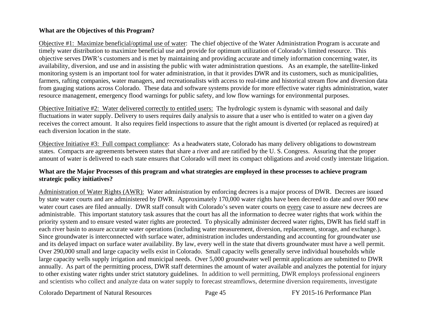## **What are the Objectives of this Program?**

Objective #1: Maximize beneficial/optimal use of water: The chief objective of the Water Administration Program is accurate and timely water distribution to maximize beneficial use and provide for optimum utilization of Colorado's limited resource. This objective serves DWR's customers and is met by maintaining and providing accurate and timely information concerning water, its availability, diversion, and use and in assisting the public with water administration questions. As an example, the satellite-linked monitoring system is an important tool for water administration, in that it provides DWR and its customers, such as municipalities, farmers, rafting companies, water managers, and recreationalists with access to real-time and historical stream flow and diversion data from gauging stations across Colorado. These data and software systems provide for more effective water rights administration, water resource management, emergency flood warnings for public safety, and low flow warnings for environmental purposes.

Objective Initiative #2: Water delivered correctly to entitled users: The hydrologic system is dynamic with seasonal and daily fluctuations in water supply. Delivery to users requires daily analysis to assure that a user who is entitled to water on a given day receives the correct amount. It also requires field inspections to assure that the right amount is diverted (or replaced as required) at each diversion location in the state.

Objective Initiative #3: Full compact compliance: As a headwaters state, Colorado has many delivery obligations to downstream states. Compacts are agreements between states that share a river and are ratified by the U. S. Congress. Assuring that the proper amount of water is delivered to each state ensures that Colorado will meet its compact obligations and avoid costly interstate litigation.

### **What are the Major Processes of this program and what strategies are employed in these processes to achieve program strategic policy initiatives?**

Administration of Water Rights (AWR): Water administration by enforcing decrees is a major process of DWR. Decrees are issued by state water courts and are administered by DWR. Approximately 170,000 water rights have been decreed to date and over 900 new water court cases are filed annually. DWR staff consult with Colorado's seven water courts on every case to assure new decrees are administrable. This important statutory task assures that the court has all the information to decree water rights that work within the priority system and to ensure vested water rights are protected. To physically administer decreed water rights, DWR has field staff in each river basin to assure accurate water operations (including water measurement, diversion, replacement, storage, and exchange.). Since groundwater is interconnected with surface water, administration includes understanding and accounting for groundwater use and its delayed impact on surface water availability. By law, every well in the state that diverts groundwater must have a well permit. Over 290,000 small and large capacity wells exist in Colorado. Small capacity wells generally serve individual households while large capacity wells supply irrigation and municipal needs. Over 5,000 groundwater well permit applications are submitted to DWR annually. As part of the permitting process, DWR staff determines the amount of water available and analyzes the potential for injury to other existing water rights under strict statutory guidelines. In addition to well permitting, DWR employs professional engineers and scientists who collect and analyze data on water supply to forecast streamflows, determine diversion requirements, investigate

Colorado Department of Natural Resources Page 45 FY 2015-16 Performance Plan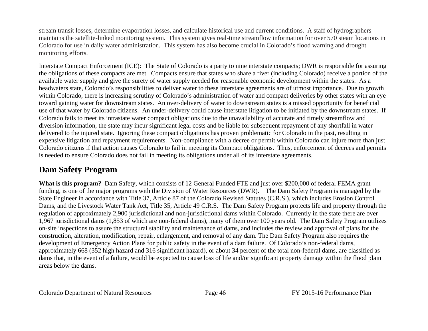stream transit losses, determine evaporation losses, and calculate historical use and current conditions. A staff of hydrographers maintains the satellite-linked monitoring system. This system gives real-time streamflow information for over 570 steam locations in Colorado for use in daily water administration. This system has also become crucial in Colorado's flood warning and drought monitoring efforts.

Interstate Compact Enforcement (ICE): The State of Colorado is a party to nine interstate compacts; DWR is responsible for assuring the obligations of these compacts are met. Compacts ensure that states who share a river (including Colorado) receive a portion of the available water supply and give the surety of water supply needed for reasonable economic development within the states. As a headwaters state, Colorado's responsibilities to deliver water to these interstate agreements are of utmost importance. Due to growth within Colorado, there is increasing scrutiny of Colorado's administration of water and compact deliveries by other states with an eye toward gaining water for downstream states. An over-delivery of water to downstream states is a missed opportunity for beneficial use of that water by Colorado citizens. An under-delivery could cause interstate litigation to be initiated by the downstream states. If Colorado fails to meet its intrastate water compact obligations due to the unavailability of accurate and timely streamflow and diversion information, the state may incur significant legal costs and be liable for subsequent repayment of any shortfall in water delivered to the injured state. Ignoring these compact obligations has proven problematic for Colorado in the past, resulting in expensive litigation and repayment requirements. Non-compliance with a decree or permit within Colorado can injure more than just Colorado citizens if that action causes Colorado to fail in meeting its Compact obligations. Thus, enforcement of decrees and permits is needed to ensure Colorado does not fail in meeting its obligations under all of its interstate agreements.

# **Dam Safety Program**

**What is this program?** Dam Safety, which consists of 12 General Funded FTE and just over \$200,000 of federal FEMA grant funding, is one of the major programs with the Division of Water Resources (DWR). The Dam Safety Program is managed by the State Engineer in accordance with Title 37, Article 87 of the Colorado Revised Statutes (C.R.S.), which includes Erosion Control Dams, and the Livestock Water Tank Act, Title 35, Article 49 C.R.S. The Dam Safety Program protects life and property through the regulation of approximately 2,900 jurisdictional and non-jurisdictional dams within Colorado. Currently in the state there are over 1,967 jurisdictional dams (1,853 of which are non-federal dams), many of them over 100 years old. The Dam Safety Program utilizes on-site inspections to assure the structural stability and maintenance of dams, and includes the review and approval of plans for the construction, alteration, modification, repair, enlargement, and removal of any dam. The Dam Safety Program also requires the development of Emergency Action Plans for public safety in the event of a dam failure. Of Colorado's non-federal dams, approximately 668 (352 high hazard and 316 significant hazard), or about 34 percent of the total non-federal dams, are classified as dams that, in the event of a failure, would be expected to cause loss of life and/or significant property damage within the flood plain areas below the dams.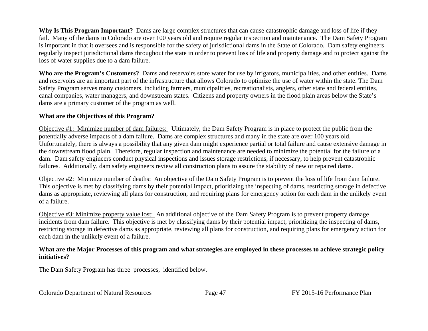**Why Is This Program Important?** Dams are large complex structures that can cause catastrophic damage and loss of life if they fail. Many of the dams in Colorado are over 100 years old and require regular inspection and maintenance. The Dam Safety Program is important in that it oversees and is responsible for the safety of jurisdictional dams in the State of Colorado. Dam safety engineers regularly inspect jurisdictional dams throughout the state in order to prevent loss of life and property damage and to protect against the loss of water supplies due to a dam failure.

**Who are the Program's Customers?** Dams and reservoirs store water for use by irrigators, municipalities, and other entities. Dams and reservoirs are an important part of the infrastructure that allows Colorado to optimize the use of water within the state. The Dam Safety Program serves many customers, including farmers, municipalities, recreationalists, anglers, other state and federal entities, canal companies, water managers, and downstream states. Citizens and property owners in the flood plain areas below the State's dams are a primary customer of the program as well.

# **What are the Objectives of this Program?**

Objective #1: Minimize number of dam failures: Ultimately, the Dam Safety Program is in place to protect the public from the potentially adverse impacts of a dam failure. Dams are complex structures and many in the state are over 100 years old. Unfortunately, there is always a possibility that any given dam might experience partial or total failure and cause extensive damage in the downstream flood plain. Therefore, regular inspection and maintenance are needed to minimize the potential for the failure of a dam. Dam safety engineers conduct physical inspections and issues storage restrictions, if necessary, to help prevent catastrophic failures. Additionally, dam safety engineers review all construction plans to assure the stability of new or repaired dams.

Objective #2: Minimize number of deaths: An objective of the Dam Safety Program is to prevent the loss of life from dam failure. This objective is met by classifying dams by their potential impact, prioritizing the inspecting of dams, restricting storage in defective dams as appropriate, reviewing all plans for construction, and requiring plans for emergency action for each dam in the unlikely event of a failure.

Objective #3: Minimize property value lost: An additional objective of the Dam Safety Program is to prevent property damage incidents from dam failure. This objective is met by classifying dams by their potential impact, prioritizing the inspecting of dams, restricting storage in defective dams as appropriate, reviewing all plans for construction, and requiring plans for emergency action for each dam in the unlikely event of a failure.

# **What are the Major Processes of this program and what strategies are employed in these processes to achieve strategic policy initiatives?**

The Dam Safety Program has three processes, identified below.

Colorado Department of Natural Resources Page 47 FY 2015-16 Performance Plan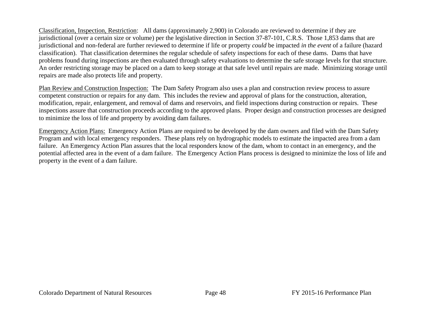Classification, Inspection, Restriction: All dams (approximately 2,900) in Colorado are reviewed to determine if they are jurisdictional (over a certain size or volume) per the legislative direction in Section 37-87-101, C.R.S. Those 1,853 dams that are jurisdictional and non-federal are further reviewed to determine if life or property *could* be impacted *in the event* of a failure (hazard classification). That classification determines the regular schedule of safety inspections for each of these dams. Dams that have problems found during inspections are then evaluated through safety evaluations to determine the safe storage levels for that structure. An order restricting storage may be placed on a dam to keep storage at that safe level until repairs are made. Minimizing storage until repairs are made also protects life and property.

Plan Review and Construction Inspection: The Dam Safety Program also uses a plan and construction review process to assure competent construction or repairs for any dam. This includes the review and approval of plans for the construction, alteration, modification, repair, enlargement, and removal of dams and reservoirs, and field inspections during construction or repairs. These inspections assure that construction proceeds according to the approved plans. Proper design and construction processes are designed to minimize the loss of life and property by avoiding dam failures.

Emergency Action Plans: Emergency Action Plans are required to be developed by the dam owners and filed with the Dam Safety Program and with local emergency responders. These plans rely on hydrographic models to estimate the impacted area from a dam failure. An Emergency Action Plan assures that the local responders know of the dam, whom to contact in an emergency, and the potential affected area in the event of a dam failure. The Emergency Action Plans process is designed to minimize the loss of life and property in the event of a dam failure.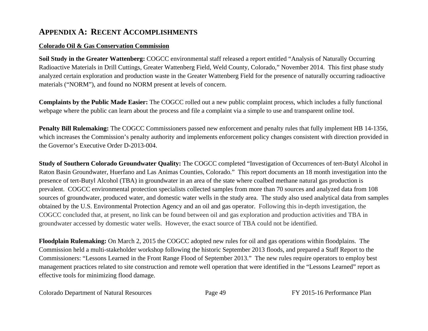# **APPENDIX A: RECENT ACCOMPLISHMENTS**

# **Colorado Oil & Gas Conservation Commission**

**Soil Study in the Greater Wattenberg:** COGCC environmental staff released a report entitled "Analysis of Naturally Occurring Radioactive Materials in Drill Cuttings, Greater Wattenberg Field, Weld County, Colorado," November 2014. This first phase study analyzed certain exploration and production waste in the Greater Wattenberg Field for the presence of naturally occurring radioactive materials ("NORM"), and found no NORM present at levels of concern.

**Complaints by the Public Made Easier:** The COGCC rolled out a new public complaint process, which includes a fully functional webpage where the public can learn about the process and file a complaint via a simple to use and transparent online tool.

**Penalty Bill Rulemaking:** The COGCC Commissioners passed new enforcement and penalty rules that fully implement HB 14-1356, which increases the Commission's penalty authority and implements enforcement policy changes consistent with direction provided in the Governor's Executive Order D-2013-004.

**Study of Southern Colorado Groundwater Quality:** The COGCC completed "Investigation of Occurrences of tert-Butyl Alcohol in Raton Basin Groundwater, Huerfano and Las Animas Counties, Colorado." This report documents an 18 month investigation into the presence of tert-Butyl Alcohol (TBA) in groundwater in an area of the state where coalbed methane natural gas production is prevalent. COGCC environmental protection specialists collected samples from more than 70 sources and analyzed data from 108 sources of groundwater, produced water, and domestic water wells in the study area. The study also used analytical data from samples obtained by the U.S. Environmental Protection Agency and an oil and gas operator. Following this in-depth investigation, the COGCC concluded that, at present, no link can be found between oil and gas exploration and production activities and TBA in groundwater accessed by domestic water wells. However, the exact source of TBA could not be identified.

**Floodplain Rulemaking:** On March 2, 2015 the COGCC adopted new rules for oil and gas operations within floodplains. The Commission held a multi-stakeholder workshop following the historic September 2013 floods, and prepared a Staff Report to the Commissioners: "Lessons Learned in the Front Range Flood of September 2013." The new rules require operators to employ best management practices related to site construction and remote well operation that were identified in the "Lessons Learned" report as effective tools for minimizing flood damage.

Colorado Department of Natural Resources Page 49 FY 2015-16 Performance Plan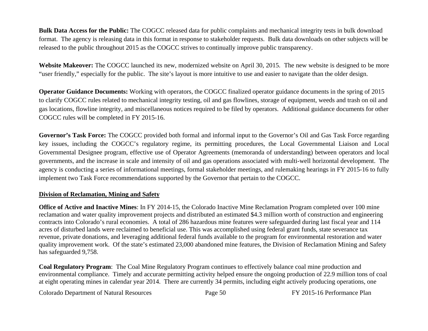**Bulk Data Access for the Public:** The COGCC released data for public complaints and mechanical integrity tests in bulk download format. The agency is releasing data in this format in response to stakeholder requests. Bulk data downloads on other subjects will be released to the public throughout 2015 as the COGCC strives to continually improve public transparency.

Website Makeover: The COGCC launched its new, modernized website on April 30, 2015. The new website is designed to be more "user friendly," especially for the public. The site's layout is more intuitive to use and easier to navigate than the older design.

**Operator Guidance Documents:** Working with operators, the COGCC finalized operator guidance documents in the spring of 2015 to clarify COGCC rules related to mechanical integrity testing, oil and gas flowlines, storage of equipment, weeds and trash on oil and gas locations, flowline integrity, and miscellaneous notices required to be filed by operators. Additional guidance documents for other COGCC rules will be completed in FY 2015-16.

**Governor's Task Force:** The COGCC provided both formal and informal input to the Governor's Oil and Gas Task Force regarding key issues, including the COGCC's regulatory regime, its permitting procedures, the Local Governmental Liaison and Local Governmental Designee program, effective use of Operator Agreements (memoranda of understanding) between operators and local governments, and the increase in scale and intensity of oil and gas operations associated with multi-well horizontal development. The agency is conducting a series of informational meetings, formal stakeholder meetings, and rulemaking hearings in FY 2015-16 to fully implement two Task Force recommendations supported by the Governor that pertain to the COGCC.

# **Division of Reclamation, Mining and Safety**

**Office of Active and Inactive Mines**: In FY 2014-15, the Colorado Inactive Mine Reclamation Program completed over 100 mine reclamation and water quality improvement projects and distributed an estimated \$4.3 million worth of construction and engineering contracts into Colorado's rural economies. A total of 286 hazardous mine features were safeguarded during last fiscal year and 114 acres of disturbed lands were reclaimed to beneficial use. This was accomplished using federal grant funds, state severance tax revenue, private donations, and leveraging additional federal funds available to the program for environmental restoration and water quality improvement work. Of the state's estimated 23,000 abandoned mine features, the Division of Reclamation Mining and Safety has safeguarded 9,758.

**Coal Regulatory Program**: The Coal Mine Regulatory Program continues to effectively balance coal mine production and environmental compliance. Timely and accurate permitting activity helped ensure the ongoing production of 22.9 million tons of coal at eight operating mines in calendar year 2014. There are currently 34 permits, including eight actively producing operations, one

Colorado Department of Natural Resources Page 50 FY 2015-16 Performance Plan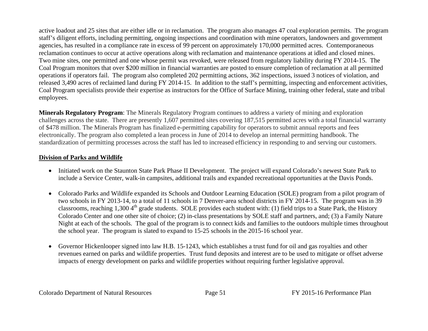active loadout and 25 sites that are either idle or in reclamation. The program also manages 47 coal exploration permits. The program staff's diligent efforts, including permitting, ongoing inspections and coordination with mine operators, landowners and government agencies, has resulted in a compliance rate in excess of 99 percent on approximately 170,000 permitted acres. Contemporaneous reclamation continues to occur at active operations along with reclamation and maintenance operations at idled and closed mines. Two mine sites, one permitted and one whose permit was revoked, were released from regulatory liability during FY 2014-15. The Coal Program monitors that over \$200 million in financial warranties are posted to ensure completion of reclamation at all permitted operations if operators fail. The program also completed 202 permitting actions, 362 inspections, issued 3 notices of violation, and released 3,490 acres of reclaimed land during FY 2014-15. In addition to the staff's permitting, inspecting and enforcement activities, Coal Program specialists provide their expertise as instructors for the Office of Surface Mining, training other federal, state and tribal employees.

**Minerals Regulatory Program**: The Minerals Regulatory Program continues to address a variety of mining and exploration challenges across the state. There are presently 1,607 permitted sites covering 187,515 permitted acres with a total financial warranty of \$478 million. The Minerals Program has finalized e-permitting capability for operators to submit annual reports and fees electronically. The program also completed a lean process in June of 2014 to develop an internal permitting handbook. The standardization of permitting processes across the staff has led to increased efficiency in responding to and serving our customers.

# **Division of Parks and Wildlife**

- Initiated work on the Staunton State Park Phase II Development. The project will expand Colorado's newest State Park to include a Service Center, walk-in campsites, additional trails and expanded recreational opportunities at the Davis Ponds.
- Colorado Parks and Wildlife expanded its Schools and Outdoor Learning Education (SOLE) program from a pilot program of two schools in FY 2013-14, to a total of 11 schools in 7 Denver-area school districts in FY 2014-15. The program was in 39 classrooms, reaching 1,300  $4<sup>th</sup>$  grade students. SOLE provides each student with: (1) field trips to a State Park, the History Colorado Center and one other site of choice; (2) in-class presentations by SOLE staff and partners, and; (3) a Family Nature Night at each of the schools. The goal of the program is to connect kids and families to the outdoors multiple times throughout the school year. The program is slated to expand to 15-25 schools in the 2015-16 school year.
- $\bullet$  Governor Hickenlooper signed into law H.B. 15-1243, which establishes a trust fund for oil and gas royalties and other revenues earned on parks and wildlife properties. Trust fund deposits and interest are to be used to mitigate or offset adverse impacts of energy development on parks and wildlife properties without requiring further legislative approval.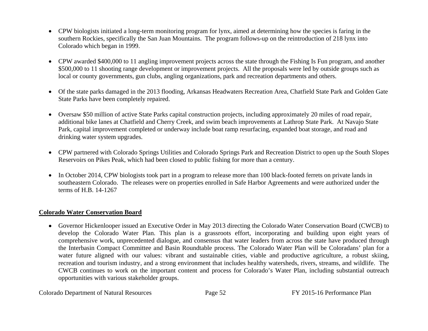- CPW biologists initiated a long-term monitoring program for lynx, aimed at determining how the species is faring in the southern Rockies, specifically the San Juan Mountains. The program follows-up on the reintroduction of 218 lynx into Colorado which began in 1999.
- CPW awarded \$400,000 to 11 angling improvement projects across the state through the Fishing Is Fun program, and another \$500,000 to 11 shooting range development or improvement projects. All the proposals were led by outside groups such as local or county governments, gun clubs, angling organizations, park and recreation departments and others.
- Of the state parks damaged in the 2013 flooding, Arkansas Headwaters Recreation Area, Chatfield State Park and Golden Gate State Parks have been completely repaired.
- Oversaw \$50 million of active State Parks capital construction projects, including approximately 20 miles of road repair, additional bike lanes at Chatfield and Cherry Creek, and swim beach improvements at Lathrop State Park. At Navajo State Park, capital improvement completed or underway include boat ramp resurfacing, expanded boat storage, and road and drinking water system upgrades.
- CPW partnered with Colorado Springs Utilities and Colorado Springs Park and Recreation District to open up the South Slopes Reservoirs on Pikes Peak, which had been closed to public fishing for more than a century.
- In October 2014, CPW biologists took part in a program to release more than 100 black-footed ferrets on private lands in southeastern Colorado. The releases were on properties enrolled in Safe Harbor Agreements and were authorized under the terms of H.B. 14-1267

# **Colorado Water Conservation Board**

 Governor Hickenlooper issued an Executive Order in May 2013 directing the Colorado Water Conservation Board (CWCB) to develop the Colorado Water Plan. This plan is a grassroots effort, incorporating and building upon eight years of comprehensive work, unprecedented dialogue, and consensus that water leaders from across the state have produced through the Interbasin Compact Committee and Basin Roundtable process. The Colorado Water Plan will be Coloradans' plan for a water future aligned with our values: vibrant and sustainable cities, viable and productive agriculture, a robust skiing, recreation and tourism industry, and a strong environment that includes healthy watersheds, rivers, streams, and wildlife. The CWCB continues to work on the important content and process for Colorado's Water Plan, including substantial outreach opportunities with various stakeholder groups.

Colorado Department of Natural Resources Page 52 FY 2015-16 Performance Plan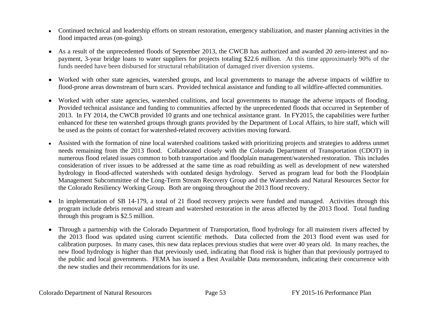- Continued technical and leadership efforts on stream restoration, emergency stabilization, and master planning activities in the flood impacted areas (on-going).
- $\bullet$  As a result of the unprecedented floods of September 2013, the CWCB has authorized and awarded 20 zero-interest and nopayment, 3-year bridge loans to water suppliers for projects totaling \$22.6 million. At this time approximately 90% of the funds needed have been disbursed for structural rehabilitation of damaged river diversion systems.
- Worked with other state agencies, watershed groups, and local governments to manage the adverse impacts of wildfire to flood-prone areas downstream of burn scars. Provided technical assistance and funding to all wildfire-affected communities.
- Worked with other state agencies, watershed coalitions, and local governments to manage the adverse impacts of flooding. Provided technical assistance and funding to communities affected by the unprecedented floods that occurred in September of 2013. In FY 2014, the CWCB provided 10 grants and one technical assistance grant. In FY2015, the capabilities were further enhanced for these ten watershed groups through grants provided by the Department of Local Affairs, to hire staff, which will be used as the points of contact for watershed-related recovery activities moving forward.
- $\bullet$  Assisted with the formation of nine local watershed coalitions tasked with prioritizing projects and strategies to address unmet needs remaining from the 2013 flood. Collaborated closely with the Colorado Department of Transportation (CDOT) in numerous flood related issues common to both transportation and floodplain management/watershed restoration. This includes consideration of river issues to be addressed at the same time as road rebuilding as well as development of new watershed hydrology in flood-affected watersheds with outdated design hydrology. Served as program lead for both the Floodplain Management Subcommittee of the Long-Term Stream Recovery Group and the Watersheds and Natural Resources Sector for the Colorado Resiliency Working Group. Both are ongoing throughout the 2013 flood recovery.
- $\bullet$  In implementation of SB 14-179, a total of 21 flood recovery projects were funded and managed. Activities through this program include debris removal and stream and watershed restoration in the areas affected by the 2013 flood. Total funding through this program is \$2.5 million.
- $\bullet$  Through a partnership with the Colorado Department of Transportation, flood hydrology for all mainstem rivers affected by the 2013 flood was updated using current scientific methods. Data collected from the 2013 flood event was used for calibration purposes. In many cases, this new data replaces previous studies that were over 40 years old. In many reaches, the new flood hydrology is higher than that previously used, indicating that flood risk is higher than that previously portrayed to the public and local governments. FEMA has issued a Best Available Data memorandum, indicating their concurrence with the new studies and their recommendations for its use.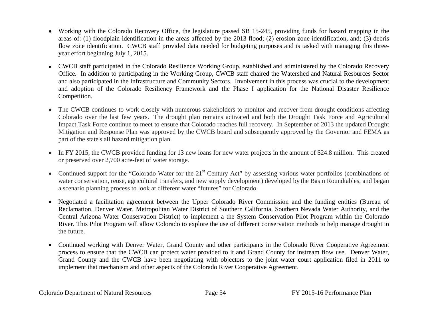- Working with the Colorado Recovery Office, the legislature passed SB 15-245, providing funds for hazard mapping in the areas of: (1) floodplain identification in the areas affected by the 2013 flood; (2) erosion zone identification, and; (3) debris flow zone identification. CWCB staff provided data needed for budgeting purposes and is tasked with managing this threeyear effort beginning July 1, 2015.
- CWCB staff participated in the Colorado Resilience Working Group, established and administered by the Colorado Recovery Office. In addition to participating in the Working Group, CWCB staff chaired the Watershed and Natural Resources Sector and also participated in the Infrastructure and Community Sectors. Involvement in this process was crucial to the development and adoption of the Colorado Resiliency Framework and the Phase I application for the National Disaster Resilience Competition.
- $\bullet$  The CWCB continues to work closely with numerous stakeholders to monitor and recover from drought conditions affecting Colorado over the last few years. The drought plan remains activated and both the Drought Task Force and Agricultural Impact Task Force continue to meet to ensure that Colorado reaches full recovery. In September of 2013 the updated Drought Mitigation and Response Plan was approved by the CWCB board and subsequently approved by the Governor and FEMA as part of the state's all hazard mitigation plan.
- $\bullet$  In FY 2015, the CWCB provided funding for 13 new loans for new water projects in the amount of \$24.8 million. This created or preserved over 2,700 acre-feet of water storage.
- Continued support for the "Colorado Water for the  $21<sup>st</sup>$  Century Act" by assessing various water portfolios (combinations of water conservation, reuse, agricultural transfers, and new supply development) developed by the Basin Roundtables, and began a scenario planning process to look at different water "futures" for Colorado.
- $\bullet$  Negotiated a facilitation agreement between the Upper Colorado River Commission and the funding entities (Bureau of Reclamation, Denver Water, Metropolitan Water District of Southern California, Southern Nevada Water Authority, and the Central Arizona Water Conservation District) to implement a the System Conservation Pilot Program within the Colorado River. This Pilot Program will allow Colorado to explore the use of different conservation methods to help manage drought in the future.
- Continued working with Denver Water, Grand County and other participants in the Colorado River Cooperative Agreement process to ensure that the CWCB can protect water provided to it and Grand County for instream flow use. Denver Water, Grand County and the CWCB have been negotiating with objectors to the joint water court application filed in 2011 to implement that mechanism and other aspects of the Colorado River Cooperative Agreement.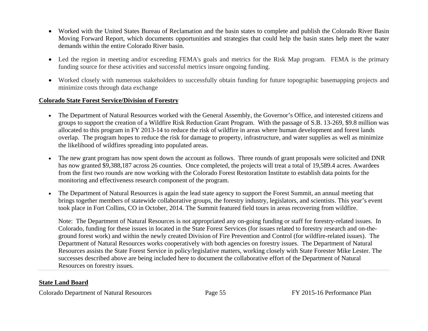- Worked with the United States Bureau of Reclamation and the basin states to complete and publish the Colorado River Basin Moving Forward Report, which documents opportunities and strategies that could help the basin states help meet the water demands within the entire Colorado River basin.
- Led the region in meeting and/or exceeding FEMA's goals and metrics for the Risk Map program. FEMA is the primary funding source for these activities and successful metrics insure ongoing funding.
- Worked closely with numerous stakeholders to successfully obtain funding for future topographic basemapping projects and minimize costs through data exchange

# **Colorado State Forest Service/Division of Forestry**

- The Department of Natural Resources worked with the General Assembly, the Governor's Office, and interested citizens and groups to support the creation of a Wildfire Risk Reduction Grant Program. With the passage of S.B. 13-269, \$9.8 million was allocated to this program in FY 2013-14 to reduce the risk of wildfire in areas where human development and forest lands overlap. The program hopes to reduce the risk for damage to property, infrastructure, and water supplies as well as minimize the likelihood of wildfires spreading into populated areas.
- $\bullet$  The new grant program has now spent down the account as follows. Three rounds of grant proposals were solicited and DNR has now granted \$9,388,187 across 26 counties. Once completed, the projects will treat a total of 19,589.4 acres. Awardees from the first two rounds are now working with the Colorado Forest Restoration Institute to establish data points for the monitoring and effectiveness research component of the program.
- $\bullet$  The Department of Natural Resources is again the lead state agency to support the Forest Summit, an annual meeting that brings together members of statewide collaborative groups, the forestry industry, legislators, and scientists. This year's event took place in Fort Collins, CO in October, 2014. The Summit featured field tours in areas recovering from wildfire.

Note: The Department of Natural Resources is not appropriated any on-going funding or staff for forestry-related issues. In Colorado, funding for these issues in located in the State Forest Services (for issues related to forestry research and on-theground forest work) and within the newly created Division of Fire Prevention and Control (for wildfire-related issues). The Department of Natural Resources works cooperatively with both agencies on forestry issues. The Department of Natural Resources assists the State Forest Service in policy/legislative matters, working closely with State Forester Mike Lester. The successes described above are being included here to document the collaborative effort of the Department of Natural Resources on forestry issues.

# **State Land Board**

Colorado Department of Natural Resources Page 55 FY 2015-16 Performance Plan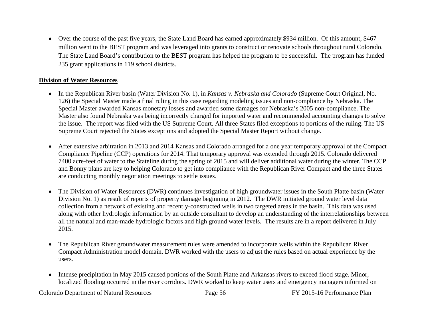Over the course of the past five years, the State Land Board has earned approximately \$934 million. Of this amount, \$467 million went to the BEST program and was leveraged into grants to construct or renovate schools throughout rural Colorado. The State Land Board's contribution to the BEST program has helped the program to be successful. The program has funded 235 grant applications in 119 school districts.

### **Division of Water Resources**

- In the Republican River basin (Water Division No. 1), in *Kansas v. Nebraska and Colorado* (Supreme Court Original, No. 126) the Special Master made a final ruling in this case regarding modeling issues and non-compliance by Nebraska. The Special Master awarded Kansas monetary losses and awarded some damages for Nebraska's 2005 non-compliance. The Master also found Nebraska was being incorrectly charged for imported water and recommended accounting changes to solve the issue. The report was filed with the US Supreme Court. All three States filed exceptions to portions of the ruling. The US Supreme Court rejected the States exceptions and adopted the Special Master Report without change.
- After extensive arbitration in 2013 and 2014 Kansas and Colorado arranged for a one year temporary approval of the Compact Compliance Pipeline (CCP) operations for 2014. That temporary approval was extended through 2015. Colorado delivered 7400 acre-feet of water to the Stateline during the spring of 2015 and will deliver additional water during the winter. The CCP and Bonny plans are key to helping Colorado to get into compliance with the Republican River Compact and the three States are conducting monthly negotiation meetings to settle issues.
- The Division of Water Resources (DWR) continues investigation of high groundwater issues in the South Platte basin (Water Division No. 1) as result of reports of property damage beginning in 2012. The DWR initiated ground water level data collection from a network of existing and recently-constructed wells in two targeted areas in the basin. This data was used along with other hydrologic information by an outside consultant to develop an understanding of the interrelationships between all the natural and man-made hydrologic factors and high ground water levels. The results are in a report delivered in July 2015.
- The Republican River groundwater measurement rules were amended to incorporate wells within the Republican River Compact Administration model domain. DWR worked with the users to adjust the rules based on actual experience by the users.
- $\bullet$  Intense precipitation in May 2015 caused portions of the South Platte and Arkansas rivers to exceed flood stage. Minor, localized flooding occurred in the river corridors. DWR worked to keep water users and emergency managers informed on

Colorado Department of Natural Resources Page 56 FY 2015-16 Performance Plan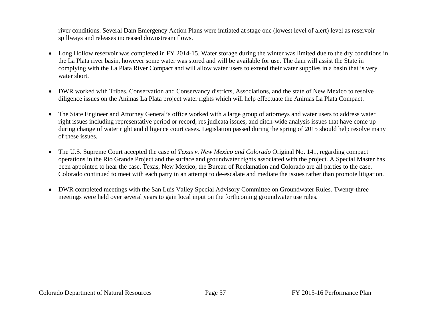river conditions. Several Dam Emergency Action Plans were initiated at stage one (lowest level of alert) level as reservoir spillways and releases increased downstream flows.

- Long Hollow reservoir was completed in FY 2014-15. Water storage during the winter was limited due to the dry conditions in the La Plata river basin, however some water was stored and will be available for use. The dam will assist the State in complying with the La Plata River Compact and will allow water users to extend their water supplies in a basin that is very water short.
- DWR worked with Tribes, Conservation and Conservancy districts, Associations, and the state of New Mexico to resolve diligence issues on the Animas La Plata project water rights which will help effectuate the Animas La Plata Compact.
- The State Engineer and Attorney General's office worked with a large group of attorneys and water users to address water right issues including representative period or record, res judicata issues, and ditch-wide analysis issues that have come up during change of water right and diligence court cases. Legislation passed during the spring of 2015 should help resolve many of these issues.
- $\bullet$  The U.S. Supreme Court accepted the case of *Texas v. New Mexico and Colorado* Original No. 141, regarding compact operations in the Rio Grande Project and the surface and groundwater rights associated with the project. A Special Master has been appointed to hear the case. Texas, New Mexico, the Bureau of Reclamation and Colorado are all parties to the case. Colorado continued to meet with each party in an attempt to de-escalate and mediate the issues rather than promote litigation.
- DWR completed meetings with the San Luis Valley Special Advisory Committee on Groundwater Rules. Twenty-three meetings were held over several years to gain local input on the forthcoming groundwater use rules.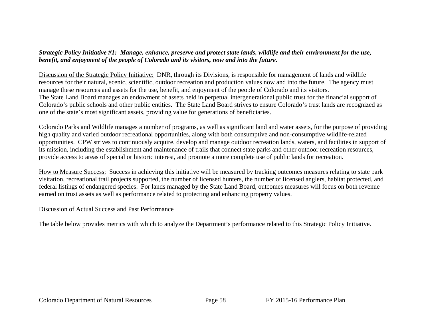# *Strategic Policy Initiative #1: Manage, enhance, preserve and protect state lands, wildlife and their environment for the use, benefit, and enjoyment of the people of Colorado and its visitors, now and into the future.*

Discussion of the Strategic Policy Initiative: DNR, through its Divisions, is responsible for management of lands and wildlife resources for their natural, scenic, scientific, outdoor recreation and production values now and into the future. The agency must manage these resources and assets for the use, benefit, and enjoyment of the people of Colorado and its visitors. The State Land Board manages an endowment of assets held in perpetual intergenerational public trust for the financial support of Colorado's public schools and other public entities. The State Land Board strives to ensure Colorado's trust lands are recognized as one of the state's most significant assets, providing value for generations of beneficiaries.

Colorado Parks and Wildlife manages a number of programs, as well as significant land and water assets, for the purpose of providing high quality and varied outdoor recreational opportunities, along with both consumptive and non-consumptive wildlife-related opportunities. CPW strives to continuously acquire, develop and manage outdoor recreation lands, waters, and facilities in support of its mission, including the establishment and maintenance of trails that connect state parks and other outdoor recreation resources, provide access to areas of special or historic interest, and promote a more complete use of public lands for recreation.

How to Measure Success: Success in achieving this initiative will be measured by tracking outcomes measures relating to state park visitation, recreational trail projects supported, the number of licensed hunters, the number of licensed anglers, habitat protected, and federal listings of endangered species. For lands managed by the State Land Board, outcomes measures will focus on both revenue earned on trust assets as well as performance related to protecting and enhancing property values.

# Discussion of Actual Success and Past Performance

The table below provides metrics with which to analyze the Department's performance related to this Strategic Policy Initiative.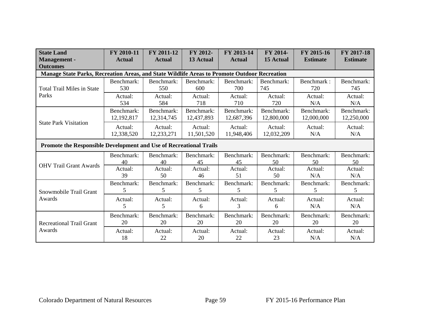| <b>State Land</b><br><b>Management</b> -<br><b>Outcomes</b>                                  | FY 2010-11<br><b>Actual</b> | FY 2011-12<br><b>Actual</b>                                                                                                                                                                                                                                                                                                                                                                                                                                                                                                                                                                                                                                                                                                                                                                                                            | FY 2012-<br>13 Actual | FY 2013-14<br><b>Actual</b> | FY 2014-<br><b>15 Actual</b> | FY 2015-16<br><b>Estimate</b> | FY 2017-18<br><b>Estimate</b> |  |  |  |
|----------------------------------------------------------------------------------------------|-----------------------------|----------------------------------------------------------------------------------------------------------------------------------------------------------------------------------------------------------------------------------------------------------------------------------------------------------------------------------------------------------------------------------------------------------------------------------------------------------------------------------------------------------------------------------------------------------------------------------------------------------------------------------------------------------------------------------------------------------------------------------------------------------------------------------------------------------------------------------------|-----------------------|-----------------------------|------------------------------|-------------------------------|-------------------------------|--|--|--|
| Manage State Parks, Recreation Areas, and State Wildlife Areas to Promote Outdoor Recreation |                             |                                                                                                                                                                                                                                                                                                                                                                                                                                                                                                                                                                                                                                                                                                                                                                                                                                        |                       |                             |                              |                               |                               |  |  |  |
| <b>Total Trail Miles in State</b>                                                            | Benchmark:<br>530           | Benchmark:<br>550                                                                                                                                                                                                                                                                                                                                                                                                                                                                                                                                                                                                                                                                                                                                                                                                                      | Benchmark:<br>600     | Benchmark:<br>700           | Benchmark:<br>745            | Benchmark:<br>720             | Benchmark:<br>745             |  |  |  |
| Parks                                                                                        | Actual:<br>534              | Actual:<br>Actual:<br>Actual:<br>Actual:<br>Actual:<br>584<br>718<br>710<br>720<br>N/A<br>Benchmark:<br>Benchmark:<br>Benchmark:<br>Benchmark:<br>Benchmark:<br>12,314,745<br>12,687,396<br>12,800,000<br>12,000,000<br>12,437,893<br>Actual:<br>Actual:<br>Actual:<br>Actual:<br>Actual:<br>12,233,271<br>11,501,520<br>11,948,406<br>12,032,209<br>N/A<br><b>Promote the Responsible Development and Use of Recreational Trails</b><br>Benchmark:<br>Benchmark:<br>Benchmark:<br>Benchmark:<br>Benchmark:<br>40<br>40<br>45<br>45<br>50<br>50<br>Actual:<br>Actual:<br>Actual:<br>Actual:<br>Actual:<br>39<br>50<br>50<br>46<br>51<br>N/A<br>Benchmark:<br>Benchmark:<br>Benchmark:<br>Benchmark:<br>Benchmark:<br>5<br>5<br>5<br>5<br>5<br>5<br>Actual:<br>Actual:<br>Actual:<br>Actual:<br>Actual:<br>5<br>5<br>3<br>N/A<br>6<br>6 | Actual:<br>N/A        |                             |                              |                               |                               |  |  |  |
|                                                                                              | Benchmark:<br>12,192,817    |                                                                                                                                                                                                                                                                                                                                                                                                                                                                                                                                                                                                                                                                                                                                                                                                                                        |                       |                             |                              |                               | Benchmark:<br>12,250,000      |  |  |  |
| <b>State Park Visitation</b>                                                                 | Actual:<br>12,338,520       |                                                                                                                                                                                                                                                                                                                                                                                                                                                                                                                                                                                                                                                                                                                                                                                                                                        |                       |                             |                              |                               | Actual:<br>N/A                |  |  |  |
|                                                                                              |                             |                                                                                                                                                                                                                                                                                                                                                                                                                                                                                                                                                                                                                                                                                                                                                                                                                                        |                       |                             |                              |                               |                               |  |  |  |
|                                                                                              | Benchmark:                  |                                                                                                                                                                                                                                                                                                                                                                                                                                                                                                                                                                                                                                                                                                                                                                                                                                        |                       |                             |                              |                               | Benchmark:<br>50              |  |  |  |
| <b>OHV Trail Grant Awards</b>                                                                | Actual:                     |                                                                                                                                                                                                                                                                                                                                                                                                                                                                                                                                                                                                                                                                                                                                                                                                                                        |                       |                             |                              |                               | Actual:<br>N/A                |  |  |  |
| Snowmobile Trail Grant                                                                       | Benchmark:                  |                                                                                                                                                                                                                                                                                                                                                                                                                                                                                                                                                                                                                                                                                                                                                                                                                                        |                       |                             |                              |                               | Benchmark:<br>5               |  |  |  |
| Awards                                                                                       | Actual:                     |                                                                                                                                                                                                                                                                                                                                                                                                                                                                                                                                                                                                                                                                                                                                                                                                                                        |                       |                             |                              |                               | Actual:<br>N/A                |  |  |  |
| <b>Recreational Trail Grant</b>                                                              | Benchmark:<br>20            | Benchmark:<br>20                                                                                                                                                                                                                                                                                                                                                                                                                                                                                                                                                                                                                                                                                                                                                                                                                       | Benchmark:<br>20      | Benchmark:<br>20            | Benchmark:<br>20             | Benchmark:<br>20              | Benchmark:<br>20              |  |  |  |
| Awards                                                                                       | Actual:<br>18               | Actual:<br>22                                                                                                                                                                                                                                                                                                                                                                                                                                                                                                                                                                                                                                                                                                                                                                                                                          | Actual:<br>20         | Actual:<br>22               | Actual:<br>23                | Actual:<br>N/A                | Actual:<br>N/A                |  |  |  |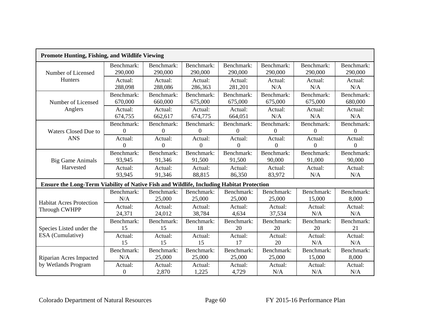| <b>Promote Hunting, Fishing, and Wildlife Viewing</b>                                    |                  |                |                |            |                  |            |            |  |  |
|------------------------------------------------------------------------------------------|------------------|----------------|----------------|------------|------------------|------------|------------|--|--|
| Number of Licensed                                                                       | Benchmark:       | Benchmark:     | Benchmark:     | Benchmark: | Benchmark:       | Benchmark: | Benchmark: |  |  |
|                                                                                          | 290,000          | 290,000        | 290,000        | 290,000    | 290,000          | 290,000    | 290,000    |  |  |
| Hunters                                                                                  | Actual:          | Actual:        | Actual:        | Actual:    | Actual:          | Actual:    | Actual:    |  |  |
|                                                                                          | 288,098          | 288,086        | 286,363        | 281,201    | N/A              | N/A        | N/A        |  |  |
| Number of Licensed                                                                       | Benchmark:       | Benchmark:     | Benchmark:     | Benchmark: | Benchmark:       | Benchmark: | Benchmark: |  |  |
|                                                                                          | 670,000          | 660,000        | 675,000        | 675,000    | 675,000          | 675,000    | 680,000    |  |  |
| Anglers                                                                                  | Actual:          | Actual:        | Actual:        | Actual:    | Actual:          | Actual:    | Actual:    |  |  |
|                                                                                          | 674,755          | 662,617        | 674,775        | 664,051    | N/A              | N/A        | N/A        |  |  |
| <b>Waters Closed Due to</b>                                                              | Benchmark:       | Benchmark:     | Benchmark:     | Benchmark: | Benchmark:       | Benchmark: | Benchmark: |  |  |
|                                                                                          | 0                | $\Omega$       | $\overline{0}$ | 0          | $\Omega$         | $\Omega$   | $\Omega$   |  |  |
| <b>ANS</b>                                                                               | Actual:          | Actual:        | Actual:        | Actual:    | Actual:          | Actual:    | Actual:    |  |  |
|                                                                                          | $\overline{0}$   | $\overline{0}$ | $\overline{0}$ | $\Omega$   | $\boldsymbol{0}$ | $\Omega$   | $\Omega$   |  |  |
| <b>Big Game Animals</b>                                                                  | Benchmark:       | Benchmark:     | Benchmark:     | Benchmark: | Benchmark:       | Benchmark: | Benchmark: |  |  |
|                                                                                          | 93,945           | 91,346         | 91,500         | 91,500     | 90,000           | 91,000     | 90,000     |  |  |
| Harvested                                                                                | Actual:          | Actual:        | Actual:        | Actual:    | Actual:          | Actual:    | Actual:    |  |  |
|                                                                                          | 93,945           | 91,346         | 88,815         | 86,350     | 83,972           | N/A        | N/A        |  |  |
| Ensure the Long-Term Viability of Native Fish and Wildlife, Including Habitat Protection |                  |                |                |            |                  |            |            |  |  |
| <b>Habitat Acres Protection</b>                                                          | Benchmark:       | Benchmark:     | Benchmark:     | Benchmark: | Benchmark:       | Benchmark: | Benchmark: |  |  |
|                                                                                          | N/A              | 25,000         | 25,000         | 25,000     | 25,000           | 15,000     | 8,000      |  |  |
| Through CWHPP                                                                            | Actual:          | Actual:        | Actual:        | Actual:    | Actual:          | Actual:    | Actual:    |  |  |
|                                                                                          | 24,371           | 24,012         | 38,784         | 4,634      | 37,534           | N/A        | N/A        |  |  |
| Species Listed under the                                                                 | Benchmark:       | Benchmark:     | Benchmark:     | Benchmark: | Benchmark:       | Benchmark: | Benchmark: |  |  |
|                                                                                          | 15               | 15             | 18             | 20         | 20               | 20         | 21         |  |  |
| ESA (Cumulative)                                                                         | Actual:          | Actual:        | Actual:        | Actual:    | Actual:          | Actual:    | Actual:    |  |  |
|                                                                                          | 15               | 15             | 15             | 17         | 20               | N/A        | N/A        |  |  |
| Riparian Acres Impacted                                                                  | Benchmark:       | Benchmark:     | Benchmark:     | Benchmark: | Benchmark:       | Benchmark: | Benchmark: |  |  |
|                                                                                          | N/A              | 25,000         | 25,000         | 25,000     | 25,000           | 15,000     | 8,000      |  |  |
| by Wetlands Program                                                                      | Actual:          | Actual:        | Actual:        | Actual:    | Actual:          | Actual:    | Actual:    |  |  |
|                                                                                          | $\boldsymbol{0}$ | 2,870          | 1,225          | 4,729      | N/A              | N/A        | N/A        |  |  |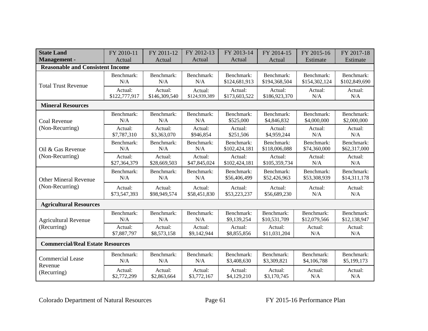| <b>State Land</b>                       | FY 2010-11    | FY 2011-12    | FY 2012-13    | FY 2013-14    | FY 2014-15    | FY 2015-16    | FY 2017-18    |
|-----------------------------------------|---------------|---------------|---------------|---------------|---------------|---------------|---------------|
| <b>Management</b> -                     | Actual        | Actual        | Actual        | Actual        | Actual        | Estimate      | Estimate      |
| <b>Reasonable and Consistent Income</b> |               |               |               |               |               |               |               |
| <b>Total Trust Revenue</b>              | Benchmark:    | Benchmark:    | Benchmark:    | Benchmark:    | Benchmark:    | Benchmark:    | Benchmark:    |
|                                         | N/A           | N/A           | N/A           | \$124,681,913 | \$194,368,504 | \$154,302,124 | \$102,849,690 |
|                                         | Actual:       | Actual:       | Actual:       | Actual:       | Actual:       | Actual:       | Actual:       |
|                                         | \$122,777,917 | \$146,309,540 | \$124,939,389 | \$173,603,522 | \$186,923,370 | N/A           | N/A           |
| <b>Mineral Resources</b>                |               |               |               |               |               |               |               |
| Coal Revenue                            | Benchmark:    | Benchmark:    | Benchmark:    | Benchmark:    | Benchmark:    | Benchmark:    | Benchmark:    |
|                                         | N/A           | N/A           | N/A           | \$525,000     | \$4,846,832   | \$4,000,000   | \$2,000,000   |
| (Non-Recurring)                         | Actual:       | Actual:       | Actual:       | Actual:       | Actual:       | Actual:       | Actual:       |
|                                         | \$7,787,310   | \$3,363,070   | \$946,854     | \$251,506     | \$4,959,244   | N/A           | N/A           |
| Oil & Gas Revenue                       | Benchmark:    | Benchmark:    | Benchmark:    | Benchmark:    | Benchmark:    | Benchmark:    | Benchmark:    |
|                                         | N/A           | N/A           | N/A           | \$102,424,181 | \$118,006,088 | \$74,360,000  | \$62,317,000  |
| (Non-Recurring)                         | Actual:       | Actual:       | Actual:       | Actual:       | Actual:       | Actual:       | Actual:       |
|                                         | \$27,364,379  | \$28,669,503  | \$47,845,024  | \$102,424,181 | \$105,359,734 | N/A           | N/A           |
| <b>Other Mineral Revenue</b>            | Benchmark:    | Benchmark:    | Benchmark:    | Benchmark:    | Benchmark:    | Benchmark:    | Benchmark:    |
|                                         | N/A           | N/A           | N/A           | \$56,406,499  | \$52,426,963  | \$53,308,939  | \$14,311,178  |
| (Non-Recurring)                         | Actual:       | Actual:       | Actual:       | Actual:       | Actual:       | Actual:       | Actual:       |
|                                         | \$73,547,393  | \$98,949,574  | \$58,451,830  | \$53,223,237  | \$56,689,230  | N/A           | N/A           |
| <b>Agricultural Resources</b>           |               |               |               |               |               |               |               |
| <b>Agricultural Revenue</b>             | Benchmark:    | Benchmark:    | Benchmark:    | Benchmark:    | Benchmark:    | Benchmark:    | Benchmark:    |
|                                         | N/A           | N/A           | N/A           | \$9,139,254   | \$10,531,709  | \$12,079,566  | \$12,138,947  |
| (Recurring)                             | Actual:       | Actual:       | Actual:       | Actual:       | Actual:       | Actual:       | Actual:       |
|                                         | \$7,887,797   | \$8,573,158   | \$9,142,944   | \$8,855,856   | \$11,031,204  | N/A           | N/A           |
| <b>Commercial/Real Estate Resources</b> |               |               |               |               |               |               |               |
| <b>Commercial Lease</b>                 | Benchmark:    | Benchmark:    | Benchmark:    | Benchmark:    | Benchmark:    | Benchmark:    | Benchmark:    |
|                                         | N/A           | N/A           | N/A           | \$3,408,630   | \$3,309,821   | \$4,106,788   | \$5,199,173   |
| Revenue                                 | Actual:       | Actual:       | Actual:       | Actual:       | Actual:       | Actual:       | Actual:       |
| (Recurring)                             | \$2,772,299   | \$2,863,664   | \$3,772,167   | \$4,129,210   | \$3,170,745   | N/A           | N/A           |

Colorado Department of Natural Resources Page 61 FY 2015-16 Performance Plan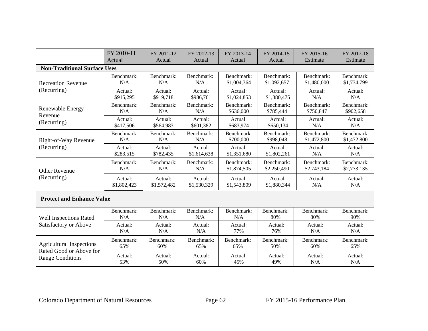|                                     | FY 2010-11  | FY 2011-12  | FY 2012-13  | FY 2013-14  | FY 2014-15  | FY 2015-16  | FY 2017-18  |  |  |
|-------------------------------------|-------------|-------------|-------------|-------------|-------------|-------------|-------------|--|--|
|                                     | Actual      | Actual      | Actual      | Actual      | Actual      | Estimate    | Estimate    |  |  |
| <b>Non-Traditional Surface Uses</b> |             |             |             |             |             |             |             |  |  |
| <b>Recreation Revenue</b>           | Benchmark:  | Benchmark:  | Benchmark:  | Benchmark:  | Benchmark:  | Benchmark:  | Benchmark:  |  |  |
|                                     | N/A         | N/A         | N/A         | \$1,004,364 | \$1,092,657 | \$1,480,000 | \$1,734,799 |  |  |
| (Recurring)                         | Actual:     | Actual:     | Actual:     | Actual:     | Actual:     | Actual:     | Actual:     |  |  |
|                                     | \$915,295   | \$919,718   | \$986,761   | \$1,024,853 | \$1,380,475 | N/A         | N/A         |  |  |
| <b>Renewable Energy</b>             | Benchmark:  | Benchmark:  | Benchmark:  | Benchmark:  | Benchmark:  | Benchmark:  | Benchmark:  |  |  |
| Revenue                             | N/A         | N/A         | N/A         | \$636,000   | \$785,444   | \$750,847   | \$902,658   |  |  |
| (Recurring)                         | Actual:     | Actual:     | Actual:     | Actual:     | Actual:     | Actual:     | Actual:     |  |  |
|                                     | \$417,506   | \$564,983   | \$601,382   | \$683,974   | \$650,134   | N/A         | N/A         |  |  |
| Right-of-Way Revenue                | Benchmark:  | Benchmark:  | Benchmark:  | Benchmark:  | Benchmark:  | Benchmark:  | Benchmark:  |  |  |
|                                     | N/A         | N/A         | N/A         | \$700,000   | \$998,048   | \$1,472,800 | \$1,472,800 |  |  |
| (Recurring)                         | Actual:     | Actual:     | Actual:     | Actual:     | Actual:     | Actual:     | Actual:     |  |  |
|                                     | \$283,515   | \$782,435   | \$1,614,638 | \$1,351,680 | \$1,802,261 | N/A         | N/A         |  |  |
| <b>Other Revenue</b>                | Benchmark:  | Benchmark:  | Benchmark:  | Benchmark:  | Benchmark:  | Benchmark:  | Benchmark:  |  |  |
|                                     | N/A         | N/A         | N/A         | \$1,874,505 | \$2,250,490 | \$2,743,184 | \$2,773,135 |  |  |
| (Recurring)                         | Actual:     | Actual:     | Actual:     | Actual:     | Actual:     | Actual:     | Actual:     |  |  |
|                                     | \$1,802,423 | \$1,572,482 | \$1,530,329 | \$1,543,809 | \$1,880,344 | N/A         | N/A         |  |  |
| <b>Protect and Enhance Value</b>    |             |             |             |             |             |             |             |  |  |
| <b>Well Inspections Rated</b>       | Benchmark:  | Benchmark:  | Benchmark:  | Benchmark:  | Benchmark:  | Benchmark:  | Benchmark:  |  |  |
|                                     | N/A         | N/A         | N/A         | N/A         | 80%         | 80%         | 90%         |  |  |
| Satisfactory or Above               | Actual:     | Actual:     | Actual:     | Actual:     | Actual:     | Actual:     | Actual:     |  |  |
|                                     | N/A         | N/A         | N/A         | 77%         | 76%         | N/A         | N/A         |  |  |
| <b>Agricultural Inspections</b>     | Benchmark:  | Benchmark:  | Benchmark:  | Benchmark:  | Benchmark:  | Benchmark:  | Benchmark:  |  |  |
| Rated Good or Above for             | 65%         | 60%         | 65%         | 65%         | 50%         | 60%         | 65%         |  |  |
| <b>Range Conditions</b>             | Actual:     | Actual:     | Actual:     | Actual:     | Actual:     | Actual:     | Actual:     |  |  |
|                                     | 53%         | 50%         | 60%         | 45%         | 49%         | N/A         | N/A         |  |  |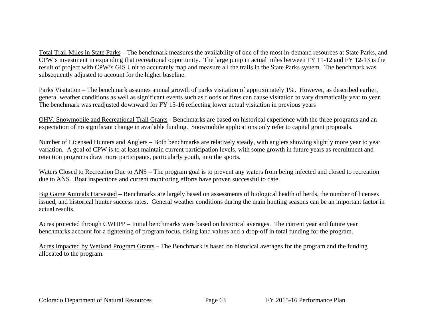Total Trail Miles in State Parks – The benchmark measures the availability of one of the most in-demand resources at State Parks, and CPW's investment in expanding that recreational opportunity. The large jump in actual miles between FY 11-12 and FY 12-13 is the result of project with CPW's GIS Unit to accurately map and measure all the trails in the State Parks system. The benchmark was subsequently adjusted to account for the higher baseline.

Parks Visitation – The benchmark assumes annual growth of parks visitation of approximately 1%. However, as described earlier, general weather conditions as well as significant events such as floods or fires can cause visitation to vary dramatically year to year. The benchmark was readjusted downward for FY 15-16 reflecting lower actual visitation in previous years

OHV, Snowmobile and Recreational Trail Grants - Benchmarks are based on historical experience with the three programs and an expectation of no significant change in available funding. Snowmobile applications only refer to capital grant proposals.

Number of Licensed Hunters and Anglers – Both benchmarks are relatively steady, with anglers showing slightly more year to year variation. A goal of CPW is to at least maintain current participation levels, with some growth in future years as recruitment and retention programs draw more participants, particularly youth, into the sports.

Waters Closed to Recreation Due to ANS – The program goal is to prevent any waters from being infected and closed to recreation due to ANS. Boat inspections and current monitoring efforts have proven successful to date.

Big Game Animals Harvested – Benchmarks are largely based on assessments of biological health of herds, the number of licenses issued, and historical hunter success rates. General weather conditions during the main hunting seasons can be an important factor in actual results.

Acres protected through CWHPP – Initial benchmarks were based on historical averages. The current year and future year benchmarks account for a tightening of program focus, rising land values and a drop-off in total funding for the program.

Acres Impacted by Wetland Program Grants – The Benchmark is based on historical averages for the program and the funding allocated to the program.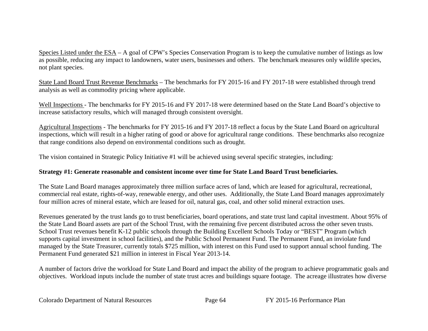Species Listed under the ESA – A goal of CPW's Species Conservation Program is to keep the cumulative number of listings as low as possible, reducing any impact to landowners, water users, businesses and others. The benchmark measures only wildlife species, not plant species.

State Land Board Trust Revenue Benchmarks – The benchmarks for FY 2015-16 and FY 2017-18 were established through trend analysis as well as commodity pricing where applicable.

Well Inspections - The benchmarks for FY 2015-16 and FY 2017-18 were determined based on the State Land Board's objective to increase satisfactory results, which will managed through consistent oversight.

Agricultural Inspections - The benchmarks for FY 2015-16 and FY 2017-18 reflect a focus by the State Land Board on agricultural inspections, which will result in a higher rating of good or above for agricultural range conditions. These benchmarks also recognize that range conditions also depend on environmental conditions such as drought.

The vision contained in Strategic Policy Initiative #1 will be achieved using several specific strategies, including:

# **Strategy #1: Generate reasonable and consistent income over time for State Land Board Trust beneficiaries.**

The State Land Board manages approximately three million surface acres of land, which are leased for agricultural, recreational, commercial real estate, rights-of-way, renewable energy, and other uses. Additionally, the State Land Board manages approximately four million acres of mineral estate, which are leased for oil, natural gas, coal, and other solid mineral extraction uses.

Revenues generated by the trust lands go to trust beneficiaries, board operations, and state trust land capital investment. About 95% of the State Land Board assets are part of the School Trust, with the remaining five percent distributed across the other seven trusts. School Trust revenues benefit K-12 public schools through the Building Excellent Schools Today or "BEST" Program (which supports capital investment in school facilities), and the Public School Permanent Fund. The Permanent Fund, an inviolate fund managed by the State Treasurer, currently totals \$725 million, with interest on this Fund used to support annual school funding. The Permanent Fund generated \$21 million in interest in Fiscal Year 2013-14.

A number of factors drive the workload for State Land Board and impact the ability of the program to achieve programmatic goals and objectives. Workload inputs include the number of state trust acres and buildings square footage. The acreage illustrates how diverse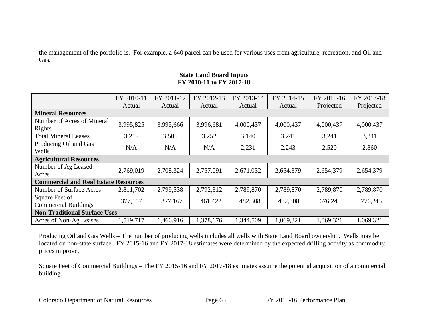the management of the portfolio is. For example, a 640 parcel can be used for various uses from agriculture, recreation, and Oil and Gas.

# **State Land Board Inputs FY 2010-11 to FY 2017-18**

|                                               | FY 2010-11 | FY 2011-12 | FY 2012-13 | FY 2013-14 | FY 2014-15 | FY 2015-16 | FY 2017-18 |  |  |
|-----------------------------------------------|------------|------------|------------|------------|------------|------------|------------|--|--|
|                                               | Actual     | Actual     | Actual     | Actual     | Actual     | Projected  | Projected  |  |  |
| <b>Mineral Resources</b>                      |            |            |            |            |            |            |            |  |  |
| Number of Acres of Mineral<br>Rights          | 3,995,825  | 3,995,666  | 3,996,681  | 4,000,437  | 4,000,437  | 4,000,437  | 4,000,437  |  |  |
| <b>Total Mineral Leases</b>                   | 3,212      | 3,505      | 3,252      | 3,140      | 3,241      | 3,241      | 3,241      |  |  |
| Producing Oil and Gas<br>Wells                | N/A        | N/A        | N/A        | 2,231      | 2,243      | 2,520      | 2,860      |  |  |
| <b>Agricultural Resources</b>                 |            |            |            |            |            |            |            |  |  |
| Number of Ag Leased<br>Acres                  | 2,769,019  | 2,708,324  | 2,757,091  | 2,671,032  | 2,654,379  | 2,654,379  | 2,654,379  |  |  |
| <b>Commercial and Real Estate Resources</b>   |            |            |            |            |            |            |            |  |  |
| <b>Number of Surface Acres</b>                | 2,811,702  | 2,799,538  | 2,792,312  | 2,789,870  | 2,789,870  | 2,789,870  | 2,789,870  |  |  |
| Square Feet of<br><b>Commercial Buildings</b> | 377,167    | 377,167    | 461,422    | 482,308    | 482,308    | 676,245    | 776,245    |  |  |
| <b>Non-Traditional Surface Uses</b>           |            |            |            |            |            |            |            |  |  |
| Acres of Non-Ag Leases                        | 1,519,717  | 1,466,916  | 1,378,676  | 1,344,509  | 1,069,321  | 1,069,321  | 1,069,321  |  |  |

Producing Oil and Gas Wells – The number of producing wells includes all wells with State Land Board ownership. Wells may be located on non-state surface. FY 2015-16 and FY 2017-18 estimates were determined by the expected drilling activity as commodity prices improve.

Square Feet of Commercial Buildings – The FY 2015-16 and FY 2017-18 estimates assume the potential acquisition of a commercial building.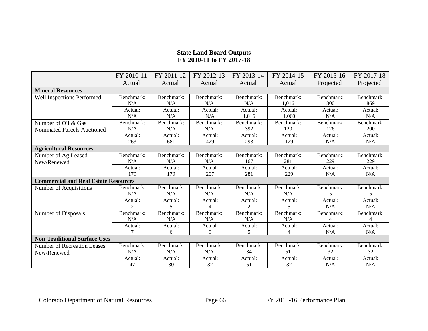# **State Land Board Outputs FY 2010-11 to FY 2017-18**

|                                             | FY 2010-11                  | FY 2011-12 | FY 2012-13 | FY 2013-14     | FY 2014-15 | FY 2015-16               | FY 2017-18               |
|---------------------------------------------|-----------------------------|------------|------------|----------------|------------|--------------------------|--------------------------|
|                                             | Actual                      | Actual     | Actual     | Actual         | Actual     | Projected                | Projected                |
| <b>Mineral Resources</b>                    |                             |            |            |                |            |                          |                          |
| Well Inspections Performed                  | Benchmark:                  | Benchmark: | Benchmark: | Benchmark:     | Benchmark: | Benchmark:               | Benchmark:               |
|                                             | N/A                         | N/A        | N/A        | N/A            | 1,016      | 800                      | 869                      |
|                                             | Actual:                     | Actual:    | Actual:    | Actual:        | Actual:    | Actual:                  | Actual:                  |
|                                             | N/A                         | N/A        | N/A        | 1,016          | 1,060      | N/A                      | N/A                      |
| Number of Oil & Gas                         | Benchmark:                  | Benchmark: | Benchmark: | Benchmark:     | Benchmark: | Benchmark:               | Benchmark:               |
| <b>Nominated Parcels Auctioned</b>          | N/A                         | N/A        | N/A        | 392            | 120        | 126                      | 200                      |
|                                             | Actual:                     | Actual:    | Actual:    | Actual:        | Actual:    | Actual:                  | Actual:                  |
|                                             | 263                         | 681        | 429        | 293            | 129        | N/A                      | N/A                      |
| <b>Agricultural Resources</b>               |                             |            |            |                |            |                          |                          |
| Number of Ag Leased                         | Benchmark:                  | Benchmark: | Benchmark: | Benchmark:     | Benchmark: | Benchmark:               | Benchmark:               |
| New/Renewed                                 | N/A                         | N/A        | N/A        | 167            | 281        | 229                      | 229                      |
|                                             | Actual:                     | Actual:    | Actual:    | Actual:        | Actual:    | Actual:                  | Actual:                  |
|                                             | 179                         | 179        | 207        | 281            | 229        | N/A                      | N/A                      |
| <b>Commercial and Real Estate Resources</b> |                             |            |            |                |            |                          |                          |
| Number of Acquisitions                      | Benchmark:                  | Benchmark: | Benchmark: | Benchmark:     | Benchmark: | Benchmark:               | Benchmark:               |
|                                             | N/A                         | N/A        | N/A        | N/A            | N/A        | $\overline{\mathcal{L}}$ | $\overline{\phantom{1}}$ |
|                                             | Actual:                     | Actual:    | Actual:    | Actual:        | Actual:    | Actual:                  | Actual:                  |
|                                             | $\mathcal{D}_{\mathcal{L}}$ | 5          | 4          | $\mathfrak{D}$ |            | N/A                      | N/A                      |
| Number of Disposals                         | Benchmark:                  | Benchmark: | Benchmark: | Benchmark:     | Benchmark: | Benchmark:               | Benchmark:               |
|                                             | N/A                         | N/A        | N/A        | N/A            | N/A        | 4                        | 4                        |
|                                             | Actual:                     | Actual:    | Actual:    | Actual:        | Actual:    | Actual:                  | Actual:                  |
|                                             |                             | 6          | 9          | 5              | 4          | N/A                      | N/A                      |
| <b>Non-Traditional Surface Uses</b>         |                             |            |            |                |            |                          |                          |
| Number of Recreation Leases                 | Benchmark:                  | Benchmark: | Benchmark: | Benchmark:     | Benchmark: | Benchmark:               | Benchmark:               |
| New/Renewed                                 | N/A                         | N/A        | N/A        | 34             | 51         | 32                       | 32                       |
|                                             | Actual:                     | Actual:    | Actual:    | Actual:        | Actual:    | Actual:                  | Actual:                  |
|                                             | 47                          | 30         | 32         | 51             | 32         | N/A                      | N/A                      |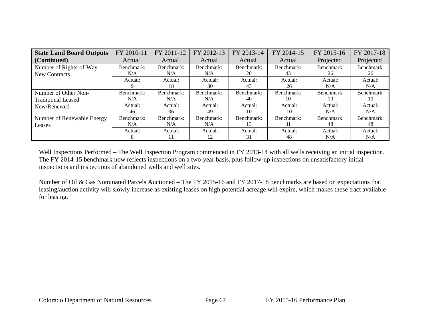| <b>State Land Board Outputs</b> | FY 2010-11 | FY 2011-12 | FY 2012-13 | FY 2013-14 | FY 2014-15 | FY 2015-16 | FY 2017-18 |
|---------------------------------|------------|------------|------------|------------|------------|------------|------------|
| (Continued)                     | Actual     | Actual     | Actual     | Actual     | Actual     | Projected  | Projected  |
| Number of Rights-of-Way         | Benchmark: | Benchmark: | Benchmark: | Benchmark: | Benchmark: | Benchmark: | Benchmark: |
| New Contracts                   | N/A        | N/A        | N/A        | 20         | 43         | 26         | 26         |
|                                 | Actual:    | Actual:    | Actual:    | Actual:    | Actual:    | Actual:    | Actual:    |
|                                 |            | 18         | 30         | 43         | 26         | N/A        | N/A        |
| Number of Other Non-            | Benchmark: | Benchmark: | Benchmark: | Benchmark: | Benchmark: | Benchmark: | Benchmark: |
| <b>Traditional Leased</b>       | N/A        | N/A        | N/A        | 40         | 10         | 10         | 10         |
| New/Renewed                     | Actual:    | Actual:    | Actual:    | Actual:    | Actual:    | Actual:    | Actual:    |
|                                 | 46         | 36         | 49         | 10         | 10         | N/A        | N/A        |
| Number of Renewable Energy      | Benchmark: | Benchmark: | Benchmark: | Benchmark: | Benchmark: | Benchmark: | Benchmark: |
| Leases                          | N/A        | N/A        | N/A        | 13         | 31         | 48         | 48         |
|                                 | Actual:    | Actual:    | Actual:    | Actual:    | Actual:    | Actual:    | Actual:    |
|                                 | 8          |            | 12         | 31         | 48         | N/A        | N/A        |

Well Inspections Performed – The Well Inspection Program commenced in FY 2013-14 with all wells receiving an initial inspection. The FY 2014-15 benchmark now reflects inspections on a two-year basis, plus follow-up inspections on unsatisfactory initial inspections and inspections of abandoned wells and well sites.

Number of Oil & Gas Nominated Parcels Auctioned – The FY 2015-16 and FY 2017-18 benchmarks are based on expectations that leasing/auction activity will slowly increase as existing leases on high potential acreage will expire, which makes these tract available for leasing.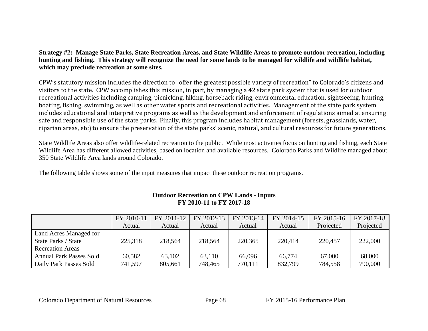**Strategy #2: Manage State Parks, State Recreation Areas, and State Wildlife Areas to promote outdoor recreation, including hunting and fishing. This strategy will recognize the need for some lands to be managed for wildlife and wildlife habitat, which may preclude recreation at some sites.** 

CPW's statutory mission includes the direction to "offer the greatest possible variety of recreation" to Colorado's citizens and visitors to the state. CPW accomplishes this mission, in part, by managing a 42 state park system that is used for outdoor recreational activities including camping, picnicking, hiking, horseback riding, environmental education, sightseeing, hunting, boating, fishing, swimming, as well as other water sports and recreational activities. Management of the state park system includes educational and interpretive programs as well as the development and enforcement of regulations aimed at ensuring safe and responsible use of the state parks. Finally, this program includes habitat management (forests, grasslands, water, riparian areas, etc) to ensure the preservation of the state parks' scenic, natural, and cultural resources for future generations.

State Wildlife Areas also offer wildlife-related recreation to the public. While most activities focus on hunting and fishing, each State Wildlife Area has different allowed activities, based on location and available resources. Colorado Parks and Wildlife managed about 350 State Wildlife Area lands around Colorado.

The following table shows some of the input measures that impact these outdoor recreation programs.

|                                | FY 2010-11 | FY 2011-12 | FY 2012-13 | FY 2013-14 | FY 2014-15 | FY 2015-16 | FY 2017-18 |
|--------------------------------|------------|------------|------------|------------|------------|------------|------------|
|                                | Actual     | Actual     | Actual     | Actual     | Actual     | Projected  | Projected  |
| Land Acres Managed for         |            |            |            |            |            |            |            |
| State Parks / State            | 225,318    | 218,564    | 218,564    | 220,365    | 220,414    | 220,457    | 222,000    |
| <b>Recreation Areas</b>        |            |            |            |            |            |            |            |
| <b>Annual Park Passes Sold</b> | 60,582     | 63,102     | 63,110     | 66,096     | 66,774     | 67,000     | 68,000     |
| Daily Park Passes Sold         | 741.597    | 805,661    | 748,465    | 770,111    | 832,799    | 784,558    | 790,000    |

# **Outdoor Recreation on CPW Lands - Inputs FY 2010-11 to FY 2017-18**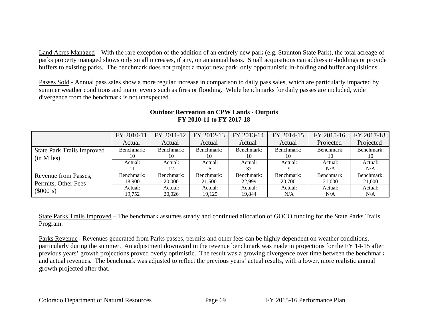Land Acres Managed – With the rare exception of the addition of an entirely new park (e.g. Staunton State Park), the total acreage of parks property managed shows only small increases, if any, on an annual basis. Small acquisitions can address in-holdings or provide buffers to existing parks. The benchmark does not project a major new park, only opportunistic in-holding and buffer acquisitions.

Passes Sold - Annual pass sales show a more regular increase in comparison to daily pass sales, which are particularly impacted by summer weather conditions and major events such as fires or flooding. While benchmarks for daily passes are included, wide divergence from the benchmark is not unexpected.

|                                   | FY 2010-11 | $FY$ 2011-12 | FY 2012-13 | FY 2013-14 | FY 2014-15 | FY 2015-16 | FY 2017-18 |
|-----------------------------------|------------|--------------|------------|------------|------------|------------|------------|
|                                   | Actual     | Actual       | Actual     | Actual     | Actual     | Projected  | Projected  |
| <b>State Park Trails Improved</b> | Benchmark: | Benchmark:   | Benchmark: | Benchmark: | Benchmark: | Benchmark: | Benchmark: |
| (in Miles)                        | 10         |              | 10         | 10         | 10         | 10         |            |
|                                   | Actual:    | Actual:      | Actual:    | Actual:    | Actual:    | Actual:    | Actual:    |
|                                   |            | 12           |            | 37         |            | N/A        | N/A        |
| Revenue from Passes,              | Benchmark: | Benchmark:   | Benchmark: | Benchmark: | Benchmark: | Benchmark: | Benchmark: |
| Permits, Other Fees               | 18.900     | 20,000       | 21,500     | 22.999     | 20,700     | 21,000     | 21,000     |
| (\$000's)                         | Actual:    | Actual:      | Actual:    | Actual:    | Actual:    | Actual:    | Actual:    |
|                                   | 19.752     | 20,026       | 19,125     | 19.844     | N/A        | N/A        | N/A        |

## **Outdoor Recreation on CPW Lands - Outputs FY 2010-11 to FY 2017-18**

State Parks Trails Improved – The benchmark assumes steady and continued allocation of GOCO funding for the State Parks Trails Program.

Parks Revenue –Revenues generated from Parks passes, permits and other fees can be highly dependent on weather conditions, particularly during the summer. An adjustment downward in the revenue benchmark was made in projections for the FY 14-15 after previous years' growth projections proved overly optimistic. The result was a growing divergence over time between the benchmark and actual revenues. The benchmark was adjusted to reflect the previous years' actual results, with a lower, more realistic annual growth projected after that.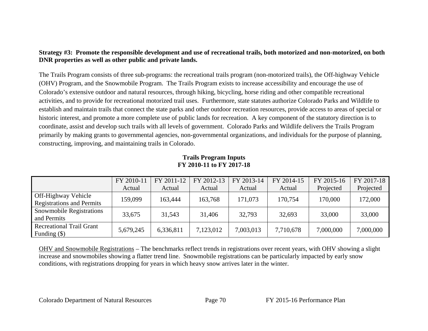## **Strategy #3: Promote the responsible development and use of recreational trails, both motorized and non-motorized, on both DNR properties as well as other public and private lands.**

The Trails Program consists of three sub-programs: the recreational trails program (non-motorized trails), the Off-highway Vehicle (OHV) Program, and the Snowmobile Program. The Trails Program exists to increase accessibility and encourage the use of Colorado's extensive outdoor and natural resources, through hiking, bicycling, horse riding and other compatible recreational activities, and to provide for recreational motorized trail uses. Furthermore, state statutes authorize Colorado Parks and Wildlife to establish and maintain trails that connect the state parks and other outdoor recreation resources, provide access to areas of special or historic interest, and promote a more complete use of public lands for recreation. A key component of the statutory direction is to coordinate, assist and develop such trails with all levels of government. Colorado Parks and Wildlife delivers the Trails Program primarily by making grants to governmental agencies, non-governmental organizations, and individuals for the purpose of planning, constructing, improving, and maintaining trails in Colorado.

|                                                         | FY 2010-11 | FY 2011-12 | FY 2012-13 | FY 2013-14 | FY 2014-15 | FY 2015-16 | FY 2017-18 |
|---------------------------------------------------------|------------|------------|------------|------------|------------|------------|------------|
|                                                         | Actual     | Actual     | Actual     | Actual     | Actual     | Projected  | Projected  |
| Off-Highway Vehicle<br><b>Registrations and Permits</b> | 159,099    | 163,444    | 163,768    | 171,073    | 170,754    | 170,000    | 172,000    |
| <b>Snowmobile Registrations</b><br>and Permits          | 33,675     | 31,543     | 31.406     | 32,793     | 32,693     | 33,000     | 33,000     |
| <b>Recreational Trail Grant</b><br>Funding $(\$)$       | 5,679,245  | 6,336,811  | 7,123,012  | 7,003,013  | 7,710,678  | 7,000,000  | 7,000,000  |

#### **Trails Program Inputs FY 2010-11 to FY 2017-18**

OHV and Snowmobile Registrations – The benchmarks reflect trends in registrations over recent years, with OHV showing a slight increase and snowmobiles showing a flatter trend line. Snowmobile registrations can be particularly impacted by early snow conditions, with registrations dropping for years in which heavy snow arrives later in the winter.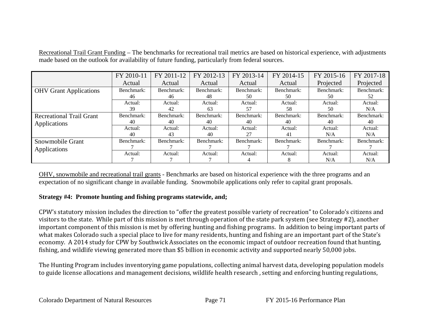Recreational Trail Grant Funding – The benchmarks for recreational trail metrics are based on historical experience, with adjustments made based on the outlook for availability of future funding, particularly from federal sources.

|                                 | FY 2010-11 | FY 2011-12 | FY 2012-13 | FY 2013-14 | FY 2014-15 | FY 2015-16 | FY 2017-18 |
|---------------------------------|------------|------------|------------|------------|------------|------------|------------|
|                                 | Actual     | Actual     | Actual     | Actual     | Actual     | Projected  | Projected  |
| <b>OHV Grant Applications</b>   | Benchmark: | Benchmark: | Benchmark: | Benchmark: | Benchmark: | Benchmark: | Benchmark: |
|                                 | 46         | 46         | 48         | 50         | 50         | 50         | 52         |
|                                 | Actual:    | Actual:    | Actual:    | Actual:    | Actual:    | Actual:    | Actual:    |
|                                 | 39         | 42         | 63         | 57         | 58         | 50         | N/A        |
| <b>Recreational Trail Grant</b> | Benchmark: | Benchmark: | Benchmark: | Benchmark: | Benchmark: | Benchmark: | Benchmark: |
| Applications                    | 40         | 40         | 40         | 40         | 40         | 40         | 40         |
|                                 | Actual:    | Actual:    | Actual:    | Actual:    | Actual:    | Actual:    | Actual:    |
|                                 | 40         | 43         | 40         | 27         | 41         | N/A        | N/A        |
| Snowmobile Grant                | Benchmark: | Benchmark: | Benchmark: | Benchmark: | Benchmark: | Benchmark: | Benchmark: |
| Applications                    |            |            |            |            |            |            |            |
|                                 | Actual:    | Actual:    | Actual:    | Actual:    | Actual:    | Actual:    | Actual:    |
|                                 |            |            |            |            | 8          | N/A        | N/A        |

OHV, snowmobile and recreational trail grants - Benchmarks are based on historical experience with the three programs and an expectation of no significant change in available funding. Snowmobile applications only refer to capital grant proposals.

## **Strategy #4: Promote hunting and fishing programs statewide, and;**

CPW's statutory mission includes the direction to "offer the greatest possible variety of recreation" to Colorado's citizens and visitors to the state. While part of this mission is met through operation of the state park system (see Strategy #2), another important component of this mission is met by offering hunting and fishing programs. In addition to being important parts of what makes Colorado such a special place to live for many residents, hunting and fishing are an important part of the State's economy. A 2014 study for CPW by Southwick Associates on the economic impact of outdoor recreation found that hunting, fishing, and wildlife viewing generated more than \$5 billion in economic activity and supported nearly 50,000 jobs.

The Hunting Program includes inventorying game populations, collecting animal harvest data, developing population models to guide license allocations and management decisions, wildlife health research , setting and enforcing hunting regulations.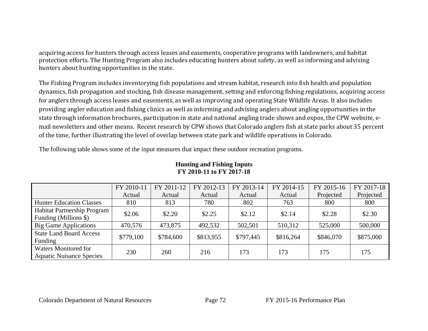acquiring access for hunters through access leases and easements, cooperative programs with landowners, and habitat protection efforts. The Hunting Program also includes educating hunters about safety, as well as informing and advising hunters about hunting opportunities in the state.

The Fishing Program includes inventorying fish populations and stream habitat, research into fish health and population dynamics, fish propagation and stocking, fish disease management, setting and enforcing fishing regulations, acquiring access for anglers through access leases and easements, as well as improving and operating State Wildlife Areas. It also includes providing angler education and fishing clinics as well as informing and advising anglers about angling opportunities in the state through information brochures, participation in state and national angling trade shows and expos, the CPW website, email newsletters and other means. Recent research by CPW shows that Colorado anglers fish at state parks about 35 percent of the time, further illustrating the level of overlap between state park and wildlife operations in Colorado.

The following table shows some of the input measures that impact these outdoor recreation programs.

|                                                                | FY 2010-11 | FY 2011-12 | FY 2012-13 | FY 2013-14 | FY 2014-15 | FY 2015-16 | FY 2017-18 |
|----------------------------------------------------------------|------------|------------|------------|------------|------------|------------|------------|
|                                                                | Actual     | Actual     | Actual     | Actual     | Actual     | Projected  | Projected  |
| <b>Hunter Education Classes</b>                                | 810        | 813        | 780        | 802        | 763        | 800        | 800        |
| Habitat Partnership Program<br>Funding (Millions \$)           | \$2.06     | \$2.20     | \$2.25     | \$2.12     | \$2.14     | \$2.28     | \$2.30     |
| <b>Big Game Applications</b>                                   | 470,576    | 473,875    | 492,532    | 502,501    | 510,312    | 525,000    | 500,000    |
| <b>State Land Board Access</b><br>Funding                      | \$779,100  | \$784,600  | \$813,955  | \$797,445  | \$816,264  | \$846,070  | \$875,000  |
| <b>Waters Monitored for</b><br><b>Aquatic Nuisance Species</b> | 230        | 260        | 216        | 173        | 173        | 175        | 175        |

#### **Hunting and Fishing Inputs FY 2010-11 to FY 2017-18**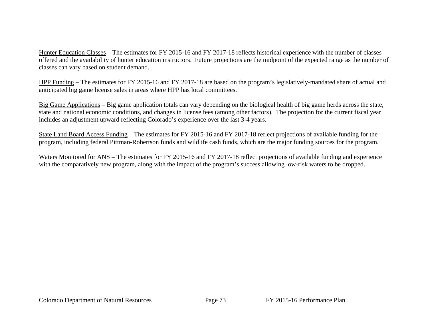Hunter Education Classes – The estimates for FY 2015-16 and FY 2017-18 reflects historical experience with the number of classes offered and the availability of hunter education instructors. Future projections are the midpoint of the expected range as the number of classes can vary based on student demand.

HPP Funding – The estimates for FY 2015-16 and FY 2017-18 are based on the program's legislatively-mandated share of actual and anticipated big game license sales in areas where HPP has local committees.

Big Game Applications – Big game application totals can vary depending on the biological health of big game herds across the state, state and national economic conditions, and changes in license fees (among other factors). The projection for the current fiscal year includes an adjustment upward reflecting Colorado's experience over the last 3-4 years.

State Land Board Access Funding – The estimates for FY 2015-16 and FY 2017-18 reflect projections of available funding for the program, including federal Pittman-Robertson funds and wildlife cash funds, which are the major funding sources for the program.

Waters Monitored for ANS – The estimates for FY 2015-16 and FY 2017-18 reflect projections of available funding and experience with the comparatively new program, along with the impact of the program's success allowing low-risk waters to be dropped.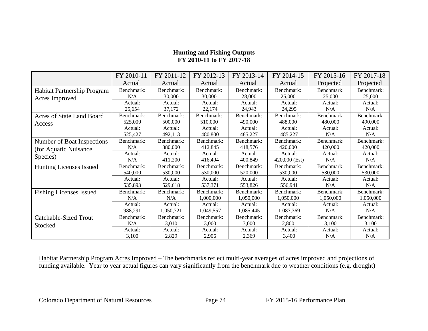|                                         | FY 2010-11 | FY 2011-12 | FY 2012-13 | FY 2013-14 | FY 2014-15    | FY 2015-16 | FY 2017-18 |
|-----------------------------------------|------------|------------|------------|------------|---------------|------------|------------|
|                                         | Actual     | Actual     | Actual     | Actual     | Actual        | Projected  | Projected  |
| Habitat Partnership Program             | Benchmark: | Benchmark: | Benchmark: | Benchmark: | Benchmark:    | Benchmark: | Benchmark: |
| Acres Improved                          | N/A        | 30,000     | 30,000     | 28,000     | 25,000        | 25,000     | 25,000     |
|                                         | Actual:    | Actual:    | Actual:    | Actual:    | Actual:       | Actual:    | Actual:    |
|                                         | 25,654     | 37,172     | 22,174     | 24,943     | 24,295        | N/A        | N/A        |
| Acres of State Land Board               | Benchmark: | Benchmark: | Benchmark: | Benchmark: | Benchmark:    | Benchmark: | Benchmark: |
| Access                                  | 525,000    | 500,000    | 510,000    | 490,000    | 488,000       | 480,000    | 490,000    |
|                                         | Actual:    | Actual:    | Actual:    | Actual:    | Actual:       | Actual:    | Actual:    |
|                                         | 525,427    | 492,113    | 480,800    | 485,227    | 485,227       | N/A        | N/A        |
| Number of Boat Inspections              | Benchmark: | Benchmark: | Benchmark: | Benchmark: | Benchmark:    | Benchmark: | Benchmark: |
| (for Aquatic Nuisance)                  | N/A        | 380,000    | 412,845    | 418,576    | 420,000       | 420,000    | 420,000    |
| Species)                                | Actual:    | Actual:    | Actual:    | Actual:    | Actual:       | Actual:    | Actual:    |
|                                         | N/A        | 411,200    | 416,494    | 400,849    | 420,000 (Est) | N/A        | N/A        |
| <b>Hunting Licenses Issued</b>          | Benchmark: | Benchmark: | Benchmark: | Benchmark: | Benchmark:    | Benchmark: | Benchmark: |
|                                         | 540,000    | 530,000    | 530,000    | 520,000    | 530,000       | 530,000    | 530,000    |
|                                         | Actual:    | Actual:    | Actual:    | Actual:    | Actual:       | Actual:    | Actual:    |
|                                         | 535,893    | 529,618    | 537,371    | 553,826    | 556,941       | N/A        | N/A        |
| <b>Fishing Licenses Issued</b>          | Benchmark: | Benchmark: | Benchmark: | Benchmark: | Benchmark:    | Benchmark: | Benchmark: |
|                                         | N/A        | N/A        | 1,000,000  | 1,050,000  | 1,050,000     | 1,050,000  | 1,050,000  |
|                                         | Actual:    | Actual:    | Actual:    | Actual:    | Actual:       | Actual:    | Actual:    |
|                                         | 988,291    | 1,050,721  | 1,049,557  | 1,085,445  | 1,087,369     | N/A        | N/A        |
| <b>Catchable-Sized Trout</b><br>Stocked | Benchmark: | Benchmark: | Benchmark: | Benchmark: | Benchmark:    | Benchmark: | Benchmark: |
|                                         | N/A        | 3,010      | 3,000      | 3,000      | 2,800         | 3,100      | 3,100      |
|                                         | Actual:    | Actual:    | Actual:    | Actual:    | Actual:       | Actual:    | Actual:    |
|                                         | 3,100      | 2,829      | 2,906      | 2,369      | 3,400         | N/A        | N/A        |

# **Hunting and Fishing Outputs FY 2010-11 to FY 2017-18**

Habitat Partnership Program Acres Improved – The benchmarks reflect multi-year averages of acres improved and projections of funding available. Year to year actual figures can vary significantly from the benchmark due to weather conditions (e.g. drought)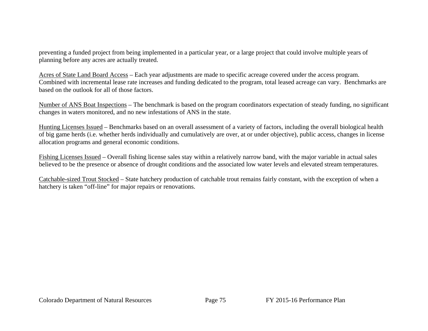preventing a funded project from being implemented in a particular year, or a large project that could involve multiple years of planning before any acres are actually treated.

Acres of State Land Board Access – Each year adjustments are made to specific acreage covered under the access program. Combined with incremental lease rate increases and funding dedicated to the program, total leased acreage can vary. Benchmarks are based on the outlook for all of those factors.

Number of ANS Boat Inspections – The benchmark is based on the program coordinators expectation of steady funding, no significant changes in waters monitored, and no new infestations of ANS in the state.

Hunting Licenses Issued – Benchmarks based on an overall assessment of a variety of factors, including the overall biological health of big game herds (i.e. whether herds individually and cumulatively are over, at or under objective), public access, changes in license allocation programs and general economic conditions.

Fishing Licenses Issued – Overall fishing license sales stay within a relatively narrow band, with the major variable in actual sales believed to be the presence or absence of drought conditions and the associated low water levels and elevated stream temperatures.

Catchable-sized Trout Stocked – State hatchery production of catchable trout remains fairly constant, with the exception of when a hatchery is taken "off-line" for major repairs or renovations.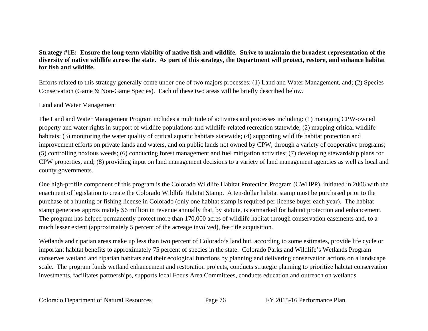## **Strategy #1E: Ensure the long-term viability of native fish and wildlife. Strive to maintain the broadest representation of the diversity of native wildlife across the state. As part of this strategy, the Department will protect, restore, and enhance habitat for fish and wildlife.**

Efforts related to this strategy generally come under one of two majors processes: (1) Land and Water Management, and; (2) Species Conservation (Game & Non-Game Species). Each of these two areas will be briefly described below.

#### Land and Water Management

The Land and Water Management Program includes a multitude of activities and processes including: (1) managing CPW-owned property and water rights in support of wildlife populations and wildlife-related recreation statewide; (2) mapping critical wildlife habitats; (3) monitoring the water quality of critical aquatic habitats statewide; (4) supporting wildlife habitat protection and improvement efforts on private lands and waters, and on public lands not owned by CPW, through a variety of cooperative programs; (5) controlling noxious weeds; (6) conducting forest management and fuel mitigation activities; (7) developing stewardship plans for CPW properties, and; (8) providing input on land management decisions to a variety of land management agencies as well as local and county governments.

One high-profile component of this program is the Colorado Wildlife Habitat Protection Program (CWHPP), initiated in 2006 with the enactment of legislation to create the Colorado Wildlife Habitat Stamp. A ten-dollar habitat stamp must be purchased prior to the purchase of a hunting or fishing license in Colorado (only one habitat stamp is required per license buyer each year). The habitat stamp generates approximately \$6 million in revenue annually that, by statute, is earmarked for habitat protection and enhancement. The program has helped permanently protect more than 170,000 acres of wildlife habitat through conservation easements and, to a much lesser extent (approximately 5 percent of the acreage involved), fee title acquisition.

Wetlands and riparian areas make up less than two percent of Colorado's land but, according to some estimates, provide life cycle or important habitat benefits to approximately 75 percent of species in the state. Colorado Parks and Wildlife's Wetlands Program conserves wetland and riparian habitats and their ecological functions by planning and delivering conservation actions on a landscape scale. The program funds wetland enhancement and restoration projects, conducts strategic planning to prioritize habitat conservation investments, facilitates partnerships, supports local Focus Area Committees, conducts education and outreach on wetlands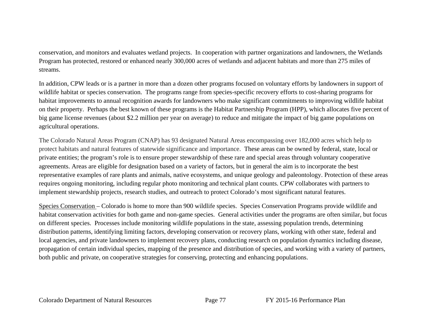conservation, and monitors and evaluates wetland projects. In cooperation with partner organizations and landowners, the Wetlands Program has protected, restored or enhanced nearly 300,000 acres of wetlands and adjacent habitats and more than 275 miles of streams.

In addition, CPW leads or is a partner in more than a dozen other programs focused on voluntary efforts by landowners in support of wildlife habitat or species conservation. The programs range from species-specific recovery efforts to cost-sharing programs for habitat improvements to annual recognition awards for landowners who make significant commitments to improving wildlife habitat on their property. Perhaps the best known of these programs is the Habitat Partnership Program (HPP), which allocates five percent of big game license revenues (about \$2.2 million per year on average) to reduce and mitigate the impact of big game populations on agricultural operations.

The Colorado Natural Areas Program (CNAP) has 93 designated Natural Areas encompassing over 182,000 acres which help to protect habitats and natural features of statewide significance and importance. These areas can be owned by federal, state, local or private entities; the program's role is to ensure proper stewardship of these rare and special areas through voluntary cooperative agreements. Areas are eligible for designation based on a variety of factors, but in general the aim is to incorporate the best representative examples of rare plants and animals, native ecosystems, and unique geology and paleontology. Protection of these areas requires ongoing monitoring, including regular photo monitoring and technical plant counts. CPW collaborates with partners to implement stewardship projects, research studies, and outreach to protect Colorado's most significant natural features.

Species Conservation – Colorado is home to more than 900 wildlife species. Species Conservation Programs provide wildlife and habitat conservation activities for both game and non-game species. General activities under the programs are often similar, but focus on different species. Processes include monitoring wildlife populations in the state, assessing population trends, determining distribution patterns, identifying limiting factors, developing conservation or recovery plans, working with other state, federal and local agencies, and private landowners to implement recovery plans, conducting research on population dynamics including disease, propagation of certain individual species, mapping of the presence and distribution of species, and working with a variety of partners, both public and private, on cooperative strategies for conserving, protecting and enhancing populations.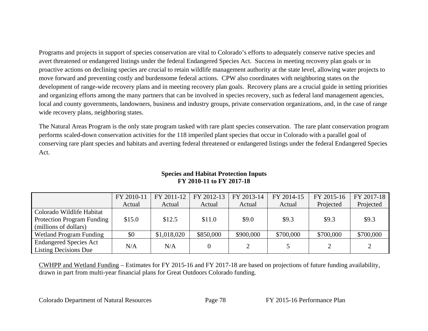Programs and projects in support of species conservation are vital to Colorado's efforts to adequately conserve native species and avert threatened or endangered listings under the federal Endangered Species Act. Success in meeting recovery plan goals or in proactive actions on declining species are crucial to retain wildlife management authority at the state level, allowing water projects to move forward and preventing costly and burdensome federal actions. CPW also coordinates with neighboring states on the development of range-wide recovery plans and in meeting recovery plan goals. Recovery plans are a crucial guide in setting priorities and organizing efforts among the many partners that can be involved in species recovery, such as federal land management agencies, local and county governments, landowners, business and industry groups, private conservation organizations, and, in the case of range wide recovery plans, neighboring states.

The Natural Areas Program is the only state program tasked with rare plant species conservation. The rare plant conservation program performs scaled-down conservation activities for the 118 imperiled plant species that occur in Colorado with a parallel goal of conserving rare plant species and habitats and averting federal threatened or endangered listings under the federal Endangered Species Act.

|                                   | FY 2010-11 | FY 2011-12  | FY 2012-13 | FY 2013-14 | FY 2014-15 | FY 2015-16     | FY 2017-18 |
|-----------------------------------|------------|-------------|------------|------------|------------|----------------|------------|
|                                   | Actual     | Actual      | Actual     | Actual     | Actual     | Projected      | Projected  |
| Colorado Wildlife Habitat         |            |             |            |            |            |                |            |
| <b>Protection Program Funding</b> | \$15.0     | \$12.5      | \$11.0     | \$9.0      | \$9.3      | \$9.3          | \$9.3      |
| (millions of dollars)             |            |             |            |            |            |                |            |
| Wetland Program Funding           | \$0        | \$1,018,020 | \$850,000  | \$900,000  | \$700,000  | \$700,000      | \$700,000  |
| <b>Endangered Species Act</b>     |            | N/A         |            | ◠          |            | $\overline{2}$ |            |
| <b>Listing Decisions Due</b>      | N/A        |             |            |            |            |                |            |

## **Species and Habitat Protection Inputs FY 2010-11 to FY 2017-18**

CWHPP and Wetland Funding – Estimates for FY 2015-16 and FY 2017-18 are based on projections of future funding availability, drawn in part from multi-year financial plans for Great Outdoors Colorado funding.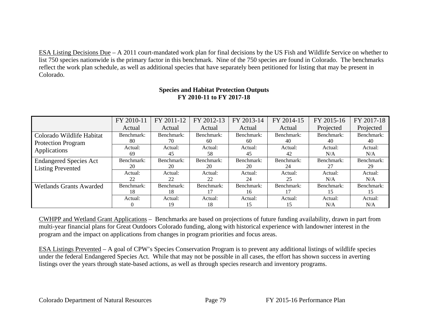ESA Listing Decisions Due – A 2011 court-mandated work plan for final decisions by the US Fish and Wildlife Service on whether to list 750 species nationwide is the primary factor in this benchmark. Nine of the 750 species are found in Colorado. The benchmarks reflect the work plan schedule, as well as additional species that have separately been petitioned for listing that may be present in Colorado.

|                                | FY 2010-11 | FY 2011-12 | FY 2012-13 | FY 2013-14 | FY 2014-15 | FY 2015-16 | FY 2017-18 |
|--------------------------------|------------|------------|------------|------------|------------|------------|------------|
|                                | Actual     | Actual     | Actual     | Actual     | Actual     | Projected  | Projected  |
| Colorado Wildlife Habitat      | Benchmark: | Benchmark: | Benchmark: | Benchmark: | Benchmark: | Benchmark: | Benchmark: |
| <b>Protection Program</b>      | 80         | 70         | 60         | 60         | 40         | 40         | 40         |
| Applications                   | Actual:    | Actual:    | Actual:    | Actual:    | Actual:    | Actual:    | Actual:    |
|                                | 69         | 45         | 58         | 45         | 42         | N/A        | N/A        |
| <b>Endangered Species Act</b>  | Benchmark: | Benchmark: | Benchmark: | Benchmark: | Benchmark: | Benchmark: | Benchmark: |
| <b>Listing Prevented</b>       | 20         | 20         | 20         | 20         | 24         | 27         | 29         |
|                                | Actual:    | Actual:    | Actual:    | Actual:    | Actual:    | Actual:    | Actual:    |
|                                | 22         | 22         | 22         | 24         | 25         | N/A        | N/A        |
| <b>Wetlands Grants Awarded</b> | Benchmark: | Benchmark: | Benchmark: | Benchmark: | Benchmark: | Benchmark: | Benchmark: |
|                                | 18         | 18         |            | 16         | 17         | 15         | 15         |
|                                | Actual:    | Actual:    | Actual:    | Actual:    | Actual:    | Actual:    | Actual:    |
|                                |            | 19         | 18         | 15         | 15         | N/A        | N/A        |

#### **Species and Habitat Protection Outputs FY 2010-11 to FY 2017-18**

CWHPP and Wetland Grant Applications – Benchmarks are based on projections of future funding availability, drawn in part from multi-year financial plans for Great Outdoors Colorado funding, along with historical experience with landowner interest in the program and the impact on applications from changes in program priorities and focus areas.

ESA Listings Prevented – A goal of CPW's Species Conservation Program is to prevent any additional listings of wildlife species under the federal Endangered Species Act. While that may not be possible in all cases, the effort has shown success in averting listings over the years through state-based actions, as well as through species research and inventory programs.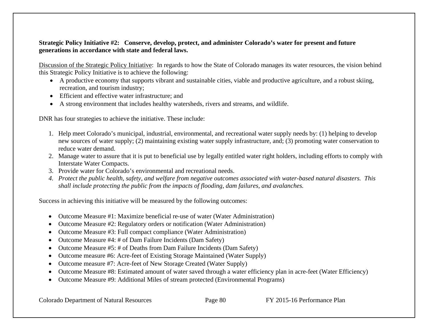#### **Strategic Policy Initiative #2: Conserve, develop, protect, and administer Colorado's water for present and future generations in accordance with state and federal laws.**

Discussion of the Strategic Policy Initiative: In regards to how the State of Colorado manages its water resources, the vision behind this Strategic Policy Initiative is to achieve the following:

- A productive economy that supports vibrant and sustainable cities, viable and productive agriculture, and a robust skiing, recreation, and tourism industry;
- Efficient and effective water infrastructure; and
- A strong environment that includes healthy watersheds, rivers and streams, and wildlife.

DNR has four strategies to achieve the initiative. These include:

- 1. Help meet Colorado's municipal, industrial, environmental, and recreational water supply needs by: (1) helping to develop new sources of water supply; (2) maintaining existing water supply infrastructure, and; (3) promoting water conservation to reduce water demand.
- 2. Manage water to assure that it is put to beneficial use by legally entitled water right holders, including efforts to comply with Interstate Water Compacts.
- 3. Provide water for Colorado's environmental and recreational needs.
- *4. Protect the public health, safety, and welfare from negative outcomes associated with water-based natural disasters. This shall include protecting the public from the impacts of flooding, dam failures, and avalanches.*

Success in achieving this initiative will be measured by the following outcomes:

- $\bullet$ Outcome Measure #1: Maximize beneficial re-use of water (Water Administration)
- $\bullet$ Outcome Measure #2: Regulatory orders or notification (Water Administration)
- $\bullet$ Outcome Measure #3: Full compact compliance (Water Administration)
- $\bullet$ Outcome Measure #4: # of Dam Failure Incidents (Dam Safety)
- $\bullet$ Outcome Measure #5: # of Deaths from Dam Failure Incidents (Dam Safety)
- $\bullet$ Outcome measure #6: Acre-feet of Existing Storage Maintained (Water Supply)
- $\bullet$ Outcome measure #7: Acre-feet of New Storage Created (Water Supply)
- $\bullet$ Outcome Measure #8: Estimated amount of water saved through a water efficiency plan in acre-feet (Water Efficiency)
- Outcome Measure #9: Additional Miles of stream protected (Environmental Programs)

Colorado Department of Natural Resources Page 80 FY 2015-16 Performance Plan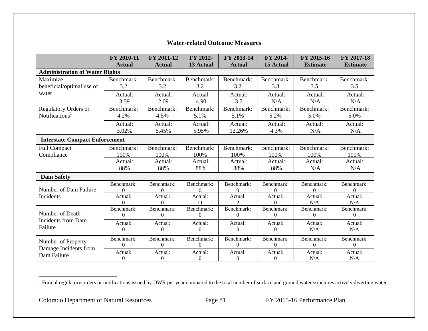|                                                | FY 2010-11        | FY 2011-12        | FY 2012-          | FY 2013-14        | FY 2014-          | FY 2015-16        | FY 2017-18        |
|------------------------------------------------|-------------------|-------------------|-------------------|-------------------|-------------------|-------------------|-------------------|
|                                                | <b>Actual</b>     | <b>Actual</b>     | 13 Actual         | <b>Actual</b>     | 15 Actual         | <b>Estimate</b>   | <b>Estimate</b>   |
| <b>Administration of Water Rights</b>          |                   |                   |                   |                   |                   |                   |                   |
| Maximize<br>beneficial/optimal use of<br>water | Benchmark:<br>3.2 | Benchmark:<br>3.2 | Benchmark:<br>3.2 | Benchmark:<br>3.2 | Benchmark:<br>3.3 | Benchmark:<br>3.5 | Benchmark:<br>3.5 |
|                                                | Actual:<br>3.59   | Actual:<br>2.09   | Actual:<br>4.90   | Actual:<br>3.7    | Actual:<br>N/A    | Actual:<br>N/A    | Actual:<br>N/A    |
| <b>Regulatory Orders or</b>                    | Benchmark:        | Benchmark:        | Benchmark:        | Benchmark:        | Benchmark:        | Benchmark:        | Benchmark:        |
| Notifications <sup>1</sup>                     | 4.2%              | 4.5%              | 5.1%              | 5.1%              | 5.2%              | 5.0%              | 5.0%              |
|                                                | Actual:           | Actual:           | Actual:           | Actual:           | Actual:           | Actual:           | Actual:           |
|                                                | 3.02%             | 5.45%             | 5.95%             | 12.26%            | 4.3%              | N/A               | N/A               |
| <b>Interstate Compact Enforcement</b>          |                   |                   |                   |                   |                   |                   |                   |
| <b>Full Compact</b>                            | Benchmark:        | Benchmark:        | Benchmark:        | Benchmark:        | Benchmark:        | Benchmark:        | Benchmark:        |
| Compliance                                     | 100%              | 100%              | 100%              | 100%              | 100%              | 100%              | 100%              |
|                                                | Actual:           | Actual:           | Actual:           | Actual:           | Actual:           | Actual:           | Actual:           |
|                                                | 88%               | 88%               | 88%               | 88%               | 88%               | N/A               | N/A               |
| <b>Dam Safety</b>                              |                   |                   |                   |                   |                   |                   |                   |
| Number of Dam Failure                          | Benchmark:        | Benchmark:        | Benchmark:        | Benchmark:        | Benchmark:        | Benchmark:        | Benchmark:        |
|                                                | $\Omega$          | $\Omega$          | $\Omega$          | $\Omega$          | $\Omega$          | $\Omega$          | $\Omega$          |
| Incidents                                      | Actual:           | Actual:           | Actual:           | Actual:           | Actual:           | Actual:           | Actual:           |
|                                                | 0                 | $\theta$          | 11                | $\mathfrak{D}$    | 0                 | N/A               | N/A               |
| Number of Death                                | Benchmark:        | Benchmark:        | Benchmark:        | Benchmark:        | Benchmark:        | Benchmark:        | Benchmark:        |
|                                                | $\theta$          | $\Omega$          | $\Omega$          | $\theta$          | $\Omega$          | $\Omega$          | $\mathbf{0}$      |
| Incidents from Dam                             | Actual:           | Actual:           | Actual:           | Actual:           | Actual:           | Actual:           | Actual:           |
| Failure                                        | $\overline{0}$    | $\overline{0}$    | $\boldsymbol{0}$  | $\overline{0}$    | $\boldsymbol{0}$  | N/A               | N/A               |
| Number of Property                             | Benchmark:        | Benchmark:        | Benchmark:        | Benchmark:        | Benchmark:        | Benchmark:        | Benchmark:        |
| Damage Incidents from                          | $\overline{0}$    | $\theta$          | $\boldsymbol{0}$  | $\overline{0}$    | $\Omega$          | $\theta$          | $\mathbf{0}$      |
| Dam Failure                                    | Actual:           | Actual:           | Actual:           | Actual:           | Actual:           | Actual:           | Actual:           |
|                                                | $\Omega$          | $\Omega$          | $\Omega$          | $\Omega$          | $\Omega$          | N/A               | N/A               |

#### **Water-related Outcome Measures**

Colorado Department of Natural Resources Page 81 FY 2015-16 Performance Plan

<sup>&</sup>lt;sup>1</sup> Formal regulatory orders or notifications issued by DWR per year compared to the total number of surface and ground water structures actively diverting water.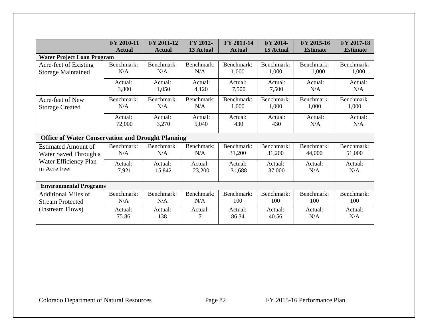|                                                          | FY 2010-11    | FY 2011-12    | FY 2012-   | FY 2013-14    | FY 2014-   | FY 2015-16      | FY 2017-18      |
|----------------------------------------------------------|---------------|---------------|------------|---------------|------------|-----------------|-----------------|
|                                                          | <b>Actual</b> | <b>Actual</b> | 13 Actual  | <b>Actual</b> | 15 Actual  | <b>Estimate</b> | <b>Estimate</b> |
| <b>Water Project Loan Program</b>                        |               |               |            |               |            |                 |                 |
| Acre-feet of Existing                                    | Benchmark:    | Benchmark:    | Benchmark: | Benchmark:    | Benchmark: | Benchmark:      | Benchmark:      |
| <b>Storage Maintained</b>                                | N/A           | N/A           | N/A        | 1,000         | 1,000      | 1,000           | 1,000           |
|                                                          | Actual:       | Actual:       | Actual:    | Actual:       | Actual:    | Actual:         | Actual:         |
|                                                          | 3,800         | 1,050         | 4,120      | 7,500         | 7,500      | N/A             | N/A             |
| Acre-feet of New                                         | Benchmark:    | Benchmark:    | Benchmark: | Benchmark:    | Benchmark: | Benchmark:      | Benchmark:      |
| <b>Storage Created</b>                                   | N/A           | N/A           | N/A        | 1,000         | 1,000      | 1,000           | 1,000           |
|                                                          | Actual:       | Actual:       | Actual:    | Actual:       | Actual:    | Actual:         | Actual:         |
|                                                          | 72,000        | 3,270         | 5,040      | 430           | 430        | N/A             | N/A             |
| <b>Office of Water Conservation and Drought Planning</b> |               |               |            |               |            |                 |                 |
| <b>Estimated Amount of</b>                               | Benchmark:    | Benchmark:    | Benchmark: | Benchmark:    | Benchmark: | Benchmark:      | Benchmark:      |
| Water Saved Through a                                    | N/A           | N/A           | N/A        | 31,200        | 31,200     | 44,000          | 51,000          |
| Water Efficiency Plan                                    | Actual:       | Actual:       | Actual:    | Actual:       | Actual:    | Actual:         | Actual:         |
| in Acre Feet                                             | 7,921         | 15,842        | 23,200     | 31,688        | 37,000     | N/A             | N/A             |
| <b>Environmental Programs</b>                            |               |               |            |               |            |                 |                 |
| <b>Additional Miles of</b>                               | Benchmark:    | Benchmark:    | Benchmark: | Benchmark:    | Benchmark: | Benchmark:      | Benchmark:      |
| <b>Stream Protected</b>                                  | N/A           | N/A           | N/A        | 100           | 100        | 100             | 100             |
| (Instream Flows)                                         | Actual:       | Actual:       | Actual:    | Actual:       | Actual:    | Actual:         | Actual:         |
|                                                          | 75.86         | 138           | 7          | 86.34         | 40.56      | N/A             | N/A             |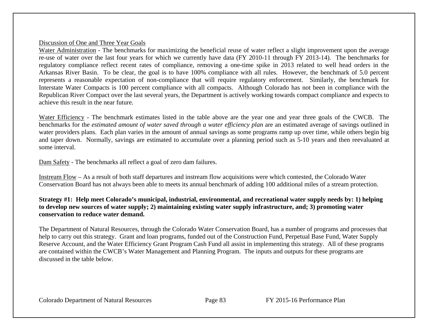#### Discussion of One and Three Year Goals

Water Administration - The benchmarks for maximizing the beneficial reuse of water reflect a slight improvement upon the average re-use of water over the last four years for which we currently have data (FY 2010-11 through FY 2013-14). The benchmarks for regulatory compliance reflect recent rates of compliance, removing a one-time spike in 2013 related to well head orders in the Arkansas River Basin. To be clear, the goal is to have 100% compliance with all rules. However, the benchmark of 5.0 percent represents a reasonable expectation of non-compliance that will require regulatory enforcement. Similarly, the benchmark for Interstate Water Compacts is 100 percent compliance with all compacts. Although Colorado has not been in compliance with the Republican River Compact over the last several years, the Department is actively working towards compact compliance and expects to achieve this result in the near future.

Water Efficiency - The benchmark estimates listed in the table above are the year one and year three goals of the CWCB. The benchmarks for the *estimated amount of water saved through a water efficiency plan* are an estimated average of savings outlined in water providers plans. Each plan varies in the amount of annual savings as some programs ramp up over time, while others begin big and taper down. Normally, savings are estimated to accumulate over a planning period such as 5-10 years and then reevaluated at some interval.

Dam Safety - The benchmarks all reflect a goal of zero dam failures.

Instream Flow – As a result of both staff departures and instream flow acquisitions were which contested, the Colorado Water Conservation Board has not always been able to meets its annual benchmark of adding 100 additional miles of a stream protection.

#### **Strategy #1: Help meet Colorado's municipal, industrial, environmental, and recreational water supply needs by: 1) helping to develop new sources of water supply; 2) maintaining existing water supply infrastructure, and; 3) promoting water conservation to reduce water demand.**

The Department of Natural Resources, through the Colorado Water Conservation Board, has a number of programs and processes that help to carry out this strategy. Grant and loan programs, funded out of the Construction Fund, Perpetual Base Fund, Water Supply Reserve Account, and the Water Efficiency Grant Program Cash Fund all assist in implementing this strategy. All of these programs are contained within the CWCB's Water Management and Planning Program. The inputs and outputs for these programs are discussed in the table below.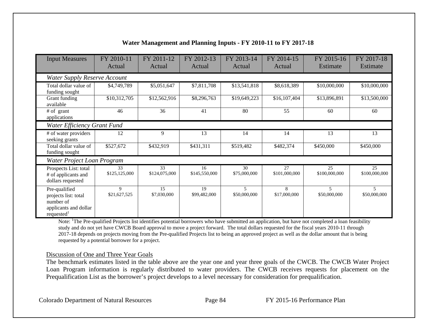| <b>Input Measures</b>                                                                                 | FY 2010-11<br>Actual                | FY 2011-12<br>Actual | FY 2012-13<br>Actual | FY 2013-14<br>Actual | FY 2014-15<br>Actual | FY 2015-16<br>Estimate                   | FY 2017-18<br>Estimate |  |  |  |
|-------------------------------------------------------------------------------------------------------|-------------------------------------|----------------------|----------------------|----------------------|----------------------|------------------------------------------|------------------------|--|--|--|
|                                                                                                       | <b>Water Supply Reserve Account</b> |                      |                      |                      |                      |                                          |                        |  |  |  |
| Total dollar value of<br>funding sought                                                               | \$4,749,789                         | \$5,051,647          | \$7,811,708          | \$13,541,818         | \$8,618,389          | \$10,000,000                             | \$10,000,000           |  |  |  |
| Grant funding<br>available                                                                            | \$10,312,705                        | \$12,562,916         | \$8,296,763          | \$19,649,223         | \$16,107,404         | \$13,896,891                             | \$13,500,000           |  |  |  |
| # of grant<br>applications                                                                            | 46                                  | 36                   | 41                   | 80                   | 55                   | 60                                       | 60                     |  |  |  |
|                                                                                                       | Water Efficiency Grant Fund         |                      |                      |                      |                      |                                          |                        |  |  |  |
| # of water providers<br>seeking grants                                                                | 12                                  | 9                    | 13                   | 14                   | 14                   | 13                                       | 13                     |  |  |  |
| Total dollar value of<br>funding sought                                                               | \$527,672                           | \$432,919            | \$431,311            | \$519,482            | \$482,374            | \$450,000                                | \$450,000              |  |  |  |
| Water Project Loan Program                                                                            |                                     |                      |                      |                      |                      |                                          |                        |  |  |  |
| Prospects List: total<br># of applicants and<br>dollars requested                                     | 33<br>\$125,125,000                 | 33<br>\$124,075,000  | 16<br>\$145,550,000  | 30<br>\$75,000,000   | 27<br>\$101,000,000  | 25<br>\$100,000,000                      | 25<br>\$100,000,000    |  |  |  |
| Pre-qualified<br>projects list: total<br>number of<br>applicants and dollar<br>requested <sup>1</sup> | 9<br>\$21,627,525                   | 15<br>\$7,030,000    | 19<br>\$99,482,000   | 5<br>\$50,000,000    | 8<br>\$17,000,000    | $\overline{\phantom{0}}$<br>\$50,000,000 | 5<br>\$50,000,000      |  |  |  |

# **Water Management and Planning Inputs - FY 2010-11 to FY 2017-18**

Note: <sup>1</sup>The Pre-qualified Projects list identifies potential borrowers who have submitted an application, but have not completed a loan feasibility study and do not yet have CWCB Board approval to move a project forward. The total dollars requested for the fiscal years 2010-11 through 2017-18 depends on projects moving from the Pre-qualified Projects list to being an approved project as well as the dollar amount that is being requested by a potential borrower for a project.

#### Discussion of One and Three Year Goals

The benchmark estimates listed in the table above are the year one and year three goals of the CWCB. The CWCB Water Project Loan Program information is regularly distributed to water providers. The CWCB receives requests for placement on the Prequalification List as the borrower's project develops to a level necessary for consideration for prequalification.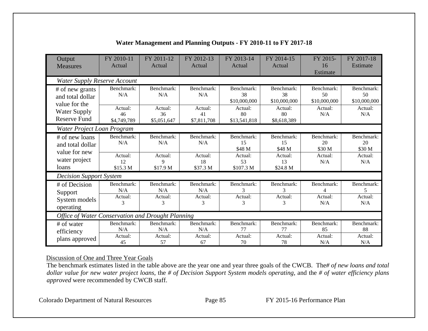| Output<br><b>Measures</b>                              | FY 2010-11<br>Actual                 | FY 2011-12<br>Actual              | FY 2012-13<br>Actual              | FY 2013-14<br>Actual             | FY 2014-15<br>Actual             | FY 2015-<br>16<br>Estimate        | FY 2017-18<br>Estimate            |  |  |  |
|--------------------------------------------------------|--------------------------------------|-----------------------------------|-----------------------------------|----------------------------------|----------------------------------|-----------------------------------|-----------------------------------|--|--|--|
| <b>Water Supply Reserve Account</b>                    |                                      |                                   |                                   |                                  |                                  |                                   |                                   |  |  |  |
| # of new grants<br>and total dollar<br>value for the   | Benchmark:<br>N/A                    | Benchmark:<br>N/A                 | Benchmark:<br>N/A                 | Benchmark:<br>38<br>\$10,000,000 | Benchmark:<br>38<br>\$10,000,000 | Benchmark:<br>50<br>\$10,000,000  | Benchmark:<br>50<br>\$10,000,000  |  |  |  |
| <b>Water Supply</b><br><b>Reserve Fund</b>             | Actual:<br>46<br>\$4,749,789         | Actual:<br>36<br>\$5,051,647      | Actual:<br>41<br>\$7,811,708      | Actual:<br>80<br>\$13,541,818    | Actual:<br>80<br>\$8,618,389     | Actual:<br>N/A                    | Actual:<br>N/A                    |  |  |  |
| Water Project Loan Program                             |                                      |                                   |                                   |                                  |                                  |                                   |                                   |  |  |  |
| # of new loans<br>and total dollar                     | Benchmark:<br>N/A                    | Benchmark:<br>N/A                 | Benchmark:<br>N/A                 | Benchmark:<br>15<br>\$48 M       | Benchmark:<br>15<br>\$48 M       | Benchmark:<br>20<br>\$30 M        | Benchmark:<br>20<br>\$30 M        |  |  |  |
| value for new<br>water project<br>loans                | Actual:<br>12<br>\$15.3 <sub>M</sub> | Actual:<br>9<br>\$17.9 M          | Actual:<br>18<br>\$37.3 M         | Actual:<br>53<br>\$107.3 M       | Actual:<br>13<br>\$24.8 M        | Actual:<br>N/A                    | Actual:<br>N/A                    |  |  |  |
| <b>Decision Support System</b>                         |                                      |                                   |                                   |                                  |                                  |                                   |                                   |  |  |  |
| # of Decision<br>Support<br>System models<br>operating | Benchmark:<br>N/A<br>Actual:<br>3    | Benchmark:<br>N/A<br>Actual:<br>3 | Benchmark:<br>N/A<br>Actual:<br>3 | Benchmark:<br>3<br>Actual:<br>3  | Benchmark:<br>3<br>Actual:<br>3  | Benchmark:<br>4<br>Actual:<br>N/A | Benchmark:<br>5<br>Actual:<br>N/A |  |  |  |
| Office of Water Conservation and Drought Planning      |                                      |                                   |                                   |                                  |                                  |                                   |                                   |  |  |  |
| # of water<br>efficiency                               | Benchmark:<br>N/A                    | Benchmark:<br>N/A                 | Benchmark:<br>N/A                 | Benchmark:<br>77                 | Benchmark:<br>77                 | Benchmark:<br>85                  | Benchmark:<br>88                  |  |  |  |
| plans approved                                         | Actual:<br>45                        | Actual:<br>57                     | Actual:<br>67                     | Actual:<br>70                    | Actual:<br>78                    | Actual:<br>N/A                    | Actual:<br>N/A                    |  |  |  |

# **Water Management and Planning Outputs - FY 2010-11 to FY 2017-18**

#### Discussion of One and Three Year Goals

The benchmark estimates listed in the table above are the year one and year three goals of the CWCB. The*# of new loans and total dollar value for new water project loans*, the *# of Decision Support System models operating*, and the *# of water efficiency plans approved* were recommended by CWCB staff.

Colorado Department of Natural Resources Page 85 FY 2015-16 Performance Plan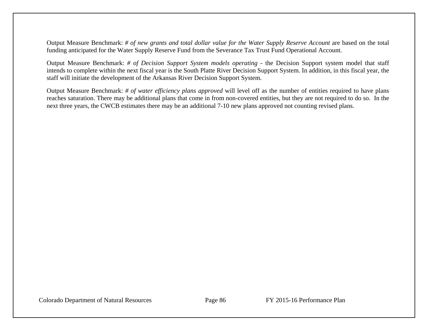Output Measure Benchmark: *# of new grants and total dollar value for the Water Supply Reserve Account* are based on the total funding anticipated for the Water Supply Reserve Fund from the Severance Tax Trust Fund Operational Account.

Output Measure Benchmark: *# of Decision Support System models operating* - the Decision Support system model that staff intends to complete within the next fiscal year is the South Platte River Decision Support System. In addition, in this fiscal year, the staff will initiate the development of the Arkansas River Decision Support System.

Output Measure Benchmark: *# of water efficiency plans approved* will level off as the number of entities required to have plans reaches saturation. There may be additional plans that come in from non-covered entities, but they are not required to do so. In the next three years, the CWCB estimates there may be an additional 7-10 new plans approved not counting revised plans.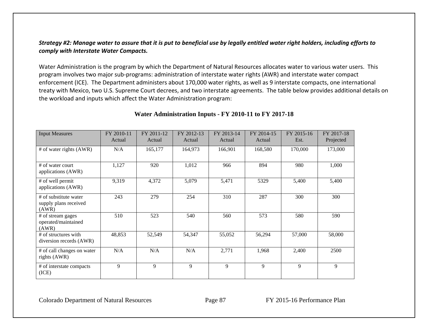## Strategy #2: Manage water to assure that it is put to beneficial use by legally entitled water right holders, including efforts to *comply with Interstate Water Compacts.*

Water Administration is the program by which the Department of Natural Resources allocates water to various water users. This program involves two major sub‐programs: administration of interstate water rights (AWR) and interstate water compact enforcement (ICE). The Department administers about 170,000 water rights, as well as 9 interstate compacts, one international treaty with Mexico, two U.S. Supreme Court decrees, and two interstate agreements. The table below provides additional details on the workload and inputs which affect the Water Administration program:

| <b>Input Measures</b>                                   | FY 2010-11<br>Actual | FY 2011-12<br>Actual | FY 2012-13<br>Actual | FY 2013-14<br>Actual | FY 2014-15<br>Actual | FY 2015-16<br>Est. | FY 2017-18<br>Projected |
|---------------------------------------------------------|----------------------|----------------------|----------------------|----------------------|----------------------|--------------------|-------------------------|
| $#$ of water rights (AWR)                               | N/A                  | 165,177              | 164,973              | 166,901              | 168,580              | 170,000            | 173,000                 |
| # of water court<br>applications (AWR)                  | 1,127                | 920                  | 1,012                | 966                  | 894                  | 980                | 1,000                   |
| # of well permit<br>applications (AWR)                  | 9,319                | 4,372                | 5,079                | 5,471                | 5329                 | 5,400              | 5,400                   |
| # of substitute water<br>supply plans received<br>(AWR) | 243                  | 279                  | 254                  | 310                  | 287                  | 300                | 300                     |
| # of stream gages<br>operated/maintained<br>(AWR)       | 510                  | 523                  | 540                  | 560                  | 573                  | 580                | 590                     |
| # of structures with<br>diversion records (AWR)         | 48,853               | 52,549               | 54,347               | 55,052               | 56,294               | 57,000             | 58,000                  |
| # of call changes on water<br>rights (AWR)              | N/A                  | N/A                  | N/A                  | 2,771                | 1,968                | 2,400              | 2500                    |
| # of interstate compacts<br>(ICE)                       | 9                    | 9                    | 9                    | 9                    | 9                    | 9                  | 9                       |

#### **Water Administration Inputs - FY 2010-11 to FY 2017-18**

Colorado Department of Natural Resources Page 87 FY 2015-16 Performance Plan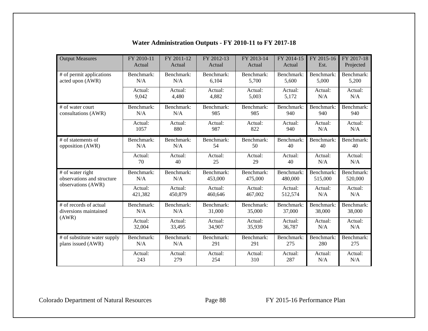| <b>Output Measures</b>       | FY 2010-11 | FY 2011-12 | FY 2012-13 | FY 2013-14 | FY 2014-15 | FY 2015-16 | FY 2017-18 |
|------------------------------|------------|------------|------------|------------|------------|------------|------------|
|                              | Actual     | Actual     | Actual     | Actual     | Actual     | Est.       | Projected  |
| # of permit applications     | Benchmark: | Benchmark: | Benchmark: | Benchmark: | Benchmark: | Benchmark: | Benchmark: |
| acted upon (AWR)             | N/A        | N/A        | 6,104      | 5,700      | 5,600      | 5,000      | 5,200      |
|                              | Actual:    | Actual:    | Actual:    | Actual:    | Actual:    | Actual:    | Actual:    |
|                              | 9,042      | 4,480      | 4,882      | 5,003      | 5,172      | N/A        | N/A        |
| # of water court             | Benchmark: | Benchmark: | Benchmark: | Benchmark: | Benchmark: | Benchmark: | Benchmark: |
| consultations (AWR)          | N/A        | N/A        | 985        | 985        | 940        | 940        | 940        |
|                              | Actual:    | Actual:    | Actual:    | Actual:    | Actual:    | Actual:    | Actual:    |
|                              | 1057       | 880        | 987        | 822        | 940        | N/A        | N/A        |
| # of statements of           | Benchmark: | Benchmark: | Benchmark: | Benchmark: | Benchmark: | Benchmark: | Benchmark: |
| opposition (AWR)             | N/A        | N/A        | 54         | 50         | 40         | 40         | 40         |
|                              | Actual:    | Actual:    | Actual:    | Actual:    | Actual:    | Actual:    | Actual:    |
|                              | 70         | 40         | 25         | 29         | 40         | N/A        | N/A        |
| # of water right             | Benchmark: | Benchmark: | Benchmark: | Benchmark: | Benchmark: | Benchmark: | Benchmark: |
| observations and structure   | N/A        | N/A        | 453,000    | 475,000    | 480,000    | 515,000    | 520,000    |
| observations (AWR)           | Actual:    | Actual:    | Actual:    | Actual:    | Actual:    | Actual:    | Actual:    |
|                              | 421,382    | 450,879    | 460,646    | 467,002    | 512,574    | N/A        | N/A        |
| # of records of actual       | Benchmark: | Benchmark: | Benchmark: | Benchmark: | Benchmark: | Benchmark: | Benchmark: |
| diversions maintained        | N/A        | N/A        | 31,000     | 35,000     | 37,000     | 38,000     | 38,000     |
| (AWR)                        | Actual:    | Actual:    | Actual:    | Actual:    | Actual:    | Actual:    | Actual:    |
|                              | 32,004     | 33,495     | 34,907     | 35,939     | 36,787     | N/A        | N/A        |
| # of substitute water supply | Benchmark: | Benchmark: | Benchmark: | Benchmark: | Benchmark: | Benchmark: | Benchmark: |
| plans issued (AWR)           | N/A        | N/A        | 291        | 291        | 275        | 280        | 275        |
|                              | Actual:    | Actual:    | Actual:    | Actual:    | Actual:    | Actual:    | Actual:    |
|                              | 243        | 279        | 254        | 310        | 287        | N/A        | N/A        |

# **Water Administration Outputs - FY 2010-11 to FY 2017-18**

Colorado Department of Natural Resources Page 88 FY 2015-16 Performance Plan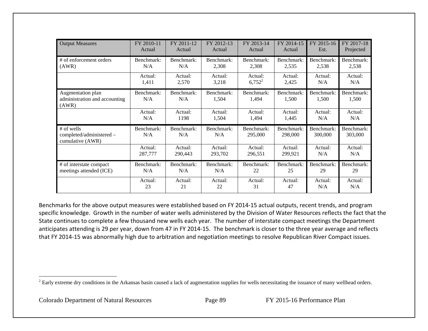| <b>Output Measures</b>                                      | FY 2010-11        | FY 2011-12        | FY 2012-13          | FY 2013-14            | FY 2014-15            | FY 2015-16            | FY 2017-18            |
|-------------------------------------------------------------|-------------------|-------------------|---------------------|-----------------------|-----------------------|-----------------------|-----------------------|
|                                                             | Actual            | Actual            | Actual              | Actual                | Actual                | Est.                  | Projected             |
| # of enforcement orders                                     | Benchmark:        | Benchmark:        | Benchmark:          | Benchmark:            | Benchmark:            | Benchmark:            | Benchmark:            |
| (AWR)                                                       | N/A               | N/A               | 2,308               | 2,308                 | 2,535                 | 2,538                 | 2,538                 |
|                                                             | Actual:           | Actual:           | Actual:             | Actual:               | Actual:               | Actual:               | Actual:               |
|                                                             | 1,411             | 2,570             | 3,218               | $6,752^2$             | 2,425                 | N/A                   | N/A                   |
| Augmentation plan<br>administration and accounting<br>(AWR) | Benchmark:<br>N/A | Benchmark:<br>N/A | Benchmark:<br>1,504 | Benchmark:<br>1,494   | Benchmark:<br>1,500   | Benchmark:<br>1,500   | Benchmark:<br>1,500   |
|                                                             | Actual:           | Actual:           | Actual:             | Actual:               | Actual:               | Actual:               | Actual:               |
|                                                             | N/A               | 1198              | 1,504               | 1,494                 | 1,445                 | N/A                   | N/A                   |
| # of wells<br>completed/administered -<br>cumulative (AWR)  | Benchmark:<br>N/A | Benchmark:<br>N/A | Benchmark:<br>N/A   | Benchmark:<br>295,000 | Benchmark:<br>298,000 | Benchmark:<br>300,000 | Benchmark:<br>303,000 |
|                                                             | Actual:           | Actual:           | Actual:             | Actual:               | Actual:               | Actual:               | Actual:               |
|                                                             | 287,777           | 290,443           | 293,702             | 296,551               | 299,921               | N/A                   | N/A                   |
| # of interstate compact                                     | Benchmark:        | Benchmark:        | Benchmark:          | Benchmark:            | Benchmark:            | Benchmark:            | Benchmark:            |
| meetings attended (ICE)                                     | N/A               | N/A               | N/A                 | 22                    | 25                    | 29                    | 29                    |
|                                                             | Actual:           | Actual:           | Actual:             | Actual:               | Actual:               | Actual:               | Actual:               |
|                                                             | 23                | 21                | 22                  | 31                    | 47                    | N/A                   | N/A                   |

Benchmarks for the above output measures were established based on FY 2014‐15 actual outputs, recent trends, and program specific knowledge. Growth in the number of water wells administered by the Division of Water Resources reflects the fact that the State continues to complete <sup>a</sup> few thousand new wells each year. The number of interstate compact meetings the Department anticipates attending is 29 per year, down from 47 in FY 2014‐15. The benchmark is closer to the three year average and reflects that FY 2014‐15 was abnormally high due to arbitration and negotiation meetings to resolve Republican River Compact issues.

<sup>&</sup>lt;sup>2</sup> Early extreme dry conditions in the Arkansas basin caused a lack of augmentation supplies for wells necessitating the issuance of many wellhead orders.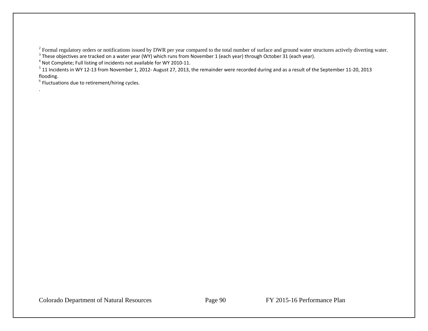<sup>2</sup> Formal regulatory orders or notifications issued by DWR per year compared to the total number of surface and ground water structures actively diverting water.

 $^3$  These objectives are tracked on a water year (WY) which runs from November 1 (each year) through October 31 (each year).

 $^4$  Not Complete; Full listing of incidents not available for WY 2010-11.

 $^5$  11 Incidents in WY 12-13 from November 1, 2012- August 27, 2013, the remainder were recorded during and as a result of the September 11-20, 2013 flooding.

 $^6$  Fluctuations due to retirement/hiring cycles.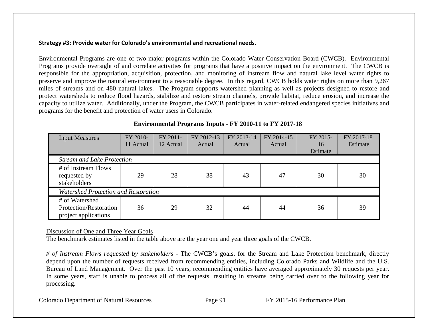#### **Strategy #3: Provide water for Colorado's environmental and recreational needs.**

Environmental Programs are one of two major programs within the Colorado Water Conservation Board (CWCB). Environmental Programs provide oversight of and correlate activities for programs that have a positive impact on the environment. The CWCB is responsible for the appropriation, acquisition, protection, and monitoring of instream flow and natural lake level water rights to preserve and improve the natural environment to a reasonable degree. In this regard, CWCB holds water rights on more than 9,267 miles of streams and on 480 natural lakes. The Program supports watershed planning as well as projects designed to restore and protect watersheds to reduce flood hazards, stabilize and restore stream channels, provide habitat, reduce erosion, and increase the capacity to utilize water. Additionally, under the Program, the CWCB participates in water-related endangered species initiatives and programs for the benefit and protection of water users in Colorado.

| <b>Input Measures</b>                                            | FY 2010-<br>11 Actual             | FY 2011-<br>12 Actual | FY 2012-13<br>Actual | FY 2013-14<br>Actual | FY 2014-15<br>Actual | FY 2015-<br>16<br>Estimate | FY 2017-18<br>Estimate |  |  |  |
|------------------------------------------------------------------|-----------------------------------|-----------------------|----------------------|----------------------|----------------------|----------------------------|------------------------|--|--|--|
|                                                                  | <b>Stream and Lake Protection</b> |                       |                      |                      |                      |                            |                        |  |  |  |
| # of Instream Flows<br>requested by<br>stakeholders              | 29                                | 28                    | 38                   | 43                   | 47                   | 30                         | 30                     |  |  |  |
| <b>Watershed Protection and Restoration</b>                      |                                   |                       |                      |                      |                      |                            |                        |  |  |  |
| # of Watershed<br>Protection/Restoration<br>project applications | 36                                | 29                    | 32                   | 44                   | 44                   | 36                         | 39                     |  |  |  |

## **Environmental Programs Inputs - FY 2010-11 to FY 2017-18**

## Discussion of One and Three Year Goals

The benchmark estimates listed in the table above are the year one and year three goals of the CWCB.

*# of Instream Flows requested by stakeholders* - The CWCB's goals, for the Stream and Lake Protection benchmark, directly depend upon the number of requests received from recommending entities, including Colorado Parks and Wildlife and the U.S. Bureau of Land Management. Over the past 10 years, recommending entities have averaged approximately 30 requests per year. In some years, staff is unable to process all of the requests, resulting in streams being carried over to the following year for processing.

Colorado Department of Natural Resources Page 91 FY 2015-16 Performance Plan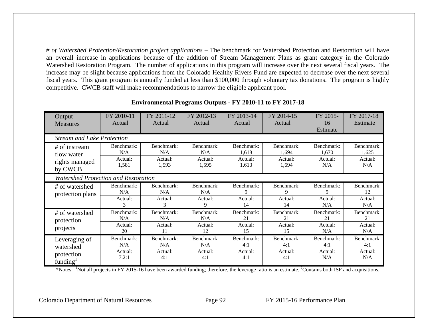*# of Watershed Protection/Restoration project applications* – The benchmark for Watershed Protection and Restoration will have an overall increase in applications because of the addition of Stream Management Plans as grant category in the Colorado Watershed Restoration Program. The number of applications in this program will increase over the next several fiscal years. The increase may be slight because applications from the Colorado Healthy Rivers Fund are expected to decrease over the next several fiscal years. This grant program is annually funded at less than \$100,000 through voluntary tax donations. The program is highly competitive. CWCB staff will make recommendations to narrow the eligible applicant pool.

| Output                               | FY 2010-11 | FY 2011-12 | FY 2012-13 | FY 2013-14 | FY 2014-15 | FY 2015-   | FY 2017-18 |  |  |  |  |  |
|--------------------------------------|------------|------------|------------|------------|------------|------------|------------|--|--|--|--|--|
| <b>Measures</b>                      | Actual     | Actual     | Actual     | Actual     | Actual     | 16         | Estimate   |  |  |  |  |  |
|                                      |            |            |            |            |            | Estimate   |            |  |  |  |  |  |
| <b>Stream and Lake Protection</b>    |            |            |            |            |            |            |            |  |  |  |  |  |
| # of instream                        | Benchmark: | Benchmark: | Benchmark: | Benchmark: | Benchmark: | Benchmark: | Benchmark: |  |  |  |  |  |
| flow water                           | N/A        | N/A        | N/A        | 1,618      | 1,694      | 1,670      | 1,625      |  |  |  |  |  |
| rights managed                       | Actual:    | Actual:    | Actual:    | Actual:    | Actual:    | Actual:    | Actual:    |  |  |  |  |  |
|                                      | 1,581      | 1,593      | 1,595      | 1,613      | 1,694      | N/A        | N/A        |  |  |  |  |  |
|                                      | by CWCB    |            |            |            |            |            |            |  |  |  |  |  |
| Watershed Protection and Restoration |            |            |            |            |            |            |            |  |  |  |  |  |
| # of watershed                       | Benchmark: | Benchmark: | Benchmark: | Benchmark: | Benchmark: | Benchmark: | Benchmark: |  |  |  |  |  |
| protection plans                     | N/A        | N/A        | N/A        | 9          | 9          | 9          | 12         |  |  |  |  |  |
|                                      | Actual:    | Actual:    | Actual:    | Actual:    | Actual:    | Actual:    | Actual:    |  |  |  |  |  |
|                                      | 3          | 3          | 9          | 14         | 14         | N/A        | N/A        |  |  |  |  |  |
| # of watershed                       | Benchmark: | Benchmark: | Benchmark: | Benchmark: | Benchmark: | Benchmark: | Benchmark: |  |  |  |  |  |
| protection                           | N/A        | N/A        | N/A        | 21         | 21         | 21         | 21         |  |  |  |  |  |
| projects                             | Actual:    | Actual:    | Actual:    | Actual:    | Actual:    | Actual:    | Actual:    |  |  |  |  |  |
|                                      | 20         | 11         | 12         | 15         | 15         | N/A        | N/A        |  |  |  |  |  |
| Leveraging of                        | Benchmark: | Benchmark: | Benchmark: | Benchmark: | Benchmark: | Benchmark: | Benchmark: |  |  |  |  |  |
| watershed                            | N/A        | N/A        | N/A        | 4:1        | 4:1        | 4:1        | 4:1        |  |  |  |  |  |
| protection                           | Actual:    | Actual:    | Actual:    | Actual:    | Actual:    | Actual:    | Actual:    |  |  |  |  |  |
| funding $\frac{1}{2}$                | 7.2:1      | 4:1        | 4:1        | 4:1        | 4:1        | N/A        | N/A        |  |  |  |  |  |
|                                      |            |            |            |            |            |            |            |  |  |  |  |  |

#### **Environmental Programs Outputs - FY 2010-11 to FY 2017-18**

\*Notes: <sup>1</sup>Not all projects in FY 2015-16 have been awarded funding; therefore, the leverage ratio is an estimate. <sup>2</sup>Contains both ISF and acquisitions.

Colorado Department of Natural Resources Page 92 FY 2015-16 Performance Plan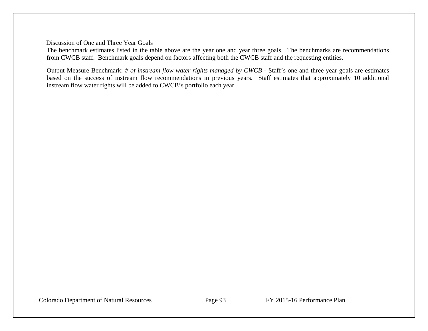#### Discussion of One and Three Year Goals

The benchmark estimates listed in the table above are the year one and year three goals. The benchmarks are recommendations from CWCB staff. Benchmark goals depend on factors affecting both the CWCB staff and the requesting entities.

Output Measure Benchmark: *# of instream flow water rights managed by CWCB* - Staff's one and three year goals are estimates based on the success of instream flow recommendations in previous years. Staff estimates that approximately 10 additional instream flow water rights will be added to CWCB's portfolio each year.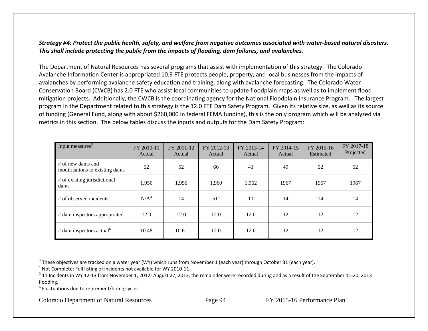# Strategy #4: Protect the public health, safety, and welfare from negative outcomes associated with water-based natural disasters. *This shall include protecting the public from the impacts of flooding, dam failures, and avalanches.*

The Department of Natural Resources has several programs that assist with implementation of this strategy. The Colorado Avalanche Information Center is appropriated 10.9 FTE protects people, property, and local businesses from the impacts of avalanches by performing avalanche safety education and training, along with avalanche forecasting. The Colorado Water Conservation Board (CWCB) has 2.0 FTE who assist local communities to update floodplain maps as well as to implement flood mitigation projects. Additionally, the CWCB is the coordinating agency for the National Floodplain Insurance Program. The largest program in the Department related to this strategy is the 12.0 FTE Dam Safety Program. Given its relative size, as well as its source of funding (General Fund, along with about \$260,000 in federal FEMA funding), this is the only program which will be analyzed via metrics in this section. The below tables discuss the inputs and outputs for the Dam Safety Program:

| Input measures <sup>3</sup>                         | FY 2010-11<br>Actual | FY 2011-12<br>Actual | FY 2012-13<br>Actual | FY 2013-14<br>Actual | FY 2014-15<br>Actual | FY 2015-16<br>Estimated | FY 2017-18<br>Projected |
|-----------------------------------------------------|----------------------|----------------------|----------------------|----------------------|----------------------|-------------------------|-------------------------|
| # of new dams and<br>modifications to existing dams | 52                   | 52                   | 66                   | 41                   | 49                   | 52                      | 52                      |
| # of existing jurisdictional<br>dams                | 1,956                | 1,956                | 1,960                | 1,962                | 1967                 | 1967                    | 1967                    |
| # of observed incidents                             | N/A <sup>4</sup>     | 14                   | $51^5$               | 11                   | 14                   | 14                      | 14                      |
| # dam inspectors appropriated                       | 12.0                 | 12.0                 | 12.0                 | 12.0                 | 12                   | 12                      | 12                      |
| # dam inspectors actual <sup>6</sup>                | 10.48                | 10.61                | 12.0                 | 12.0                 | 12                   | 12                      | 12                      |

Colorado Department of Natural Resources Page 94 FY 2015-16 Performance Plan

 $^3$  These objectives are tracked on a water year (WY) which runs from November 1 (each year) through October 31 (each year).

 $<sup>4</sup>$  Not Complete; Full listing of incidents not available for WY 2010-11.</sup>

 $^5$  11 Incidents in WY 12-13 from November 1, 2012- August 27, 2013, the remainder were recorded during and as a result of the September 11-20, 2013 flooding.

 $^6$  Fluctuations due to retirement/hiring cycles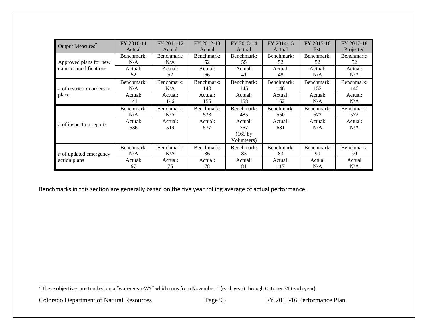| Output Measures <sup>7</sup> | FY 2010-11     | FY 2011-12     | FY 2012-13     | FY 2013-14                                 | FY 2014-15     | FY 2015-16     | FY 2017-18     |
|------------------------------|----------------|----------------|----------------|--------------------------------------------|----------------|----------------|----------------|
|                              | Actual         | Actual         | Actual         | Actual                                     | Actual         | Est.           | Projected      |
| Approved plans for new       | Benchmark:     | Benchmark:     | Benchmark:     | Benchmark:                                 | Benchmark:     | Benchmark:     | Benchmark:     |
|                              | N/A            | N/A            | 52             | 55                                         | 52             | 52             | 52             |
| dams or modifications        | Actual:        | Actual:        | Actual:        | Actual:                                    | Actual:        | Actual:        | Actual:        |
|                              | 52             | 52             | 66             | 41                                         | 48             | N/A            | N/A            |
| # of restriction orders in   | Benchmark:     | Benchmark:     | Benchmark:     | Benchmark:                                 | Benchmark:     | Benchmark:     | Benchmark:     |
|                              | N/A            | N/A            | 140            | 145                                        | 146            | 152            | 146            |
| place                        | Actual:        | Actual:        | Actual:        | Actual:                                    | Actual:        | Actual:        | Actual:        |
|                              | 141            | 146            | 155            | 158                                        | 162            | N/A            | N/A            |
|                              |                |                |                |                                            |                |                |                |
|                              | Benchmark:     | Benchmark:     | Benchmark:     | Benchmark:                                 | Benchmark:     | Benchmark:     | Benchmark:     |
|                              | N/A            | N/A            | 533            | 485                                        | 550            | 572            | 572            |
| # of inspection reports      | Actual:<br>536 | Actual:<br>519 | Actual:<br>537 | Actual:<br>757<br>$(169$ by<br>Volunteers) | Actual:<br>681 | Actual:<br>N/A | Actual:<br>N/A |
| # of updated emergency       | Benchmark:     | Benchmark:     | Benchmark:     | Benchmark:                                 | Benchmark:     | Benchmark:     | Benchmark:     |
|                              | N/A            | N/A            | 86             | 83                                         | 83             | 90             | 90             |

Benchmarks in this section are generally based on the five year rolling average of actual performance.

 $^7$  These objectives are tracked on a "water year-WY" which runs from November 1 (each year) through October 31 (each year).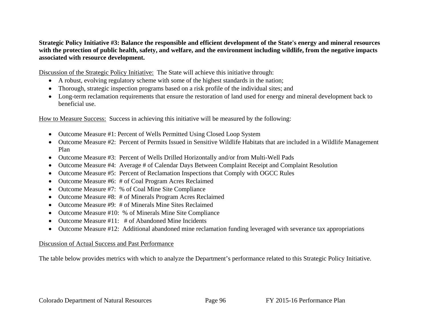**Strategic Policy Initiative #3: Balance the responsible and efficient development of the State's energy and mineral resources with the protection of public health, safety, and welfare, and the environment including wildlife, from the negative impacts associated with resource development.**

Discussion of the Strategic Policy Initiative: The State will achieve this initiative through:

- A robust, evolving regulatory scheme with some of the highest standards in the nation;
- $\bullet$ Thorough, strategic inspection programs based on a risk profile of the individual sites; and
- Long-term reclamation requirements that ensure the restoration of land used for energy and mineral development back to beneficial use.

How to Measure Success: Success in achieving this initiative will be measured by the following:

- Outcome Measure #1: Percent of Wells Permitted Using Closed Loop System
- Outcome Measure #2: Percent of Permits Issued in Sensitive Wildlife Habitats that are included in a Wildlife Management Plan
- Outcome Measure #3: Percent of Wells Drilled Horizontally and/or from Multi-Well Pads
- $\bullet$ Outcome Measure #4: Average # of Calendar Days Between Complaint Receipt and Complaint Resolution
- $\bullet$ Outcome Measure #5: Percent of Reclamation Inspections that Comply with OGCC Rules
- Outcome Measure #6: # of Coal Program Acres Reclaimed
- Outcome Measure #7: % of Coal Mine Site Compliance
- $\bullet$ Outcome Measure #8: # of Minerals Program Acres Reclaimed
- $\bullet$ Outcome Measure #9: # of Minerals Mine Sites Reclaimed
- $\bullet$ Outcome Measure #10: % of Minerals Mine Site Compliance
- $\bullet$ Outcome Measure #11: # of Abandoned Mine Incidents
- Outcome Measure #12: Additional abandoned mine reclamation funding leveraged with severance tax appropriations

## Discussion of Actual Success and Past Performance

The table below provides metrics with which to analyze the Department's performance related to this Strategic Policy Initiative.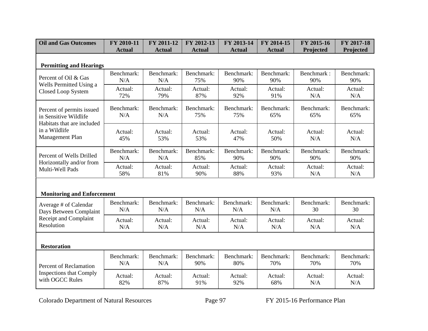| <b>Oil and Gas Outcomes</b>                                                      | FY 2010-11        | FY 2011-12        | FY 2012-13        | FY 2013-14        | FY 2014-15        | FY 2015-16        | FY 2017-18        |
|----------------------------------------------------------------------------------|-------------------|-------------------|-------------------|-------------------|-------------------|-------------------|-------------------|
|                                                                                  | <b>Actual</b>     | <b>Actual</b>     | <b>Actual</b>     | <b>Actual</b>     | <b>Actual</b>     | Projected         | Projected         |
| <b>Permitting and Hearings</b>                                                   |                   |                   |                   |                   |                   |                   |                   |
| Percent of Oil & Gas<br>Wells Permitted Using a<br>Closed Loop System            | Benchmark:<br>N/A | Benchmark:<br>N/A | Benchmark:<br>75% | Benchmark:<br>90% | Benchmark:<br>90% | Benchmark:<br>90% | Benchmark:<br>90% |
|                                                                                  | Actual:<br>72%    | Actual:<br>79%    | Actual:<br>87%    | Actual:<br>92%    | Actual:<br>91%    | Actual:<br>N/A    | Actual:<br>N/A    |
| Percent of permits issued<br>in Sensitive Wildlife<br>Habitats that are included | Benchmark:<br>N/A | Benchmark:<br>N/A | Benchmark:<br>75% | Benchmark:<br>75% | Benchmark:<br>65% | Benchmark:<br>65% | Benchmark:<br>65% |
| in a Wildlife<br>Management Plan                                                 | Actual:<br>45%    | Actual:<br>53%    | Actual:<br>53%    | Actual:<br>47%    | Actual:<br>50%    | Actual:<br>N/A    | Actual:<br>N/A    |
| Percent of Wells Drilled                                                         | Benchmark:<br>N/A | Benchmark:<br>N/A | Benchmark:<br>85% | Benchmark:<br>90% | Benchmark:<br>90% | Benchmark:<br>90% | Benchmark:<br>90% |
| Horizontally and/or from<br>Multi-Well Pads                                      | Actual:<br>58%    | Actual:<br>81%    | Actual:<br>90%    | Actual:<br>88%    | Actual:<br>93%    | Actual:<br>N/A    | Actual:<br>N/A    |
| <b>Monitoring and Enforcement</b>                                                |                   |                   |                   |                   |                   |                   |                   |
| Average # of Calendar<br>Days Between Complaint                                  | Benchmark:<br>N/A | Benchmark:<br>N/A | Benchmark:<br>N/A | Benchmark:<br>N/A | Benchmark:<br>N/A | Benchmark:<br>30  | Benchmark:<br>30  |
| Receipt and Complaint<br>Resolution                                              | Actual:<br>N/A    | Actual:<br>N/A    | Actual:<br>N/A    | Actual:<br>N/A    | Actual:<br>N/A    | Actual:<br>N/A    | Actual:<br>N/A    |
| <b>Restoration</b>                                                               |                   |                   |                   |                   |                   |                   |                   |
| <b>Percent of Reclamation</b>                                                    | Benchmark:<br>N/A | Benchmark:<br>N/A | Benchmark:<br>90% | Benchmark:<br>80% | Benchmark:<br>70% | Benchmark:<br>70% | Benchmark:<br>70% |
| <b>Inspections that Comply</b><br>with OGCC Rules                                | Actual:<br>82%    | Actual:<br>87%    | Actual:<br>91%    | Actual:<br>92%    | Actual:<br>68%    | Actual:<br>N/A    | Actual:<br>N/A    |

Colorado Department of Natural Resources Page 97 FY 2015-16 Performance Plan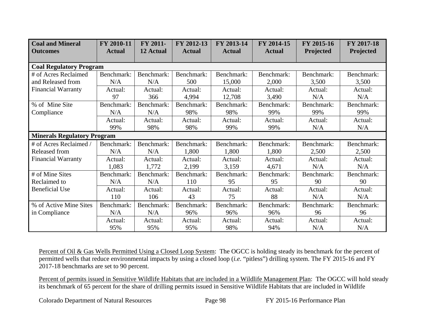| <b>Coal and Mineral</b><br><b>Outcomes</b> | FY 2010-11<br><b>Actual</b> | FY 2011-<br>12 Actual | FY 2012-13<br><b>Actual</b> | FY 2013-14<br><b>Actual</b> | FY 2014-15<br><b>Actual</b> | FY 2015-16<br>Projected | FY 2017-18<br>Projected |
|--------------------------------------------|-----------------------------|-----------------------|-----------------------------|-----------------------------|-----------------------------|-------------------------|-------------------------|
|                                            |                             |                       |                             |                             |                             |                         |                         |
| <b>Coal Regulatory Program</b>             |                             |                       |                             |                             |                             |                         |                         |
| # of Acres Reclaimed                       | Benchmark:                  | Benchmark:            | Benchmark:                  | Benchmark:                  | Benchmark:                  | Benchmark:              | Benchmark:              |
| and Released from                          | N/A                         | N/A                   | 500                         | 15,000                      | 2,000                       | 3,500                   | 3,500                   |
| <b>Financial Warranty</b>                  | Actual:                     | Actual:               | Actual:                     | Actual:                     | Actual:                     | Actual:                 | Actual:                 |
|                                            | 97                          | 366                   | 4,994                       | 12,708                      | 3,490                       | N/A                     | N/A                     |
| % of Mine Site                             | Benchmark:                  | Benchmark:            | Benchmark:                  | Benchmark:                  | Benchmark:                  | Benchmark:              | Benchmark:              |
| Compliance                                 | N/A                         | N/A                   | 98%                         | 98%                         | 99%                         | 99%                     | 99%                     |
|                                            | Actual:                     | Actual:               | Actual:                     | Actual:                     | Actual:                     | Actual:                 | Actual:                 |
|                                            | 99%                         | 98%                   | 98%                         | 99%                         | 99%                         | N/A                     | N/A                     |
| <b>Minerals Regulatory Program</b>         |                             |                       |                             |                             |                             |                         |                         |
| # of Acres Reclaimed /                     | Benchmark:                  | Benchmark:            | Benchmark:                  | Benchmark:                  | Benchmark:                  | Benchmark:              | Benchmark:              |
| Released from                              | N/A                         | N/A                   | 1,800                       | 1,800                       | 1,800                       | 2,500                   | 2,500                   |
| <b>Financial Warranty</b>                  | Actual:                     | Actual:               | Actual:                     | Actual:                     | Actual:                     | Actual:                 | Actual:                 |
|                                            | 1,083                       | 1,772                 | 2,199                       | 3,159                       | 4,671                       | N/A                     | N/A                     |
| # of Mine Sites                            | Benchmark:                  | Benchmark:            | Benchmark:                  | Benchmark:                  | Benchmark:                  | Benchmark:              | Benchmark:              |
| Reclaimed to                               | N/A                         | N/A                   | 110                         | 95                          | 95                          | 90                      | 90                      |
| <b>Beneficial Use</b>                      | Actual:                     | Actual:               | Actual:                     | Actual:                     | Actual:                     | Actual:                 | Actual:                 |
|                                            | 110                         | 106                   | 43                          | 75                          | 88                          | N/A                     | N/A                     |
| % of Active Mine Sites                     | Benchmark:                  | Benchmark:            | Benchmark:                  | Benchmark:                  | Benchmark:                  | Benchmark:              | Benchmark:              |
| in Compliance                              | N/A                         | N/A                   | 96%                         | 96%                         | 96%                         | 96                      | 96                      |
|                                            | Actual:                     | Actual:               | Actual:                     | Actual:                     | Actual:                     | Actual:                 | Actual:                 |
|                                            | 95%                         | 95%                   | 95%                         | 98%                         | 94%                         | N/A                     | N/A                     |

Percent of Oil & Gas Wells Permitted Using a Closed Loop System: The OGCC is holding steady its benchmark for the percent of permitted wells that reduce environmental impacts by using a closed loop (*i.e.* "pitless") drilling system. The FY 2015-16 and FY 2017-18 benchmarks are set to 90 percent.

Percent of permits issued in Sensitive Wildlife Habitats that are included in a Wildlife Management Plan: The OGCC will hold steady its benchmark of 65 percent for the share of drilling permits issued in Sensitive Wildlife Habitats that are included in Wildlife

Colorado Department of Natural Resources Page 98 FY 2015-16 Performance Plan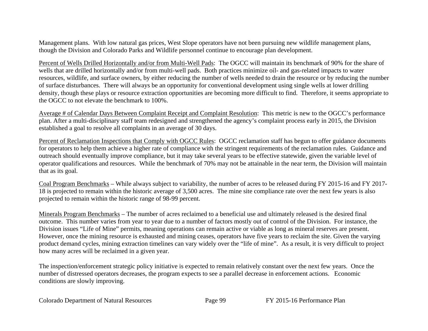Management plans. With low natural gas prices, West Slope operators have not been pursuing new wildlife management plans, though the Division and Colorado Parks and Wildlife personnel continue to encourage plan development.

Percent of Wells Drilled Horizontally and/or from Multi-Well Pads: The OGCC will maintain its benchmark of 90% for the share of wells that are drilled horizontally and/or from multi-well pads. Both practices minimize oil- and gas-related impacts to water resources, wildlife, and surface owners, by either reducing the number of wells needed to drain the resource or by reducing the number of surface disturbances. There will always be an opportunity for conventional development using single wells at lower drilling density, though these plays or resource extraction opportunities are becoming more difficult to find. Therefore, it seems appropriate to the OGCC to not elevate the benchmark to 100%.

Average # of Calendar Days Between Complaint Receipt and Complaint Resolution: This metric is new to the OGCC's performance plan. After a multi-disciplinary staff team redesigned and strengthened the agency's complaint process early in 2015, the Division established a goal to resolve all complaints in an average of 30 days.

Percent of Reclamation Inspections that Comply with OGCC Rules: OGCC reclamation staff has begun to offer guidance documents for operators to help them achieve a higher rate of compliance with the stringent requirements of the reclamation rules. Guidance and outreach should eventually improve compliance, but it may take several years to be effective statewide, given the variable level of operator qualifications and resources. While the benchmark of 70% may not be attainable in the near term, the Division will maintain that as its goal.

Coal Program Benchmarks – While always subject to variability, the number of acres to be released during FY 2015-16 and FY 2017- 18 is projected to remain within the historic average of 3,500 acres. The mine site compliance rate over the next few years is also projected to remain within the historic range of 98-99 percent.

Minerals Program Benchmarks – The number of acres reclaimed to a beneficial use and ultimately released is the desired final outcome. This number varies from year to year due to a number of factors mostly out of control of the Division. For instance, the Division issues "Life of Mine" permits, meaning operations can remain active or viable as long as mineral reserves are present. However, once the mining resource is exhausted and mining ceases, operators have five years to reclaim the site. Given the varying product demand cycles, mining extraction timelines can vary widely over the "life of mine". As a result, it is very difficult to project how many acres will be reclaimed in a given year.

The inspection/enforcement strategic policy initiative is expected to remain relatively constant over the next few years. Once the number of distressed operators decreases, the program expects to see a parallel decrease in enforcement actions. Economic conditions are slowly improving.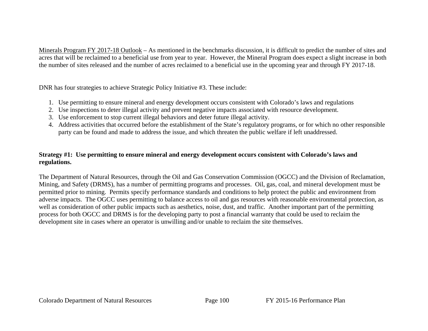Minerals Program FY 2017-18 Outlook – As mentioned in the benchmarks discussion, it is difficult to predict the number of sites and acres that will be reclaimed to a beneficial use from year to year. However, the Mineral Program does expect a slight increase in both the number of sites released and the number of acres reclaimed to a beneficial use in the upcoming year and through FY 2017-18.

DNR has four strategies to achieve Strategic Policy Initiative #3. These include:

- 1. Use permitting to ensure mineral and energy development occurs consistent with Colorado's laws and regulations
- 2. Use inspections to deter illegal activity and prevent negative impacts associated with resource development.
- 3. Use enforcement to stop current illegal behaviors and deter future illegal activity.
- 4. Address activities that occurred before the establishment of the State's regulatory programs, or for which no other responsible party can be found and made to address the issue, and which threaten the public welfare if left unaddressed.

## **Strategy #1: Use permitting to ensure mineral and energy development occurs consistent with Colorado's laws and regulations.**

The Department of Natural Resources, through the Oil and Gas Conservation Commission (OGCC) and the Division of Reclamation, Mining, and Safety (DRMS), has a number of permitting programs and processes. Oil, gas, coal, and mineral development must be permitted prior to mining. Permits specify performance standards and conditions to help protect the public and environment from adverse impacts. The OGCC uses permitting to balance access to oil and gas resources with reasonable environmental protection, as well as consideration of other public impacts such as aesthetics, noise, dust, and traffic. Another important part of the permitting process for both OGCC and DRMS is for the developing party to post a financial warranty that could be used to reclaim the development site in cases where an operator is unwilling and/or unable to reclaim the site themselves.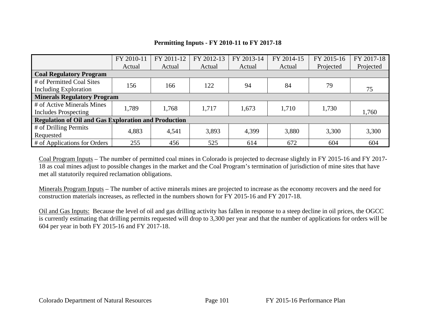# **Permitting Inputs - FY 2010-11 to FY 2017-18**

|                                                             | FY 2010-11 | FY 2011-12 | FY 2012-13 | FY 2013-14 | FY 2014-15 | FY 2015-16 | FY 2017-18 |  |  |  |
|-------------------------------------------------------------|------------|------------|------------|------------|------------|------------|------------|--|--|--|
|                                                             | Actual     | Actual     | Actual     | Actual     | Actual     | Projected  | Projected  |  |  |  |
| <b>Coal Regulatory Program</b>                              |            |            |            |            |            |            |            |  |  |  |
| # of Permitted Coal Sites                                   |            |            |            |            | 84         |            |            |  |  |  |
| Including Exploration                                       | 156        | 166        | 122        | 94         |            | 79         | 75         |  |  |  |
| <b>Minerals Regulatory Program</b>                          |            |            |            |            |            |            |            |  |  |  |
| # of Active Minerals Mines                                  | 1,789      |            |            |            |            |            |            |  |  |  |
| <b>Includes Prospecting</b>                                 |            | 1,768      | 1,717      | 1,673      | 1,710      | 1,730      | 1,760      |  |  |  |
| <b>Regulation of Oil and Gas Exploration and Production</b> |            |            |            |            |            |            |            |  |  |  |
| # of Drilling Permits                                       | 4,883      |            |            |            |            |            |            |  |  |  |
| Requested                                                   |            | 4,541      | 3,893      | 4,399      | 3,880      | 3,300      | 3,300      |  |  |  |
| # of Applications for Orders                                | 255        | 456        | 525        | 614        | 672        | 604        | 604        |  |  |  |

Coal Program Inputs – The number of permitted coal mines in Colorado is projected to decrease slightly in FY 2015-16 and FY 2017- 18 as coal mines adjust to possible changes in the market and the Coal Program's termination of jurisdiction of mine sites that have met all statutorily required reclamation obligations.

Minerals Program Inputs – The number of active minerals mines are projected to increase as the economy recovers and the need for construction materials increases, as reflected in the numbers shown for FY 2015-16 and FY 2017-18.

Oil and Gas Inputs: Because the level of oil and gas drilling activity has fallen in response to a steep decline in oil prices, the OGCC is currently estimating that drilling permits requested will drop to 3,300 per year and that the number of applications for orders will be 604 per year in both FY 2015-16 and FY 2017-18.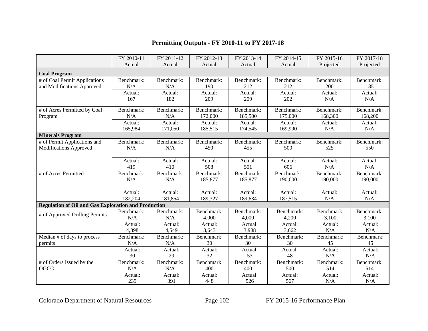# **Permitting Outputs - FY 2010-11 to FY 2017-18**

|                                                             | FY 2010-11 | FY 2011-12 | FY 2012-13 | FY 2013-14 | FY 2014-15 | FY 2015-16 | FY 2017-18 |
|-------------------------------------------------------------|------------|------------|------------|------------|------------|------------|------------|
|                                                             | Actual     | Actual     | Actual     | Actual     | Actual     | Projected  | Projected  |
| <b>Coal Program</b>                                         |            |            |            |            |            |            |            |
| # of Coal Permit Applications                               | Benchmark: | Benchmark: | Benchmark: | Benchmark: | Benchmark: | Benchmark: | Benchmark: |
| and Modifications Approved                                  | N/A        | N/A        | 190        | 212        | 212        | 200        | 185        |
|                                                             | Actual:    | Actual:    | Actual:    | Actual:    | Actual:    | Actual:    | Actual:    |
|                                                             | 167        | 182        | 209        | 209        | 202        | N/A        | N/A        |
| # of Acres Permitted by Coal                                | Benchmark: | Benchmark: | Benchmark: | Benchmark: | Benchmark: | Benchmark: | Benchmark: |
| Program                                                     | N/A        | N/A        | 172,000    | 185,500    | 175,000    | 168,300    | 168,200    |
|                                                             | Actual:    | Actual:    | Actual:    | Actual:    | Actual:    | Actual:    | Actual:    |
|                                                             | 165,984    | 171,050    | 185,515    | 174,545    | 169,990    | N/A        | N/A        |
| <b>Minerals Program</b>                                     |            |            |            |            |            |            |            |
| # of Permit Applications and                                | Benchmark: | Benchmark: | Benchmark: | Benchmark: | Benchmark: | Benchmark: | Benchmark: |
| <b>Modifications Approved</b>                               | N/A        | N/A        | 450        | 455        | 500        | 525        | 550        |
|                                                             |            |            |            |            |            |            |            |
|                                                             | Actual:    | Actual:    | Actual:    | Actual:    | Actual:    | Actual:    | Actual:    |
|                                                             | 419        | 410        | 508        | 501        | 606        | N/A        | N/A        |
| # of Acres Permitted                                        | Benchmark: | Benchmark: | Benchmark: | Benchmark: | Benchmark: | Benchmark: | Benchmark: |
|                                                             | N/A        | N/A        | 185,877    | 185,877    | 190,000    | 190,000    | 190,000    |
|                                                             | Actual:    | Actual:    | Actual:    | Actual:    | Actual:    | Actual:    | Actual:    |
|                                                             | 182,204    | 181,854    | 189,327    | 189,634    | 187,515    | N/A        | N/A        |
| <b>Regulation of Oil and Gas Exploration and Production</b> |            |            |            |            |            |            |            |
|                                                             | Benchmark: | Benchmark: | Benchmark: | Benchmark: | Benchmark: | Benchmark: | Benchmark: |
| # of Approved Drilling Permits                              | N/A        | N/A        | 4,000      | 4,000      | 4,200      | 3,100      | 3,100      |
|                                                             | Actual:    | Actual:    | Actual:    | Actual:    | Actual:    | Actual:    | Actual:    |
|                                                             | 4,898      | 4,549      | 3,643      | 3,988      | 3,662      | N/A        | N/A        |
| Median # of days to process                                 | Benchmark: | Benchmark: | Benchmark: | Benchmark: | Benchmark: | Benchmark: | Benchmark: |
| permits                                                     | N/A        | N/A        | 30         | 30         | 30         | 45         | 45         |
|                                                             | Actual:    | Actual:    | Actual:    | Actual:    | Actual:    | Actual:    | Actual:    |
|                                                             | 30         | 29         | 32         | 53         | 48         | N/A        | N/A        |
| # of Orders Issued by the                                   | Benchmark: | Benchmark: | Benchmark: | Benchmark: | Benchmark: | Benchmark: | Benchmark: |
| OGCC                                                        | N/A        | N/A        | 400        | 400        | 500        | 514        | 514        |
|                                                             | Actual:    | Actual:    | Actual:    | Actual:    | Actual:    | Actual:    | Actual:    |
|                                                             | 239        | 391        | 448        | 526        | 567        | N/A        | N/A        |

Colorado Department of Natural Resources Page 102 FY 2015-16 Performance Plan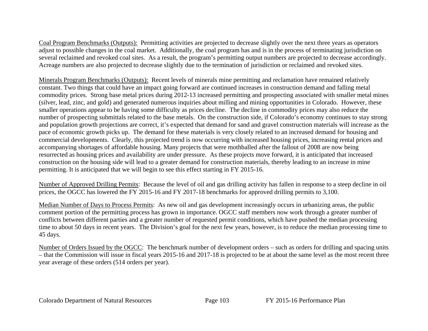Coal Program Benchmarks (Outputs): Permitting activities are projected to decrease slightly over the next three years as operators adjust to possible changes in the coal market. Additionally, the coal program has and is in the process of terminating jurisdiction on several reclaimed and revoked coal sites. As a result, the program's permitting output numbers are projected to decrease accordingly. Acreage numbers are also projected to decrease slightly due to the termination of jurisdiction or reclaimed and revoked sites.

Minerals Program Benchmarks (Outputs): Recent levels of minerals mine permitting and reclamation have remained relatively constant. Two things that could have an impact going forward are continued increases in construction demand and falling metal commodity prices. Strong base metal prices during 2012-13 increased permitting and prospecting associated with smaller metal mines (silver, lead, zinc, and gold) and generated numerous inquiries about milling and mining opportunities in Colorado. However, these smaller operations appear to be having some difficulty as prices decline. The decline in commodity prices may also reduce the number of prospecting submittals related to the base metals. On the construction side, if Colorado's economy continues to stay strong and population growth projections are correct, it's expected that demand for sand and gravel construction materials will increase as the pace of economic growth picks up. The demand for these materials is very closely related to an increased demand for housing and commercial developments. Clearly, this projected trend is now occurring with increased housing prices, increasing rental prices and accompanying shortages of affordable housing. Many projects that were mothballed after the fallout of 2008 are now being resurrected as housing prices and availability are under pressure. As these projects move forward, it is anticipated that increased construction on the housing side will lead to a greater demand for construction materials, thereby leading to an increase in mine permitting. It is anticipated that we will begin to see this effect starting in FY 2015-16.

Number of Approved Drilling Permits: Because the level of oil and gas drilling activity has fallen in response to a steep decline in oil prices, the OGCC has lowered the FY 2015-16 and FY 2017-18 benchmarks for approved drilling permits to 3,100.

Median Number of Days to Process Permits: As new oil and gas development increasingly occurs in urbanizing areas, the public comment portion of the permitting process has grown in importance. OGCC staff members now work through a greater number of conflicts between different parties and a greater number of requested permit conditions, which have pushed the median processing time to about 50 days in recent years. The Division's goal for the next few years, however, is to reduce the median processing time to 45 days.

Number of Orders Issued by the OGCC: The benchmark number of development orders – such as orders for drilling and spacing units – that the Commission will issue in fiscal years 2015-16 and 2017-18 is projected to be at about the same level as the most recent three year average of these orders (514 orders per year).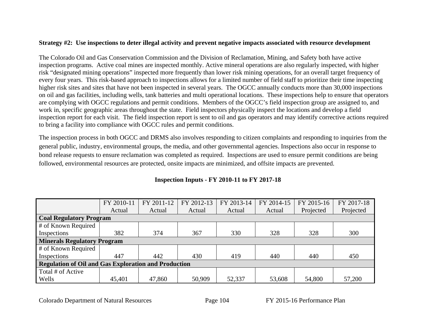# **Strategy #2: Use inspections to deter illegal activity and prevent negative impacts associated with resource development**

The Colorado Oil and Gas Conservation Commission and the Division of Reclamation, Mining, and Safety both have active inspection programs. Active coal mines are inspected monthly. Active mineral operations are also regularly inspected, with higher risk "designated mining operations" inspected more frequently than lower risk mining operations, for an overall target frequency of every four years. This risk-based approach to inspections allows for a limited number of field staff to prioritize their time inspecting higher risk sites and sites that have not been inspected in several years. The OGCC annually conducts more than 30,000 inspections on oil and gas facilities, including wells, tank batteries and multi operational locations. These inspections help to ensure that operators are complying with OGCC regulations and permit conditions. Members of the OGCC's field inspection group are assigned to, and work in, specific geographic areas throughout the state. Field inspectors physically inspect the locations and develop a field inspection report for each visit. The field inspection report is sent to oil and gas operators and may identify corrective actions required to bring a facility into compliance with OGCC rules and permit conditions.

The inspection process in both OGCC and DRMS also involves responding to citizen complaints and responding to inquiries from the general public, industry, environmental groups, the media, and other governmental agencies. Inspections also occur in response to bond release requests to ensure reclamation was completed as required. Inspections are used to ensure permit conditions are being followed, environmental resources are protected, onsite impacts are minimized, and offsite impacts are prevented.

|                                                             | FY 2010-11 | FY 2011-12 | FY 2012-13 | FY 2013-14 | FY 2014-15 | FY 2015-16 | FY 2017-18 |  |  |  |
|-------------------------------------------------------------|------------|------------|------------|------------|------------|------------|------------|--|--|--|
|                                                             | Actual     | Actual     | Actual     | Actual     | Actual     | Projected  | Projected  |  |  |  |
| <b>Coal Regulatory Program</b>                              |            |            |            |            |            |            |            |  |  |  |
| # of Known Required                                         |            |            |            |            |            |            |            |  |  |  |
| Inspections                                                 | 382        | 374        | 367        | 330        | 328        | 328        | 300        |  |  |  |
| <b>Minerals Regulatory Program</b>                          |            |            |            |            |            |            |            |  |  |  |
| # of Known Required                                         |            |            |            |            |            |            |            |  |  |  |
| Inspections                                                 | 447        | 442        | 430        | 419        | 440        | 440        | 450        |  |  |  |
| <b>Regulation of Oil and Gas Exploration and Production</b> |            |            |            |            |            |            |            |  |  |  |
| Total # of Active                                           |            |            |            |            |            |            |            |  |  |  |
| Wells                                                       | 45,401     | 47,860     | 50,909     | 52,337     | 53,608     | 54,800     | 57,200     |  |  |  |

# **Inspection Inputs - FY 2010-11 to FY 2017-18**

Colorado Department of Natural Resources Page 104 FY 2015-16 Performance Plan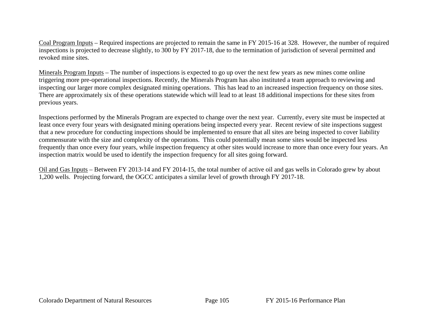Coal Program Inputs – Required inspections are projected to remain the same in FY 2015-16 at 328. However, the number of required inspections is projected to decrease slightly, to 300 by FY 2017-18, due to the termination of jurisdiction of several permitted and revoked mine sites.

Minerals Program Inputs – The number of inspections is expected to go up over the next few years as new mines come online triggering more pre-operational inspections. Recently, the Minerals Program has also instituted a team approach to reviewing and inspecting our larger more complex designated mining operations. This has lead to an increased inspection frequency on those sites. There are approximately six of these operations statewide which will lead to at least 18 additional inspections for these sites from previous years.

Inspections performed by the Minerals Program are expected to change over the next year. Currently, every site must be inspected at least once every four years with designated mining operations being inspected every year. Recent review of site inspections suggest that a new procedure for conducting inspections should be implemented to ensure that all sites are being inspected to cover liability commensurate with the size and complexity of the operations. This could potentially mean some sites would be inspected less frequently than once every four years, while inspection frequency at other sites would increase to more than once every four years. An inspection matrix would be used to identify the inspection frequency for all sites going forward.

Oil and Gas Inputs – Between FY 2013-14 and FY 2014-15, the total number of active oil and gas wells in Colorado grew by about 1,200 wells. Projecting forward, the OGCC anticipates a similar level of growth through FY 2017-18.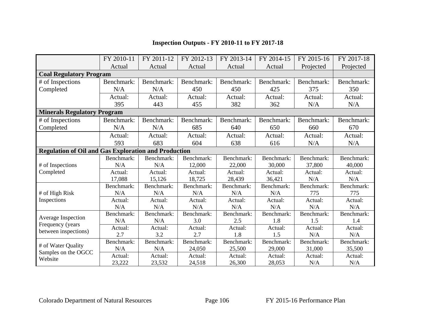|                                                             | FY 2010-11 | FY 2011-12 | FY 2012-13 | FY 2013-14 | FY 2014-15 | FY 2015-16 | FY 2017-18 |  |
|-------------------------------------------------------------|------------|------------|------------|------------|------------|------------|------------|--|
|                                                             | Actual     | Actual     | Actual     | Actual     | Actual     | Projected  | Projected  |  |
| <b>Coal Regulatory Program</b>                              |            |            |            |            |            |            |            |  |
| # of Inspections                                            | Benchmark: | Benchmark: | Benchmark: | Benchmark: | Benchmark: | Benchmark: | Benchmark: |  |
| Completed                                                   | N/A        | N/A        | 450        | 450        | 425        | 375        | 350        |  |
|                                                             | Actual:    | Actual:    | Actual:    | Actual:    | Actual:    | Actual:    | Actual:    |  |
|                                                             | 395        | 443        | 455        | 382        | 362        | N/A        | N/A        |  |
| <b>Minerals Regulatory Program</b>                          |            |            |            |            |            |            |            |  |
| # of Inspections                                            | Benchmark: | Benchmark: | Benchmark: | Benchmark: | Benchmark: | Benchmark: | Benchmark: |  |
| Completed                                                   | N/A        | N/A        | 685        | 640        | 650        | 660        | 670        |  |
|                                                             | Actual:    | Actual:    | Actual:    | Actual:    | Actual:    | Actual:    | Actual:    |  |
|                                                             | 593        | 683        | 604        | 638        | 616        | N/A        | N/A        |  |
| <b>Regulation of Oil and Gas Exploration and Production</b> |            |            |            |            |            |            |            |  |
|                                                             | Benchmark: | Benchmark: | Benchmark: | Benchmark: | Benchmark: | Benchmark: | Benchmark: |  |
| # of Inspections                                            | N/A        | N/A        | 12,000     | 22,000     | 30,000     | 37,800     | 40,000     |  |
| Completed                                                   | Actual:    | Actual:    | Actual:    | Actual:    | Actual:    | Actual:    | Actual:    |  |
|                                                             | 17,088     | 15,126     | 18,725     | 28,439     | 36,421     | N/A        | N/A        |  |
|                                                             | Benchmark: | Benchmark: | Benchmark: | Benchmark: | Benchmark: | Benchmark: | Benchmark: |  |
| # of High Risk                                              | N/A        | N/A        | N/A        | N/A        | N/A        | 775        | 775        |  |
| Inspections                                                 | Actual:    | Actual:    | Actual:    | Actual:    | Actual:    | Actual:    | Actual:    |  |
|                                                             | N/A        | N/A        | N/A        | N/A        | N/A        | N/A        | N/A        |  |
| <b>Average Inspection</b>                                   | Benchmark: | Benchmark: | Benchmark: | Benchmark: | Benchmark: | Benchmark: | Benchmark: |  |
| Frequency (years                                            | N/A        | N/A        | 3.0        | 2.5        | 1.8        | 1.5        | 1.4        |  |
| between inspections)                                        | Actual:    | Actual:    | Actual:    | Actual:    | Actual:    | Actual:    | Actual:    |  |
|                                                             | 2.7        | 3.2        | 2.7        | 1.8        | 1.5        | N/A        | N/A        |  |
| # of Water Quality                                          | Benchmark: | Benchmark: | Benchmark: | Benchmark: | Benchmark: | Benchmark: | Benchmark: |  |
|                                                             | N/A        | N/A        | 24,050     | 25,500     | 29,000     | 31,000     | 35,500     |  |
| Samples on the OGCC<br>Website                              | Actual:    | Actual:    | Actual:    | Actual:    | Actual:    | Actual:    | Actual:    |  |
|                                                             | 23,222     | 23,532     | 24,518     | 26,300     | 28,053     | N/A        | N/A        |  |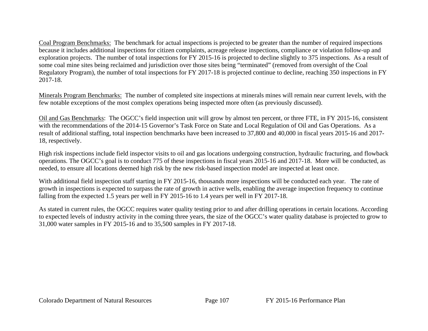Coal Program Benchmarks: The benchmark for actual inspections is projected to be greater than the number of required inspections because it includes additional inspections for citizen complaints, acreage release inspections, compliance or violation follow-up and exploration projects. The number of total inspections for FY 2015-16 is projected to decline slightly to 375 inspections. As a result of some coal mine sites being reclaimed and jurisdiction over those sites being "terminated" (removed from oversight of the Coal Regulatory Program), the number of total inspections for FY 2017-18 is projected continue to decline, reaching 350 inspections in FY 2017-18.

Minerals Program Benchmarks: The number of completed site inspections at minerals mines will remain near current levels, with the few notable exceptions of the most complex operations being inspected more often (as previously discussed).

Oil and Gas Benchmarks: The OGCC's field inspection unit will grow by almost ten percent, or three FTE, in FY 2015-16, consistent with the recommendations of the 2014-15 Governor's Task Force on State and Local Regulation of Oil and Gas Operations. As a result of additional staffing, total inspection benchmarks have been increased to 37,800 and 40,000 in fiscal years 2015-16 and 2017- 18, respectively.

High risk inspections include field inspector visits to oil and gas locations undergoing construction, hydraulic fracturing, and flowback operations. The OGCC's goal is to conduct 775 of these inspections in fiscal years 2015-16 and 2017-18. More will be conducted, as needed, to ensure all locations deemed high risk by the new risk-based inspection model are inspected at least once.

With additional field inspection staff starting in FY 2015-16, thousands more inspections will be conducted each year. The rate of growth in inspections is expected to surpass the rate of growth in active wells, enabling the average inspection frequency to continue falling from the expected 1.5 years per well in FY 2015-16 to 1.4 years per well in FY 2017-18.

As stated in current rules, the OGCC requires water quality testing prior to and after drilling operations in certain locations. According to expected levels of industry activity in the coming three years, the size of the OGCC's water quality database is projected to grow to 31,000 water samples in FY 2015-16 and to 35,500 samples in FY 2017-18.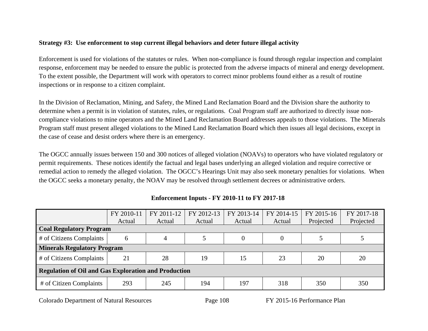## **Strategy #3: Use enforcement to stop current illegal behaviors and deter future illegal activity**

Enforcement is used for violations of the statutes or rules. When non-compliance is found through regular inspection and complaint response, enforcement may be needed to ensure the public is protected from the adverse impacts of mineral and energy development. To the extent possible, the Department will work with operators to correct minor problems found either as a result of routine inspections or in response to a citizen complaint.

In the Division of Reclamation, Mining, and Safety, the Mined Land Reclamation Board and the Division share the authority to determine when a permit is in violation of statutes, rules, or regulations. Coal Program staff are authorized to directly issue noncompliance violations to mine operators and the Mined Land Reclamation Board addresses appeals to those violations. The Minerals Program staff must present alleged violations to the Mined Land Reclamation Board which then issues all legal decisions, except in the case of cease and desist orders where there is an emergency.

The OGCC annually issues between 150 and 300 notices of alleged violation (NOAVs) to operators who have violated regulatory or permit requirements. These notices identify the factual and legal bases underlying an alleged violation and require corrective or remedial action to remedy the alleged violation. The OGCC's Hearings Unit may also seek monetary penalties for violations. When the OGCC seeks a monetary penalty, the NOAV may be resolved through settlement decrees or administrative orders.

|                                                             | FY 2010-11 | FY 2011-12 | FY 2012-13 | FY 2013-14 | FY 2014-15 | FY 2015-16 | FY 2017-18 |  |  |
|-------------------------------------------------------------|------------|------------|------------|------------|------------|------------|------------|--|--|
|                                                             | Actual     | Actual     | Actual     | Actual     | Actual     | Projected  | Projected  |  |  |
| <b>Coal Regulatory Program</b>                              |            |            |            |            |            |            |            |  |  |
| # of Citizens Complaints                                    |            |            |            | $\theta$   |            |            |            |  |  |
| <b>Minerals Regulatory Program</b>                          |            |            |            |            |            |            |            |  |  |
| # of Citizens Complaints                                    | 21         | 28         | 19         | 15         | 23         | 20         | 20         |  |  |
| <b>Regulation of Oil and Gas Exploration and Production</b> |            |            |            |            |            |            |            |  |  |
| # of Citizen Complaints                                     | 293        | 245        | 194        | 197        | 318        | 350        | 350        |  |  |

# **Enforcement Inputs - FY 2010-11 to FY 2017-18**

Colorado Department of Natural Resources Page 108 FY 2015-16 Performance Plan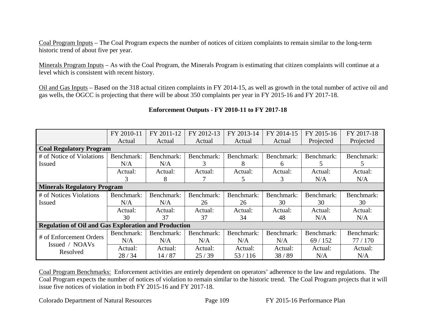Coal Program Inputs – The Coal Program expects the number of notices of citizen complaints to remain similar to the long-term historic trend of about five per year.

Minerals Program Inputs – As with the Coal Program, the Minerals Program is estimating that citizen complaints will continue at a level which is consistent with recent history.

Oil and Gas Inputs – Based on the 318 actual citizen complaints in FY 2014-15, as well as growth in the total number of active oil and gas wells, the OGCC is projecting that there will be about 350 complaints per year in FY 2015-16 and FY 2017-18.

# **Enforcement Outputs - FY 2010-11 to FY 2017-18**

|                                                             | FY 2010-11 | FY 2011-12 | FY 2012-13 | FY 2013-14 | FY 2014-15 | FY 2015-16 | FY 2017-18 |  |  |
|-------------------------------------------------------------|------------|------------|------------|------------|------------|------------|------------|--|--|
|                                                             | Actual     | Actual     | Actual     | Actual     | Actual     | Projected  | Projected  |  |  |
| <b>Coal Regulatory Program</b>                              |            |            |            |            |            |            |            |  |  |
| # of Notice of Violations                                   | Benchmark: | Benchmark: | Benchmark: | Benchmark: | Benchmark: | Benchmark: | Benchmark: |  |  |
| <b>Issued</b>                                               | N/A        | N/A        | 3          | 8          | 6          | 5.         | 5          |  |  |
|                                                             | Actual:    | Actual:    | Actual:    | Actual:    | Actual:    | Actual:    | Actual:    |  |  |
|                                                             | 3          | 8          |            | 5          | 3          | N/A        | N/A        |  |  |
| <b>Minerals Regulatory Program</b>                          |            |            |            |            |            |            |            |  |  |
| # of Notices Violations                                     | Benchmark: | Benchmark: | Benchmark: | Benchmark: | Benchmark: | Benchmark: | Benchmark: |  |  |
| <b>Issued</b>                                               | N/A        | N/A        | 26         | 26         | 30         | 30         | 30         |  |  |
|                                                             | Actual:    | Actual:    | Actual:    | Actual:    | Actual:    | Actual:    | Actual:    |  |  |
|                                                             | 30         | 37         | 37         | 34         | 48         | N/A        | N/A        |  |  |
| <b>Regulation of Oil and Gas Exploration and Production</b> |            |            |            |            |            |            |            |  |  |
| # of Enforcement Orders<br>Issued / NOAVs                   | Benchmark: | Benchmark: | Benchmark: | Benchmark: | Benchmark: | Benchmark: | Benchmark: |  |  |
|                                                             | N/A        | N/A        | N/A        | N/A        | N/A        | 69/152     | 77/170     |  |  |
| Resolved                                                    | Actual:    | Actual:    | Actual:    | Actual:    | Actual:    | Actual:    | Actual:    |  |  |
|                                                             | 28/34      | 14/87      | 25/39      | 53/116     | 38/89      | N/A        | N/A        |  |  |

Coal Program Benchmarks: Enforcement activities are entirely dependent on operators' adherence to the law and regulations. The Coal Program expects the number of notices of violation to remain similar to the historic trend. The Coal Program projects that it will issue five notices of violation in both FY 2015-16 and FY 2017-18.

Colorado Department of Natural Resources Page 109 FY 2015-16 Performance Plan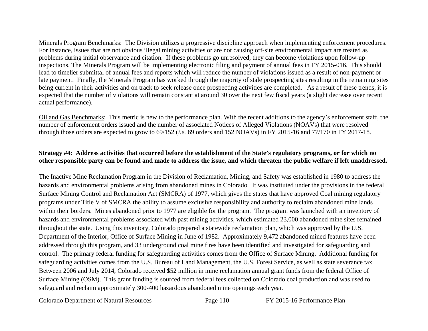Minerals Program Benchmarks: The Division utilizes a progressive discipline approach when implementing enforcement procedures. For instance, issues that are not obvious illegal mining activities or are not causing off-site environmental impact are treated as problems during initial observance and citation. If these problems go unresolved, they can become violations upon follow-up inspections. The Minerals Program will be implementing electronic filing and payment of annual fees in FY 2015-016. This should lead to timelier submittal of annual fees and reports which will reduce the number of violations issued as a result of non-payment or late payment. Finally, the Minerals Program has worked through the majority of stale prospecting sites resulting in the remaining sites being current in their activities and on track to seek release once prospecting activities are completed. As a result of these trends, it is expected that the number of violations will remain constant at around 30 over the next few fiscal years (a slight decrease over recent actual performance).

Oil and Gas Benchmarks: This metric is new to the performance plan. With the recent additions to the agency's enforcement staff, the number of enforcement orders issued and the number of associated Notices of Alleged Violations (NOAVs) that were resolved through those orders are expected to grow to 69/152 (*i.e.* 69 orders and 152 NOAVs) in FY 2015-16 and 77/170 in FY 2017-18.

#### **Strategy #4: Address activities that occurred before the establishment of the State's regulatory programs, or for which no other responsible party can be found and made to address the issue, and which threaten the public welfare if left unaddressed.**

The Inactive Mine Reclamation Program in the Division of Reclamation, Mining, and Safety was established in 1980 to address the hazards and environmental problems arising from abandoned mines in Colorado. It was instituted under the provisions in the federal Surface Mining Control and Reclamation Act (SMCRA) of 1977, which gives the states that have approved Coal mining regulatory programs under Title V of SMCRA the ability to assume exclusive responsibility and authority to reclaim abandoned mine lands within their borders. Mines abandoned prior to 1977 are eligible for the program. The program was launched with an inventory of hazards and environmental problems associated with past mining activities, which estimated 23,000 abandoned mine sites remained throughout the state. Using this inventory, Colorado prepared a statewide reclamation plan, which was approved by the U.S. Department of the Interior, Office of Surface Mining in June of 1982. Approximately 9,472 abandoned mined features have been addressed through this program, and 33 underground coal mine fires have been identified and investigated for safeguarding and control. The primary federal funding for safeguarding activities comes from the Office of Surface Mining. Additional funding for safeguarding activities comes from the U.S. Bureau of Land Management, the U.S. Forest Service, as well as state severance tax. Between 2006 and July 2014, Colorado received \$52 million in mine reclamation annual grant funds from the federal Office of Surface Mining (OSM). This grant funding is sourced from federal fees collected on Colorado coal production and was used to safeguard and reclaim approximately 300-400 hazardous abandoned mine openings each year.

Colorado Department of Natural Resources Page 110 FY 2015-16 Performance Plan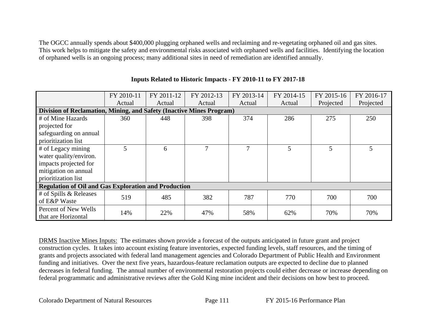The OGCC annually spends about \$400,000 plugging orphaned wells and reclaiming and re-vegetating orphaned oil and gas sites. This work helps to mitigate the safety and environmental risks associated with orphaned wells and facilities. Identifying the location of orphaned wells is an ongoing process; many additional sites in need of remediation are identified annually.

|                                                                      | FY 2010-11 | FY 2011-12 | FY 2012-13 | FY 2013-14    | FY 2014-15 | FY 2015-16 | FY 2016-17 |  |  |
|----------------------------------------------------------------------|------------|------------|------------|---------------|------------|------------|------------|--|--|
|                                                                      | Actual     | Actual     | Actual     | Actual        | Actual     | Projected  | Projected  |  |  |
| Division of Reclamation, Mining, and Safety (Inactive Mines Program) |            |            |            |               |            |            |            |  |  |
| # of Mine Hazards                                                    | 360        | 448        | 398        | 374           | 286        | 275        | 250        |  |  |
| projected for                                                        |            |            |            |               |            |            |            |  |  |
| safeguarding on annual                                               |            |            |            |               |            |            |            |  |  |
| prioritization list                                                  |            |            |            |               |            |            |            |  |  |
| # of Legacy mining                                                   | 5          | 6          | 7          | $\mathcal{I}$ | 5          | 5          | 5          |  |  |
| water quality/environ.                                               |            |            |            |               |            |            |            |  |  |
| impacts projected for                                                |            |            |            |               |            |            |            |  |  |
| mitigation on annual                                                 |            |            |            |               |            |            |            |  |  |
| prioritization list                                                  |            |            |            |               |            |            |            |  |  |
| <b>Regulation of Oil and Gas Exploration and Production</b>          |            |            |            |               |            |            |            |  |  |
| # of Spills & Releases                                               | 519        | 485        | 382        | 787           | 770        | 700        | 700        |  |  |
| of E&P Waste                                                         |            |            |            |               |            |            |            |  |  |
| Percent of New Wells                                                 | 14%        | 22%        | 47%        | 58%           | 62%        | 70%        | 70%        |  |  |
| that are Horizontal                                                  |            |            |            |               |            |            |            |  |  |

## **Inputs Related to Historic Impacts - FY 2010-11 to FY 2017-18**

DRMS Inactive Mines Inputs: The estimates shown provide a forecast of the outputs anticipated in future grant and project construction cycles. It takes into account existing feature inventories, expected funding levels, staff resources, and the timing of grants and projects associated with federal land management agencies and Colorado Department of Public Health and Environment funding and initiatives. Over the next five years, hazardous-feature reclamation outputs are expected to decline due to planned decreases in federal funding. The annual number of environmental restoration projects could either decrease or increase depending on federal programmatic and administrative reviews after the Gold King mine incident and their decisions on how best to proceed.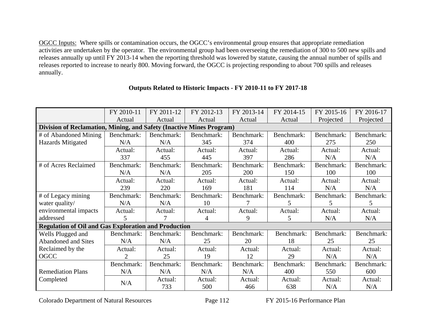OGCC Inputs: Where spills or contamination occurs, the OGCC's environmental group ensures that appropriate remediation activities are undertaken by the operator. The environmental group had been overseeing the remediation of 300 to 500 new spills and releases annually up until FY 2013-14 when the reporting threshold was lowered by statute, causing the annual number of spills and releases reported to increase to nearly 800. Moving forward, the OGCC is projecting responding to about 700 spills and releases annually.

|                                                                      | FY 2010-11              | FY 2011-12 | FY 2012-13 | FY 2013-14 | FY 2014-15 | FY 2015-16 | FY 2016-17 |  |  |
|----------------------------------------------------------------------|-------------------------|------------|------------|------------|------------|------------|------------|--|--|
|                                                                      | Actual                  | Actual     | Actual     | Actual     | Actual     | Projected  | Projected  |  |  |
| Division of Reclamation, Mining, and Safety (Inactive Mines Program) |                         |            |            |            |            |            |            |  |  |
| # of Abandoned Mining                                                | Benchmark:              | Benchmark: | Benchmark: | Benchmark: | Benchmark: | Benchmark: | Benchmark: |  |  |
| <b>Hazards Mitigated</b>                                             | N/A                     | N/A        | 345        | 374        | 400        | 275        | 250        |  |  |
|                                                                      | Actual:                 | Actual:    | Actual:    | Actual:    | Actual:    | Actual:    | Actual:    |  |  |
|                                                                      | 337                     | 455        | 445        | 397        | 286        | N/A        | N/A        |  |  |
| # of Acres Reclaimed                                                 | Benchmark:              | Benchmark: | Benchmark: | Benchmark: | Benchmark: | Benchmark: | Benchmark: |  |  |
|                                                                      | N/A                     | N/A        | 205        | 200        | 150        | 100        | 100        |  |  |
|                                                                      | Actual:                 | Actual:    | Actual:    | Actual:    | Actual:    | Actual:    | Actual:    |  |  |
|                                                                      | 239                     | 220        | 169        | 181        | 114        | N/A        | N/A        |  |  |
| # of Legacy mining                                                   | Benchmark:              | Benchmark: | Benchmark: | Benchmark: | Benchmark: | Benchmark: | Benchmark: |  |  |
| water quality/                                                       | N/A                     | N/A        | 10         |            | 5          | 5          | 5          |  |  |
| environmental impacts                                                | Actual:                 | Actual:    | Actual:    | Actual:    | Actual:    | Actual:    | Actual:    |  |  |
| addressed                                                            | $\overline{\mathbf{5}}$ | 7          | 4          | 9          | 5.         | N/A        | N/A        |  |  |
| <b>Regulation of Oil and Gas Exploration and Production</b>          |                         |            |            |            |            |            |            |  |  |
| Wells Plugged and                                                    | Benchmark:              | Benchmark: | Benchmark: | Benchmark: | Benchmark: | Benchmark: | Benchmark: |  |  |
| <b>Abandoned and Sites</b>                                           | N/A                     | N/A        | 25         | 20         | 18         | 25         | 25         |  |  |
| Reclaimed by the                                                     | Actual:                 | Actual:    | Actual:    | Actual:    | Actual:    | Actual:    | Actual:    |  |  |
| OGCC                                                                 | 2                       | 25         | 19         | 12         | 29         | N/A        | N/A        |  |  |
|                                                                      | Benchmark:              | Benchmark: | Benchmark: | Benchmark: | Benchmark: | Benchmark: | Benchmark: |  |  |
| <b>Remediation Plans</b>                                             | N/A                     | N/A        | N/A        | N/A        | 400        | 550        | 600        |  |  |
| Completed                                                            | N/A                     | Actual:    | Actual:    | Actual:    | Actual:    | Actual:    | Actual:    |  |  |
|                                                                      |                         | 733        | 500        | 466        | 638        | N/A        | N/A        |  |  |

#### **Outputs Related to Historic Impacts - FY 2010-11 to FY 2017-18**

Colorado Department of Natural Resources Page 112 FY 2015-16 Performance Plan